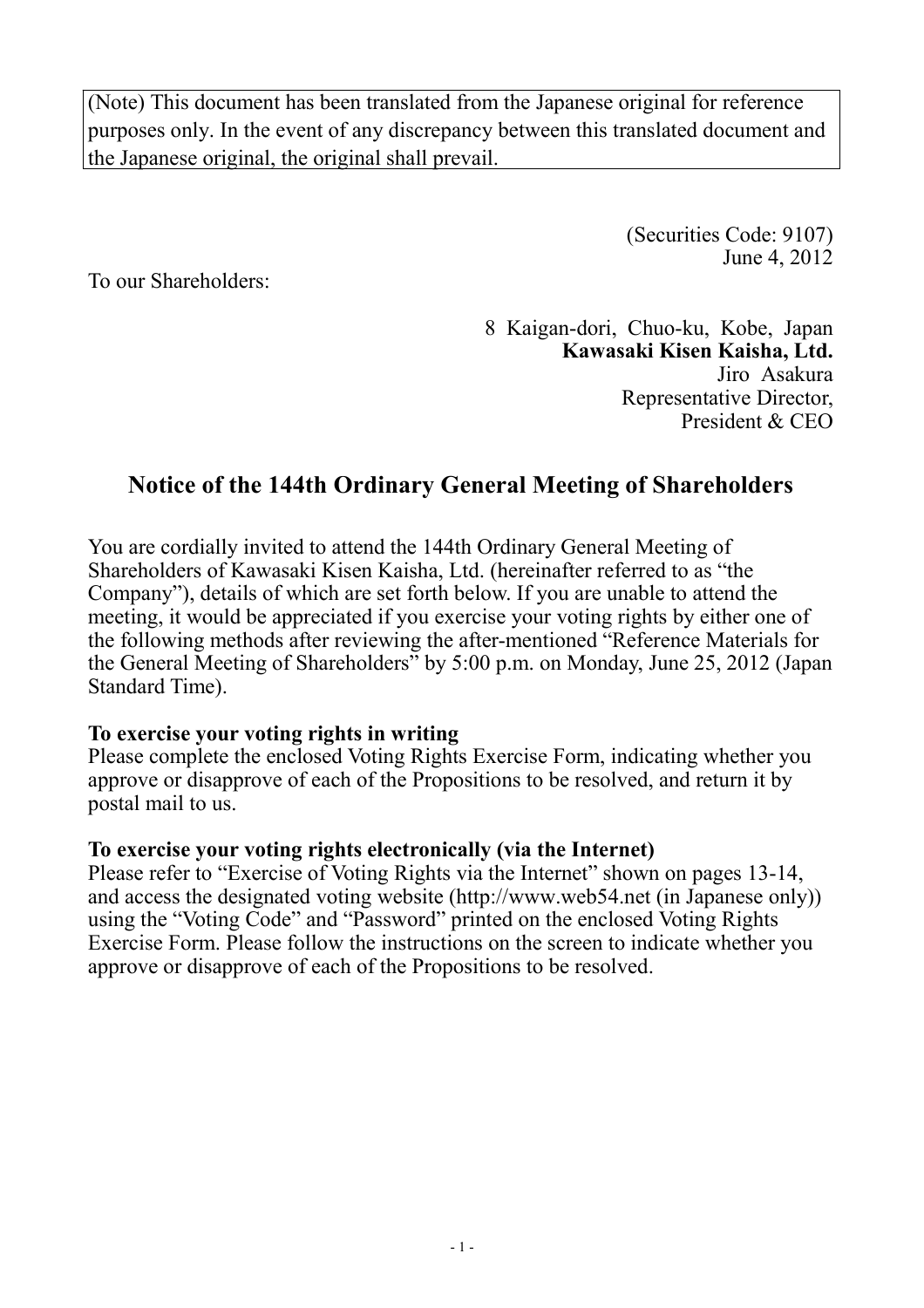(Note) This document has been translated from the Japanese original for reference purposes only. In the event of any discrepancy between this translated document and the Japanese original, the original shall prevail.

> (Securities Code: 9107) June 4, 2012

To our Shareholders:

8 Kaigan-dori, Chuo-ku, Kobe, Japan **Kawasaki Kisen Kaisha, Ltd.**  Jiro Asakura Representative Director, President & CEO

# **Notice of the 144th Ordinary General Meeting of Shareholders**

You are cordially invited to attend the 144th Ordinary General Meeting of Shareholders of Kawasaki Kisen Kaisha, Ltd. (hereinafter referred to as "the Company"), details of which are set forth below. If you are unable to attend the meeting, it would be appreciated if you exercise your voting rights by either one of the following methods after reviewing the after-mentioned "Reference Materials for the General Meeting of Shareholders" by 5:00 p.m. on Monday, June 25, 2012 (Japan Standard Time).

## **To exercise your voting rights in writing**

Please complete the enclosed Voting Rights Exercise Form, indicating whether you approve or disapprove of each of the Propositions to be resolved, and return it by postal mail to us.

## **To exercise your voting rights electronically (via the Internet)**

Please refer to "Exercise of Voting Rights via the Internet" shown on pages 13-14, and access the designated voting website (http://www.web54.net (in Japanese only)) using the "Voting Code" and "Password" printed on the enclosed Voting Rights Exercise Form. Please follow the instructions on the screen to indicate whether you approve or disapprove of each of the Propositions to be resolved.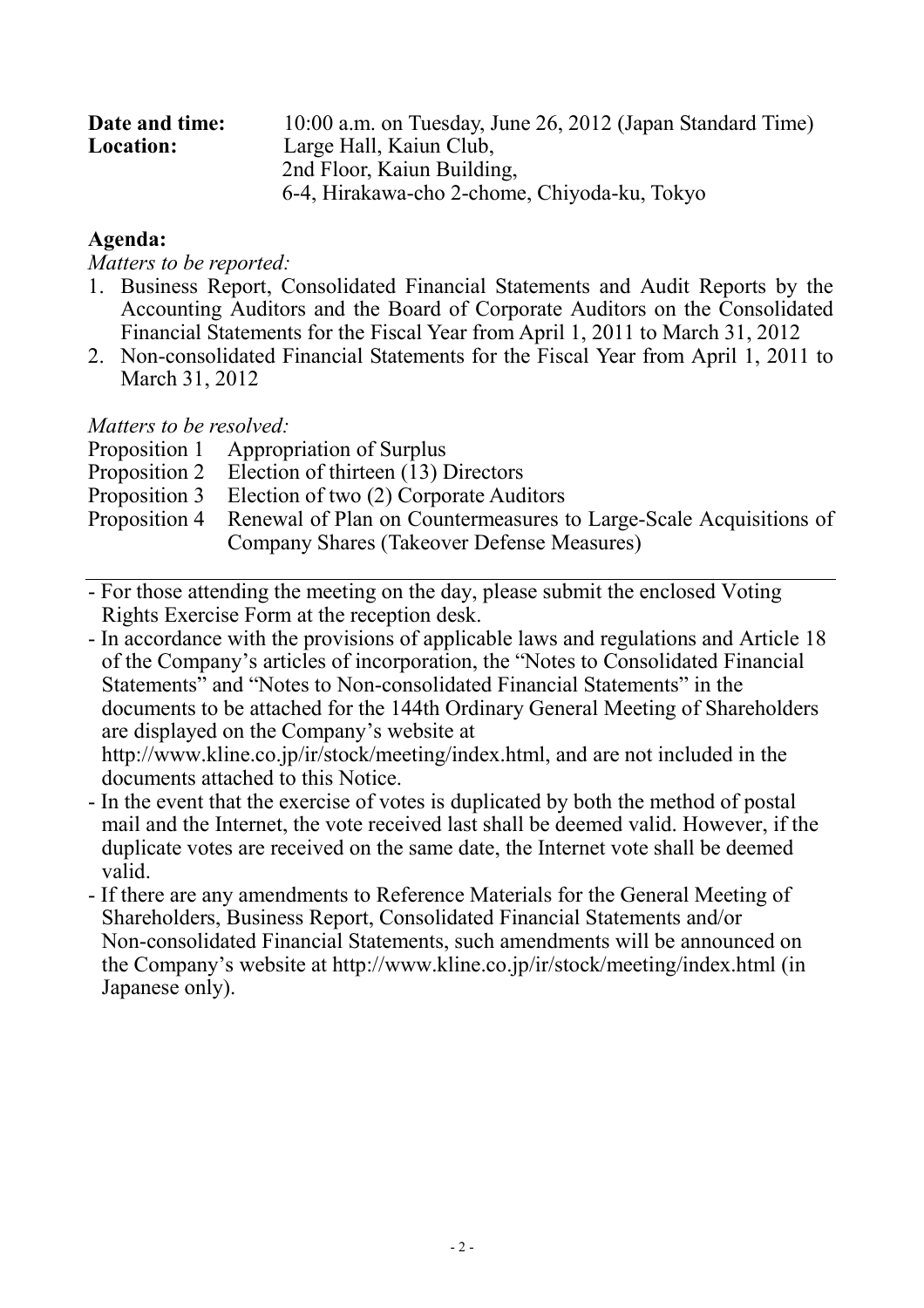| Date and time:   | 10:00 a.m. on Tuesday, June 26, 2012 (Japan Standard Time) |
|------------------|------------------------------------------------------------|
| <b>Location:</b> | Large Hall, Kaiun Club,                                    |
|                  | 2nd Floor, Kaiun Building,                                 |
|                  | 6-4, Hirakawa-cho 2-chome, Chiyoda-ku, Tokyo               |

## **Agenda:**

*Matters to be reported:* 

- 1. Business Report, Consolidated Financial Statements and Audit Reports by the Accounting Auditors and the Board of Corporate Auditors on the Consolidated Financial Statements for the Fiscal Year from April 1, 2011 to March 31, 2012
- 2. Non-consolidated Financial Statements for the Fiscal Year from April 1, 2011 to March 31, 2012

*Matters to be resolved:* 

- Proposition 1 Appropriation of Surplus
- Proposition 2 Election of thirteen (13) Directors
- Proposition 3 Election of two (2) Corporate Auditors
- Proposition 4 Renewal of Plan on Countermeasures to Large-Scale Acquisitions of Company Shares (Takeover Defense Measures)
- For those attending the meeting on the day, please submit the enclosed Voting Rights Exercise Form at the reception desk.
- In accordance with the provisions of applicable laws and regulations and Article 18 of the Company's articles of incorporation, the "Notes to Consolidated Financial Statements" and "Notes to Non-consolidated Financial Statements" in the documents to be attached for the 144th Ordinary General Meeting of Shareholders are displayed on the Company's website at

http://www.kline.co.jp/ir/stock/meeting/index.html, and are not included in the documents attached to this Notice.

- In the event that the exercise of votes is duplicated by both the method of postal mail and the Internet, the vote received last shall be deemed valid. However, if the duplicate votes are received on the same date, the Internet vote shall be deemed valid.
- If there are any amendments to Reference Materials for the General Meeting of Shareholders, Business Report, Consolidated Financial Statements and/or Non-consolidated Financial Statements, such amendments will be announced on the Company's website at http://www.kline.co.jp/ir/stock/meeting/index.html (in Japanese only).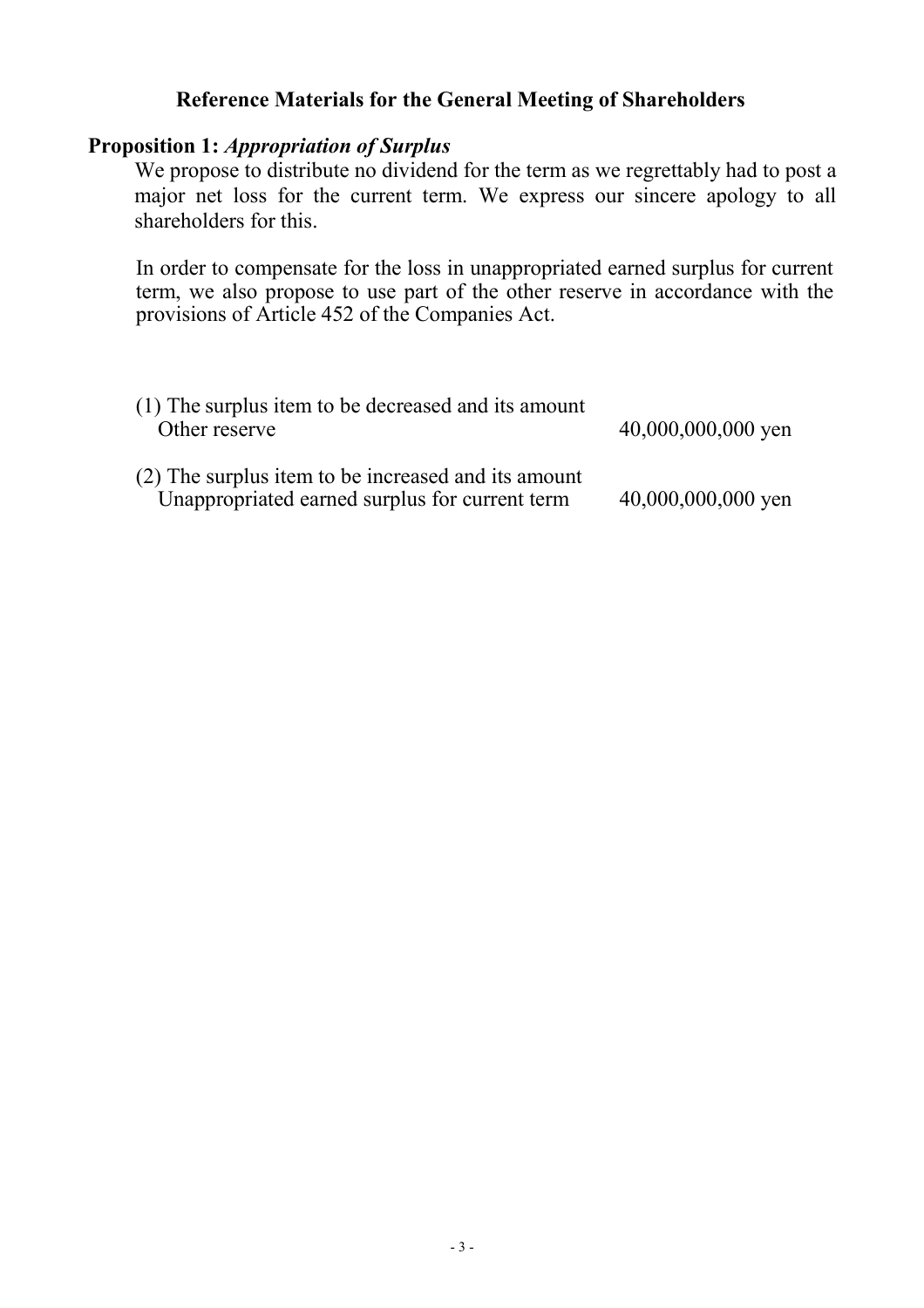## **Reference Materials for the General Meeting of Shareholders**

## **Proposition 1:** *Appropriation of Surplus*

We propose to distribute no dividend for the term as we regrettably had to post a major net loss for the current term. We express our sincere apology to all shareholders for this.

In order to compensate for the loss in unappropriated earned surplus for current term, we also propose to use part of the other reserve in accordance with the provisions of Article 452 of the Companies Act.

| (1) The surplus item to be decreased and its amount<br>Other reserve                                  | $40,000,000,000$ yen |
|-------------------------------------------------------------------------------------------------------|----------------------|
| (2) The surplus item to be increased and its amount<br>Unappropriated earned surplus for current term | 40,000,000,000 yen   |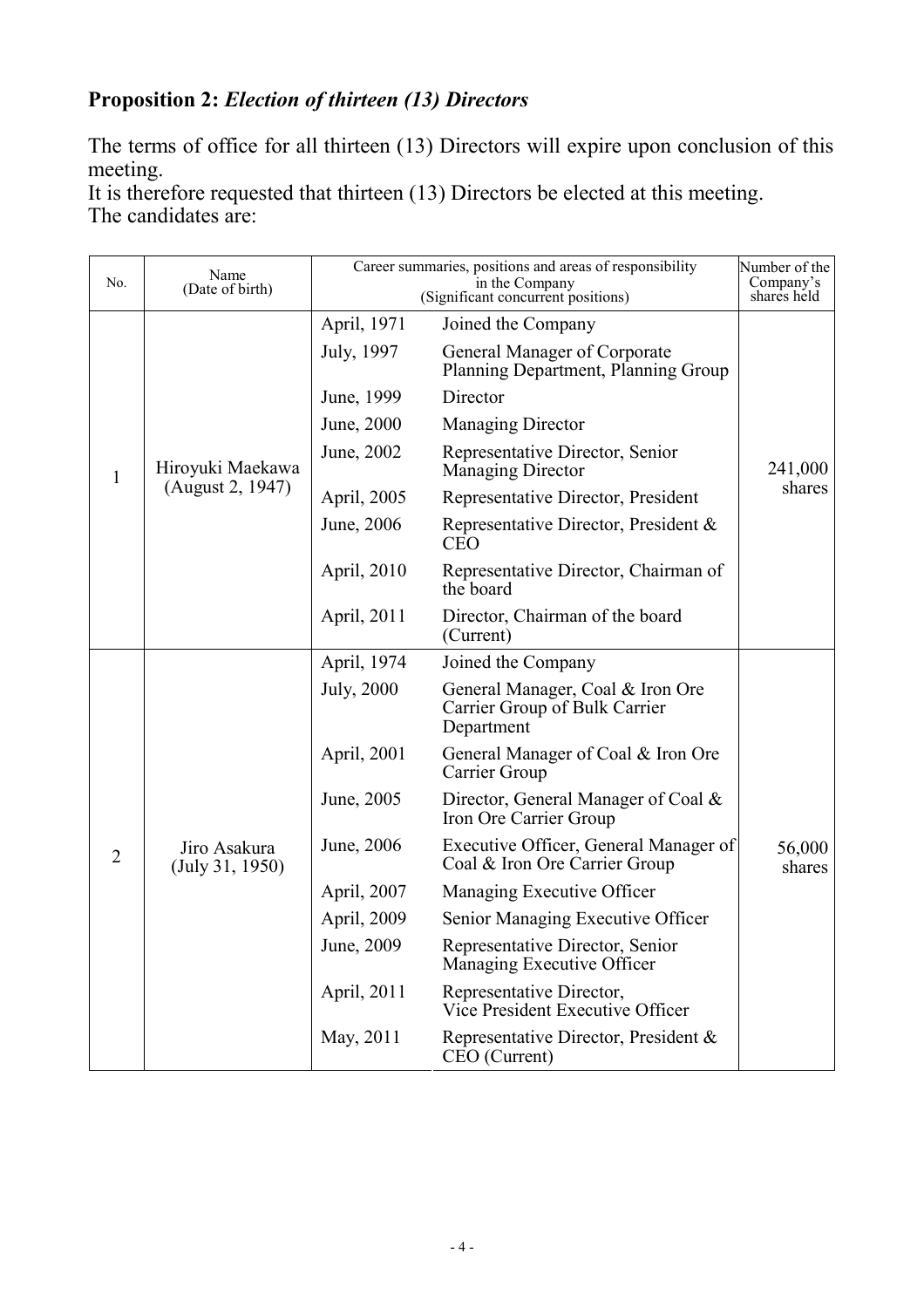# **Proposition 2:** *Election of thirteen (13) Directors*

The terms of office for all thirteen (13) Directors will expire upon conclusion of this meeting.

It is therefore requested that thirteen (13) Directors be elected at this meeting. The candidates are:

| No.            | Name<br>(Date of birth)         |                           | Career summaries, positions and areas of responsibility<br>in the Company                 | Number of the<br>Company's |
|----------------|---------------------------------|---------------------------|-------------------------------------------------------------------------------------------|----------------------------|
|                |                                 |                           | (Significant concurrent positions)                                                        | shares held                |
|                |                                 | April, 1971<br>July, 1997 | Joined the Company<br>General Manager of Corporate<br>Planning Department, Planning Group |                            |
|                |                                 | June, 1999                | Director                                                                                  |                            |
|                |                                 | June, 2000                | <b>Managing Director</b>                                                                  |                            |
| $\mathbf{1}$   | Hiroyuki Maekawa                | June, 2002                | Representative Director, Senior<br>Managing Director                                      | 241,000                    |
|                | (August 2, 1947)                | April, 2005               | Representative Director, President                                                        | shares                     |
|                |                                 | June, 2006                | Representative Director, President &<br><b>CEO</b>                                        |                            |
|                |                                 | April, 2010               | Representative Director, Chairman of<br>the board                                         |                            |
|                |                                 | April, 2011               | Director, Chairman of the board<br>(Current)                                              |                            |
|                |                                 | April, 1974               | Joined the Company                                                                        |                            |
|                | Jiro Asakura<br>(July 31, 1950) | <b>July</b> , 2000        | General Manager, Coal & Iron Ore<br>Carrier Group of Bulk Carrier<br>Department           |                            |
|                |                                 | April, 2001               | General Manager of Coal & Iron Ore<br>Carrier Group                                       |                            |
|                |                                 | June, 2005                | Director, General Manager of Coal &<br>Iron Ore Carrier Group                             |                            |
| $\overline{2}$ |                                 | June, 2006                | Executive Officer, General Manager of<br>Coal & Iron Ore Carrier Group                    | 56,000<br>shares           |
|                |                                 | April, 2007               | Managing Executive Officer                                                                |                            |
|                |                                 | April, 2009               | Senior Managing Executive Officer                                                         |                            |
|                |                                 | June, 2009                | Representative Director, Senior<br>Managing Executive Officer                             |                            |
|                |                                 | April, 2011               | Representative Director,<br>Vice President Executive Officer                              |                            |
|                |                                 | May, 2011                 | Representative Director, President &<br>CEO (Current)                                     |                            |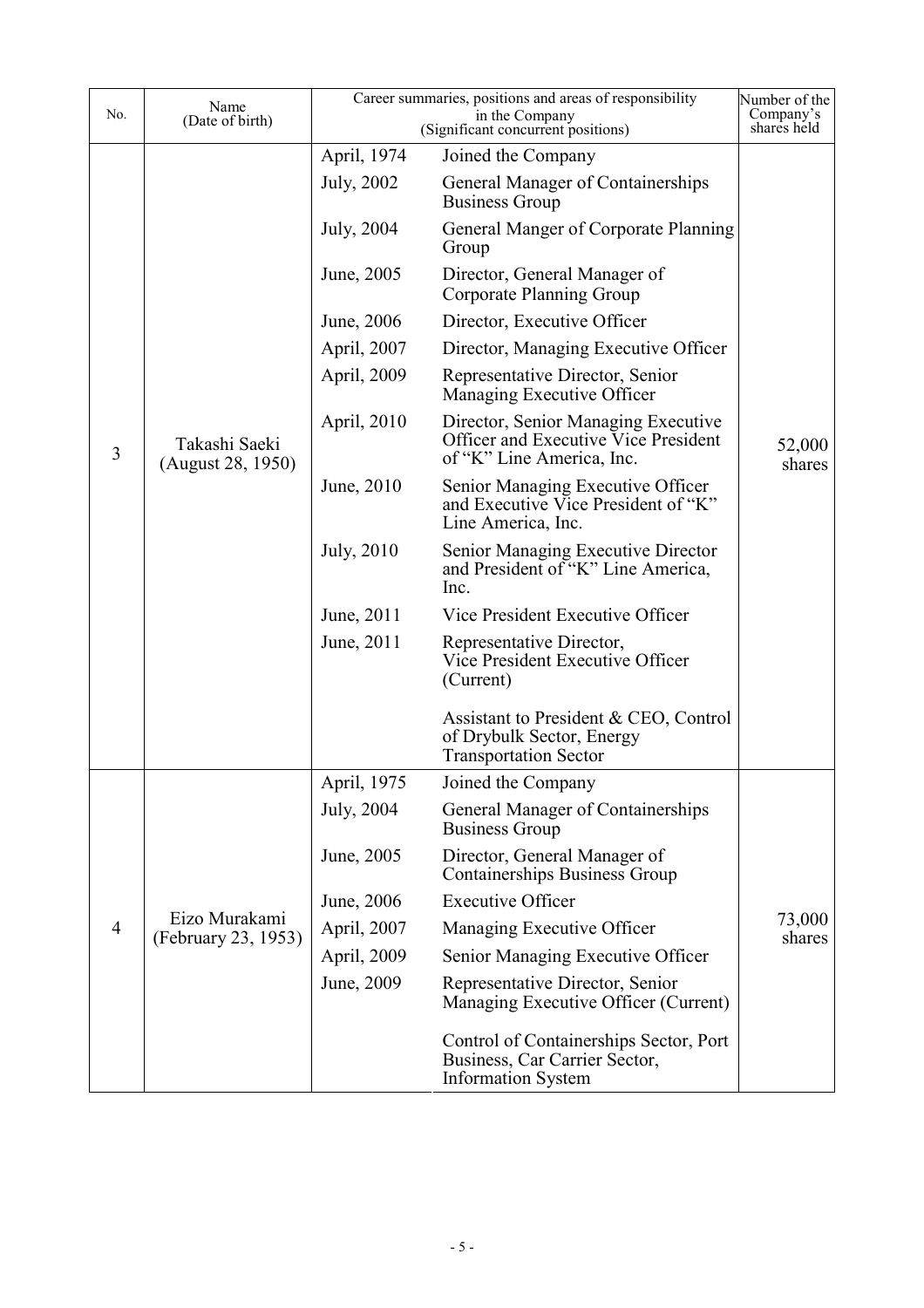| No.            | Name<br>(Date of birth)              |                    | Career summaries, positions and areas of responsibility<br>in the Company<br>(Significant concurrent positions) | Number of the<br>Company's<br>shares held |
|----------------|--------------------------------------|--------------------|-----------------------------------------------------------------------------------------------------------------|-------------------------------------------|
|                |                                      | April, 1974        | Joined the Company                                                                                              |                                           |
|                |                                      | July, 2002         | General Manager of Containerships<br><b>Business Group</b>                                                      |                                           |
|                |                                      | July, 2004         | General Manger of Corporate Planning<br>Group                                                                   |                                           |
|                |                                      | June, 2005         | Director, General Manager of<br>Corporate Planning Group                                                        |                                           |
|                |                                      | June, 2006         | Director, Executive Officer                                                                                     |                                           |
|                |                                      | April, 2007        | Director, Managing Executive Officer                                                                            |                                           |
|                |                                      | April, 2009        | Representative Director, Senior<br>Managing Executive Officer                                                   |                                           |
| 3              | Takashi Saeki<br>(August 28, 1950)   | April, 2010        | Director, Senior Managing Executive<br>Officer and Executive Vice President<br>of "K" Line America, Inc.        | 52,000<br>shares                          |
|                |                                      | June, 2010         | Senior Managing Executive Officer<br>and Executive Vice President of "K"<br>Line America, Inc.                  |                                           |
|                |                                      | <b>July</b> , 2010 | Senior Managing Executive Director<br>and President of "K" Line America,<br>Inc.                                |                                           |
|                |                                      | June, 2011         | Vice President Executive Officer                                                                                |                                           |
|                |                                      | June, 2011         | Representative Director,<br>Vice President Executive Officer<br>(Current)                                       |                                           |
|                |                                      |                    | Assistant to President & CEO, Control<br>of Drybulk Sector, Energy<br><b>Transportation Sector</b>              |                                           |
|                |                                      | April, 1975        | Joined the Company                                                                                              |                                           |
|                |                                      | July, 2004         | General Manager of Containerships<br><b>Business Group</b>                                                      |                                           |
|                |                                      | June, 2005         | Director, General Manager of<br><b>Containerships Business Group</b>                                            |                                           |
|                |                                      | June, 2006         | <b>Executive Officer</b>                                                                                        |                                           |
| $\overline{4}$ | Eizo Murakami<br>(February 23, 1953) | April, 2007        | Managing Executive Officer                                                                                      | 73,000<br>shares                          |
|                |                                      | April, 2009        | Senior Managing Executive Officer                                                                               |                                           |
|                |                                      | June, 2009         | Representative Director, Senior<br>Managing Executive Officer (Current)                                         |                                           |
|                |                                      |                    | Control of Containerships Sector, Port<br>Business, Car Carrier Sector,<br><b>Information System</b>            |                                           |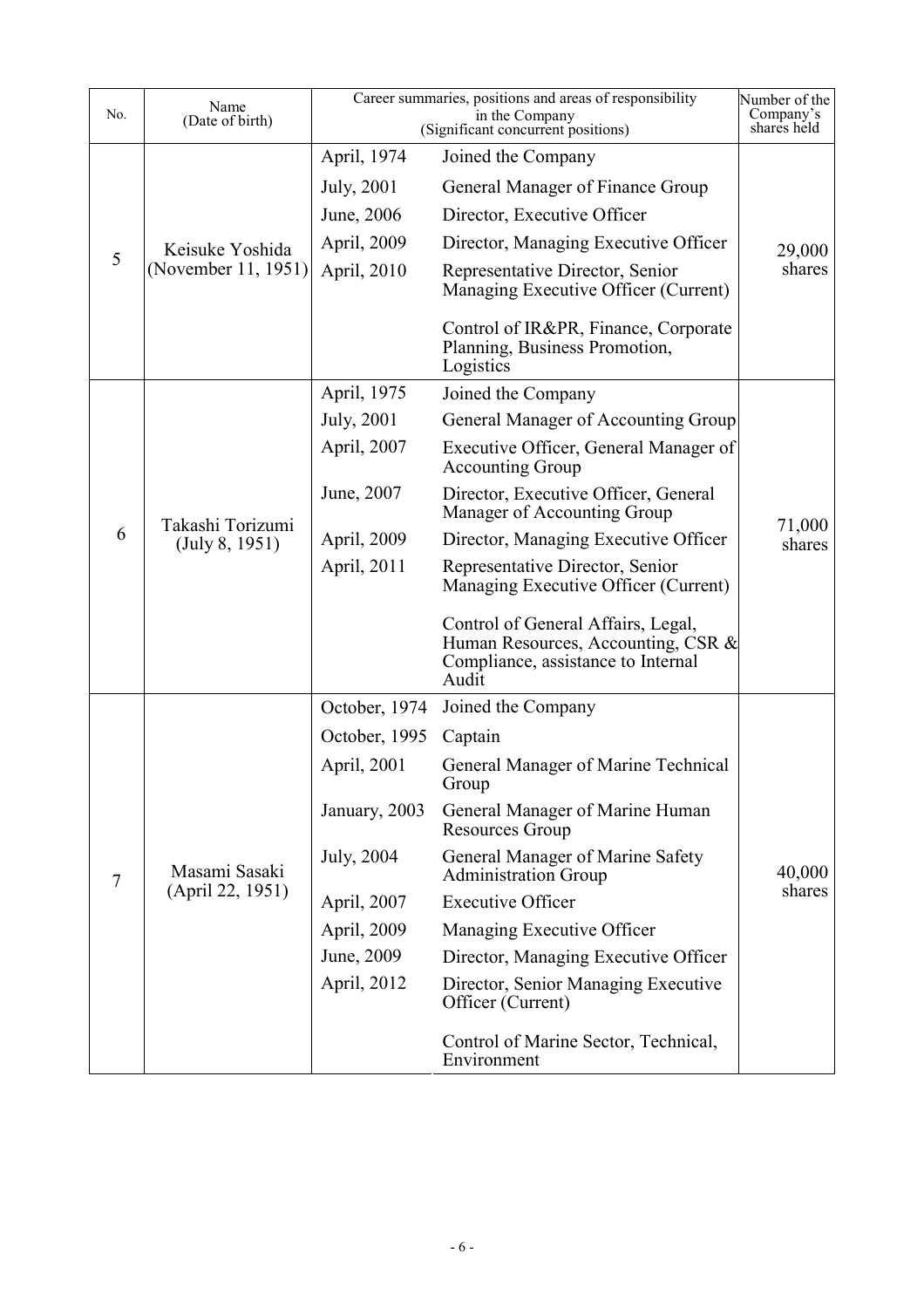| No.            | Name<br>(Date of birth)            |                    | Career summaries, positions and areas of responsibility<br>in the Company<br>(Significant concurrent positions)         | Number of the<br>Company's<br>shares held |
|----------------|------------------------------------|--------------------|-------------------------------------------------------------------------------------------------------------------------|-------------------------------------------|
|                |                                    | April, 1974        | Joined the Company                                                                                                      |                                           |
|                |                                    | July, 2001         | General Manager of Finance Group                                                                                        |                                           |
|                |                                    | June, 2006         | Director, Executive Officer                                                                                             |                                           |
|                | Keisuke Yoshida                    | April, 2009        | Director, Managing Executive Officer                                                                                    | 29,000                                    |
| 5              | (November 11, 1951)                | April, 2010        | Representative Director, Senior<br>Managing Executive Officer (Current)                                                 | shares                                    |
|                |                                    |                    | Control of IR&PR, Finance, Corporate<br>Planning, Business Promotion,<br>Logistics                                      |                                           |
|                |                                    | April, 1975        | Joined the Company                                                                                                      |                                           |
|                |                                    | <b>July</b> , 2001 | General Manager of Accounting Group                                                                                     |                                           |
|                |                                    | April, 2007        | Executive Officer, General Manager of<br><b>Accounting Group</b>                                                        |                                           |
|                | Takashi Torizumi<br>(July 8, 1951) | June, 2007         | Director, Executive Officer, General<br>Manager of Accounting Group                                                     |                                           |
| 6              |                                    | April, 2009        | Director, Managing Executive Officer                                                                                    | 71,000<br>shares                          |
|                |                                    | April, 2011        | Representative Director, Senior<br>Managing Executive Officer (Current)                                                 |                                           |
|                |                                    |                    | Control of General Affairs, Legal,<br>Human Resources, Accounting, CSR &<br>Compliance, assistance to Internal<br>Audit |                                           |
|                |                                    | October, 1974      | Joined the Company                                                                                                      |                                           |
|                |                                    | October, 1995      | Captain                                                                                                                 |                                           |
|                |                                    | April, 2001        | General Manager of Marine Technical<br>Group                                                                            |                                           |
|                |                                    | January, 2003      | General Manager of Marine Human<br><b>Resources Group</b>                                                               |                                           |
| $\overline{7}$ | Masami Sasaki                      | July, 2004         | General Manager of Marine Safety<br><b>Administration Group</b>                                                         | 40,000                                    |
|                | (April 22, 1951)                   | April, 2007        | <b>Executive Officer</b>                                                                                                | shares                                    |
|                |                                    | April, 2009        | Managing Executive Officer                                                                                              |                                           |
|                |                                    | June, 2009         | Director, Managing Executive Officer                                                                                    |                                           |
|                |                                    | April, 2012        | Director, Senior Managing Executive<br>Officer (Current)                                                                |                                           |
|                |                                    |                    | Control of Marine Sector, Technical,<br>Environment                                                                     |                                           |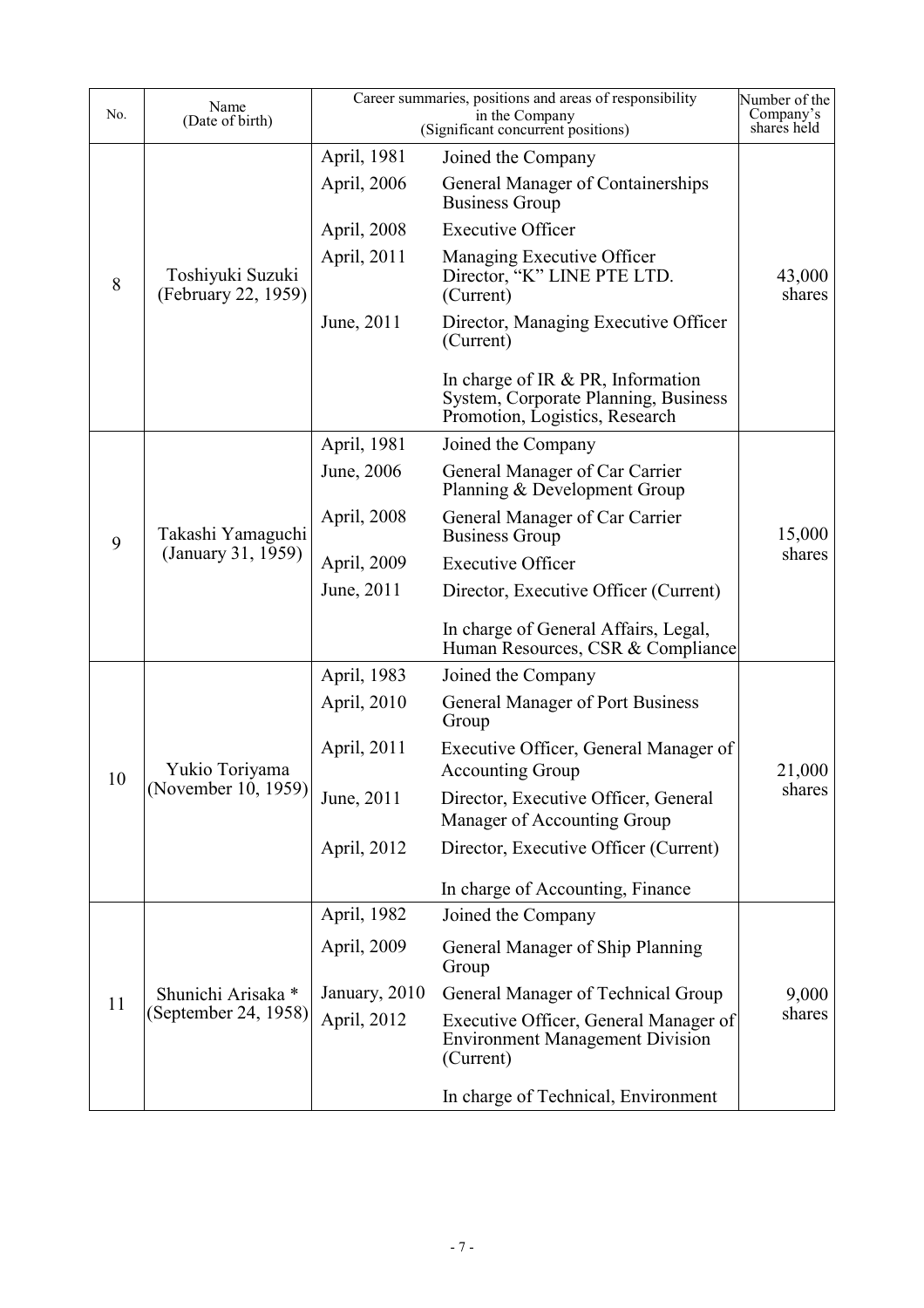| No. | Name<br>(Date of birth)                 |               | Career summaries, positions and areas of responsibility<br>in the Company<br>(Significant concurrent positions) | Number of the<br>Company's<br>shares held |
|-----|-----------------------------------------|---------------|-----------------------------------------------------------------------------------------------------------------|-------------------------------------------|
|     |                                         | April, 1981   | Joined the Company                                                                                              |                                           |
|     |                                         | April, 2006   | General Manager of Containerships<br><b>Business Group</b>                                                      |                                           |
|     |                                         | April, 2008   | <b>Executive Officer</b>                                                                                        |                                           |
| 8   | Toshiyuki Suzuki<br>(February 22, 1959) | April, 2011   | Managing Executive Officer<br>Director, "K" LINE PTE LTD.<br>(Current)                                          | 43,000<br>shares                          |
|     |                                         | June, 2011    | Director, Managing Executive Officer<br>(Current)                                                               |                                           |
|     |                                         |               | In charge of IR $& PR$ , Information<br>System, Corporate Planning, Business<br>Promotion, Logistics, Research  |                                           |
|     |                                         | April, 1981   | Joined the Company                                                                                              |                                           |
|     |                                         | June, 2006    | General Manager of Car Carrier<br>Planning & Development Group                                                  |                                           |
| 9   | Takashi Yamaguchi<br>(January 31, 1959) | April, 2008   | General Manager of Car Carrier<br><b>Business Group</b>                                                         | 15,000                                    |
|     |                                         | April, 2009   | <b>Executive Officer</b>                                                                                        | shares                                    |
|     |                                         | June, 2011    | Director, Executive Officer (Current)                                                                           |                                           |
|     |                                         |               | In charge of General Affairs, Legal,<br>Human Resources, CSR & Compliance                                       |                                           |
|     |                                         | April, 1983   | Joined the Company                                                                                              |                                           |
|     |                                         | April, 2010   | General Manager of Port Business<br>Group                                                                       |                                           |
| 10  | Yukio Toriyama<br>(November 10, 1959)   | April, 2011   | Executive Officer, General Manager of<br><b>Accounting Group</b>                                                | 21,000                                    |
|     |                                         | June, 2011    | Director, Executive Officer, General<br>Manager of Accounting Group                                             | shares                                    |
|     |                                         | April, 2012   | Director, Executive Officer (Current)                                                                           |                                           |
|     |                                         |               | In charge of Accounting, Finance                                                                                |                                           |
|     |                                         | April, 1982   | Joined the Company                                                                                              |                                           |
|     |                                         | April, 2009   | General Manager of Ship Planning<br>Group                                                                       |                                           |
|     | Shunichi Arisaka *                      | January, 2010 | General Manager of Technical Group                                                                              | 9,000                                     |
| 11  | (September 24, 1958)                    | April, 2012   | Executive Officer, General Manager of<br><b>Environment Management Division</b><br>(Current)                    | shares                                    |
|     |                                         |               | In charge of Technical, Environment                                                                             |                                           |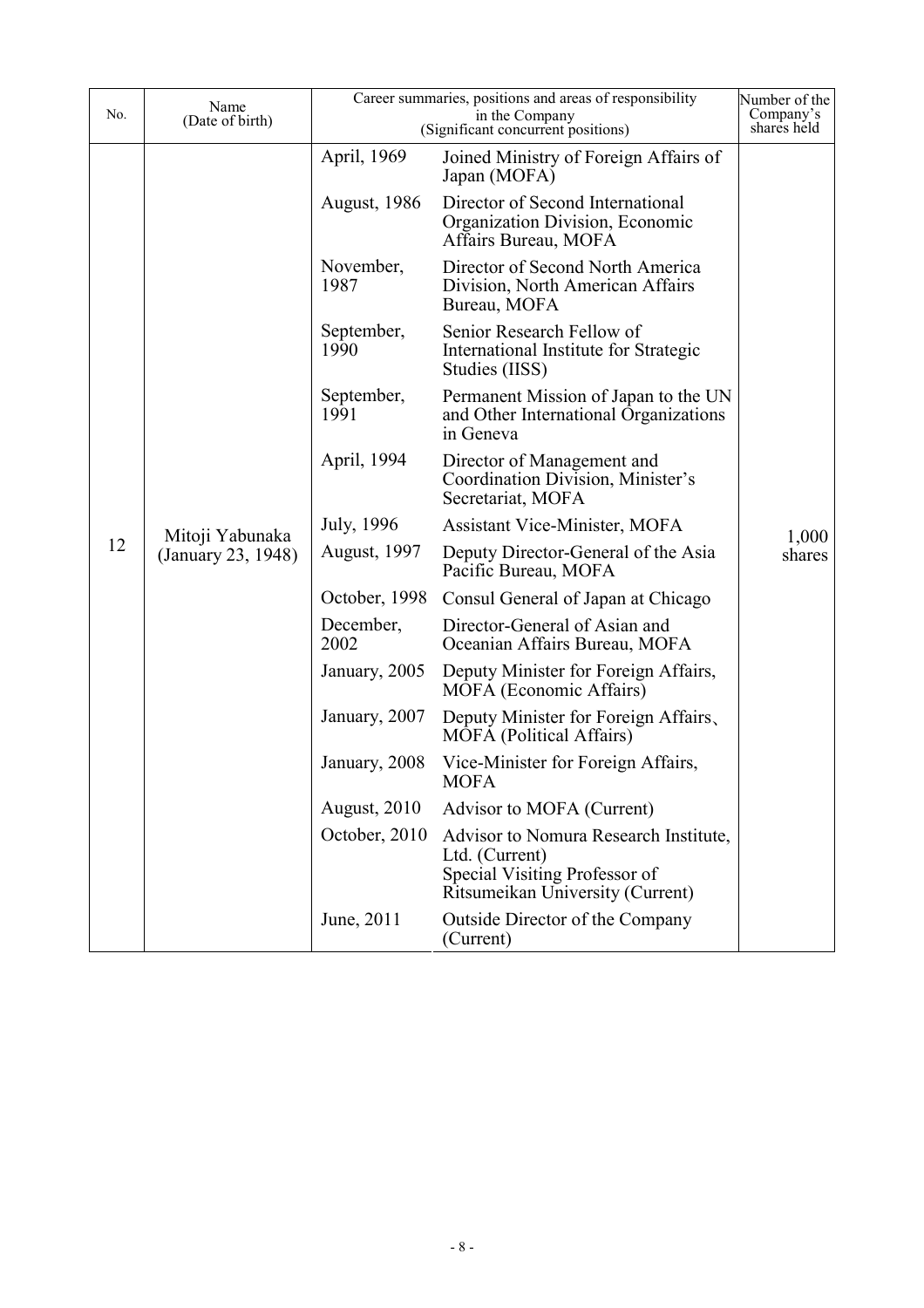| No. | Name<br>(Date of birth)               |                      | Career summaries, positions and areas of responsibility<br>in the Company<br>(Significant concurrent positions)              | Number of the<br>Company's<br>shares held |
|-----|---------------------------------------|----------------------|------------------------------------------------------------------------------------------------------------------------------|-------------------------------------------|
|     |                                       | April, 1969          | Joined Ministry of Foreign Affairs of<br>Japan (MOFA)                                                                        |                                           |
|     |                                       | <b>August</b> , 1986 | Director of Second International<br>Organization Division, Economic<br>Affairs Bureau, MOFA                                  |                                           |
|     |                                       | November,<br>1987    | Director of Second North America<br>Division, North American Affairs<br>Bureau, MOFA                                         |                                           |
|     |                                       | September,<br>1990   | Senior Research Fellow of<br>International Institute for Strategic<br>Studies (IISS)                                         |                                           |
|     | Mitoji Yabunaka<br>(January 23, 1948) | September,<br>1991   | Permanent Mission of Japan to the UN<br>and Other International Organizations<br>in Geneva                                   | 1,000                                     |
|     |                                       | April, 1994          | Director of Management and<br>Coordination Division, Minister's<br>Secretariat, MOFA                                         |                                           |
|     |                                       | July, 1996           | <b>Assistant Vice-Minister, MOFA</b>                                                                                         |                                           |
| 12  |                                       | <b>August</b> , 1997 | Deputy Director-General of the Asia<br>Pacific Bureau, MOFA                                                                  | shares                                    |
|     |                                       | October, 1998        | Consul General of Japan at Chicago                                                                                           |                                           |
|     |                                       | December,<br>2002    | Director-General of Asian and<br>Oceanian Affairs Bureau, MOFA                                                               |                                           |
|     |                                       | January, 2005        | Deputy Minister for Foreign Affairs,<br><b>MOFA</b> (Economic Affairs)                                                       |                                           |
|     |                                       | January, 2007        | Deputy Minister for Foreign Affairs,<br><b>MOFA</b> (Political Affairs)                                                      |                                           |
|     |                                       | January, 2008        | Vice-Minister for Foreign Affairs,<br><b>MOFA</b>                                                                            |                                           |
|     |                                       | <b>August</b> , 2010 | Advisor to MOFA (Current)                                                                                                    |                                           |
|     |                                       | October, 2010        | Advisor to Nomura Research Institute,<br>Ltd. (Current)<br>Special Visiting Professor of<br>Ritsumeikan University (Current) |                                           |
|     |                                       | June, 2011           | <b>Outside Director of the Company</b><br>(Current)                                                                          |                                           |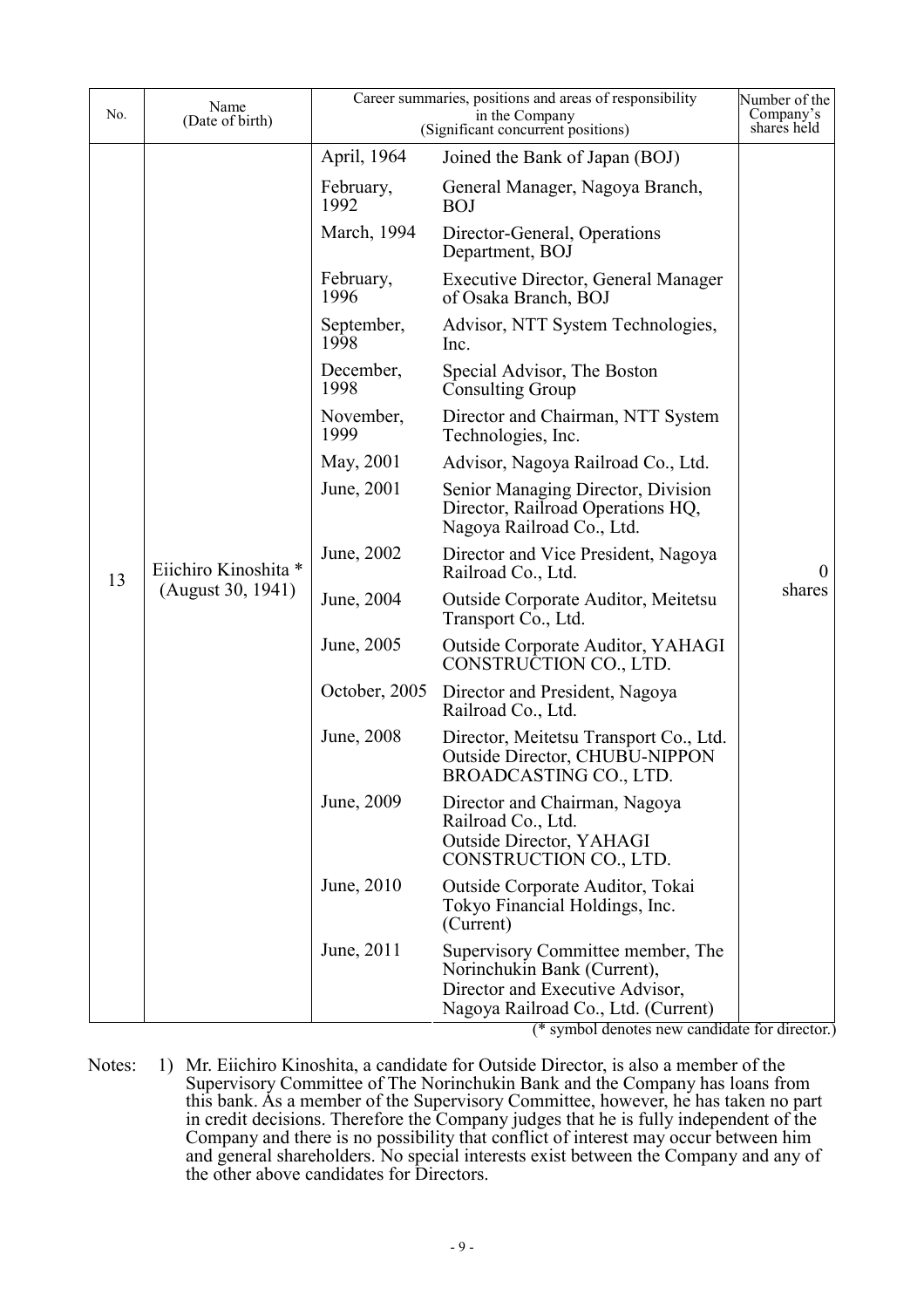| No. | Name<br>(Date of birth)                   |                    | Career summaries, positions and areas of responsibility<br>in the Company<br>(Significant concurrent positions)                            | Number of the<br>Company's<br>shares held |
|-----|-------------------------------------------|--------------------|--------------------------------------------------------------------------------------------------------------------------------------------|-------------------------------------------|
|     |                                           | April, 1964        | Joined the Bank of Japan (BOJ)                                                                                                             |                                           |
|     |                                           | February,<br>1992  | General Manager, Nagoya Branch,<br><b>BOJ</b>                                                                                              |                                           |
|     |                                           | March, 1994        | Director-General, Operations<br>Department, BOJ                                                                                            |                                           |
|     |                                           | February,<br>1996  | <b>Executive Director, General Manager</b><br>of Osaka Branch, BOJ                                                                         |                                           |
|     |                                           | September,<br>1998 | Advisor, NTT System Technologies,<br>Inc.                                                                                                  |                                           |
|     |                                           | December,<br>1998  | Special Advisor, The Boston<br><b>Consulting Group</b>                                                                                     |                                           |
|     |                                           | November,<br>1999  | Director and Chairman, NTT System<br>Technologies, Inc.                                                                                    |                                           |
|     |                                           | May, 2001          | Advisor, Nagoya Railroad Co., Ltd.                                                                                                         |                                           |
|     | Eiichiro Kinoshita *<br>(August 30, 1941) | June, 2001         | Senior Managing Director, Division<br>Director, Railroad Operations HQ,<br>Nagoya Railroad Co., Ltd.                                       | $\theta$                                  |
| 13  |                                           | June, 2002         | Director and Vice President, Nagoya<br>Railroad Co., Ltd.                                                                                  |                                           |
|     |                                           | June, 2004         | Outside Corporate Auditor, Meitetsu<br>Transport Co., Ltd.                                                                                 | shares                                    |
|     |                                           | June, 2005         | <b>Outside Corporate Auditor, YAHAGI</b><br>CONSTRUCTION CO., LTD.                                                                         |                                           |
|     |                                           | October, 2005      | Director and President, Nagoya<br>Railroad Co., Ltd.                                                                                       |                                           |
|     |                                           | June, 2008         | Director, Meitetsu Transport Co., Ltd.<br><b>Outside Director, CHUBU-NIPPON</b><br>BROADCASTING CO., LTD                                   |                                           |
|     |                                           | June, 2009         | Director and Chairman, Nagoya<br>Railroad Co., Ltd.<br>Outside Director, YAHAGI<br>CONSTRUCTION CO., LTD.                                  |                                           |
|     |                                           | June, 2010         | Outside Corporate Auditor, Tokai<br>Tokyo Financial Holdings, Inc.<br>(Current)                                                            |                                           |
|     |                                           | June, 2011         | Supervisory Committee member, The<br>Norinchukin Bank (Current),<br>Director and Executive Advisor,<br>Nagoya Railroad Co., Ltd. (Current) |                                           |

(\* symbol denotes new candidate for director.)

Notes: 1) Mr. Eiichiro Kinoshita, a candidate for Outside Director, is also a member of the Supervisory Committee of The Norinchukin Bank and the Company has loans from this bank. As a member of the Supervisory Committee, however, he has taken no part in credit decisions. Therefore the Company judges that he is fully independent of the Company and there is no possibility that conflict of interest may occur between him and general shareholders. No special interests exist between the Company and any of the other above candidates for Directors.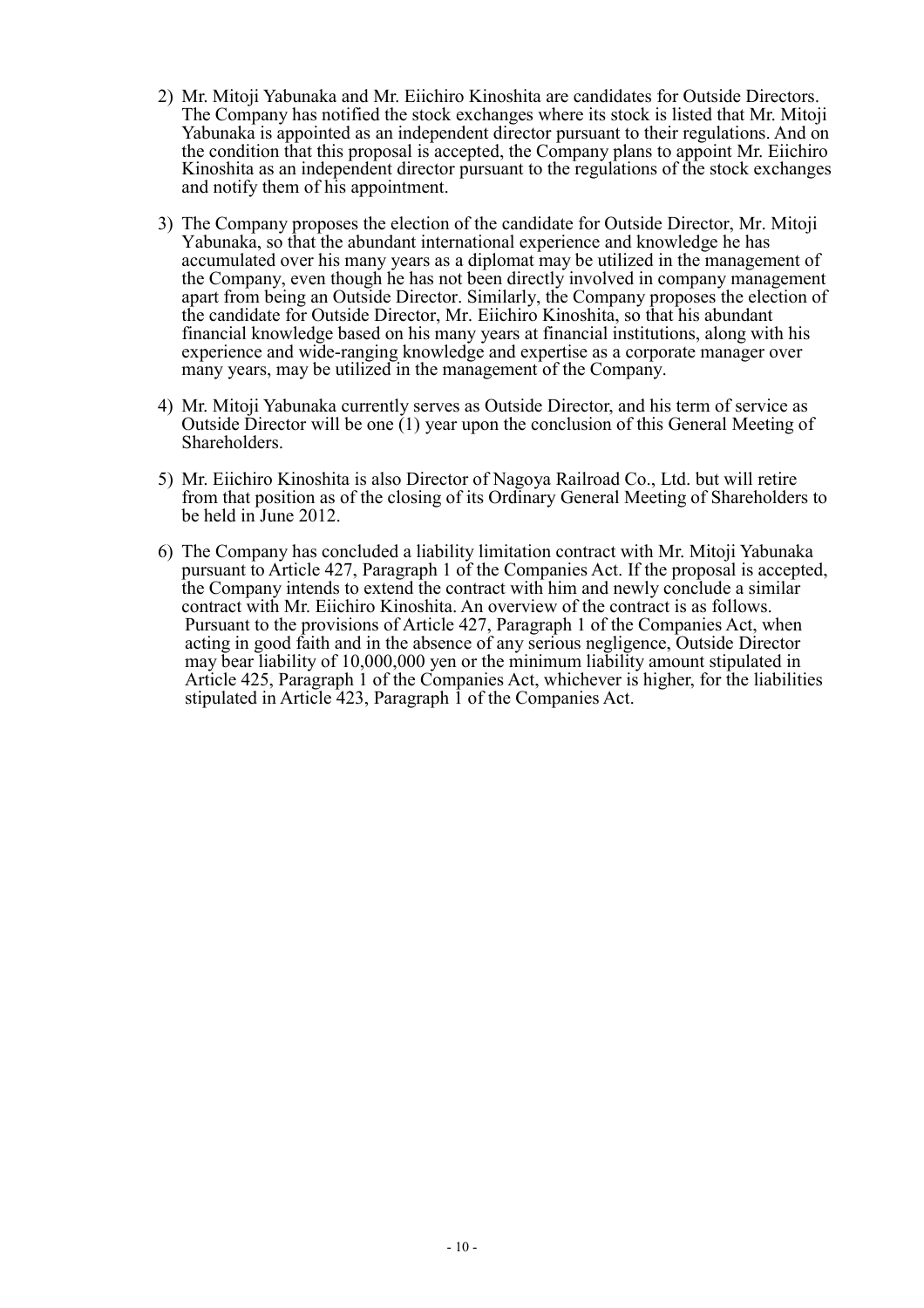- 2) Mr. Mitoji Yabunaka and Mr. Eiichiro Kinoshita are candidates for Outside Directors. The Company has notified the stock exchanges where its stock is listed that Mr. Mitoji Yabunaka is appointed as an independent director pursuant to their regulations. And on the condition that this proposal is accepted, the Company plans to appoint Mr. Eiichiro Kinoshita as an independent director pursuant to the regulations of the stock exchanges and notify them of his appointment.
- 3) The Company proposes the election of the candidate for Outside Director, Mr. Mitoji Yabunaka, so that the abundant international experience and knowledge he has accumulated over his many years as a diplomat may be utilized in the management of the Company, even though he has not been directly involved in company management apart from being an Outside Director. Similarly, the Company proposes the election of the candidate for Outside Director, Mr. Eiichiro Kinoshita, so that his abundant financial knowledge based on his many years at financial institutions, along with his experience and wide-ranging knowledge and expertise as a corporate manager over many years, may be utilized in the management of the Company.
- 4) Mr. Mitoji Yabunaka currently serves as Outside Director, and his term of service as Outside Director will be one (1) year upon the conclusion of this General Meeting of Shareholders.
- 5) Mr. Eiichiro Kinoshita is also Director of Nagoya Railroad Co., Ltd. but will retire from that position as of the closing of its Ordinary General Meeting of Shareholders to be held in June 2012.
- 6) The Company has concluded a liability limitation contract with Mr. Mitoji Yabunaka pursuant to Article 427, Paragraph 1 of the Companies Act. If the proposal is accepted, the Company intends to extend the contract with him and newly conclude a similar contract with Mr. Eiichiro Kinoshita. An overview of the contract is as follows. Pursuant to the provisions of Article 427, Paragraph 1 of the Companies Act, when acting in good faith and in the absence of any serious negligence, Outside Director may bear liability of 10,000,000 yen or the minimum liability amount stipulated in Article 425, Paragraph 1 of the Companies Act, whichever is higher, for the liabilities stipulated in Article 423, Paragraph 1 of the Companies Act.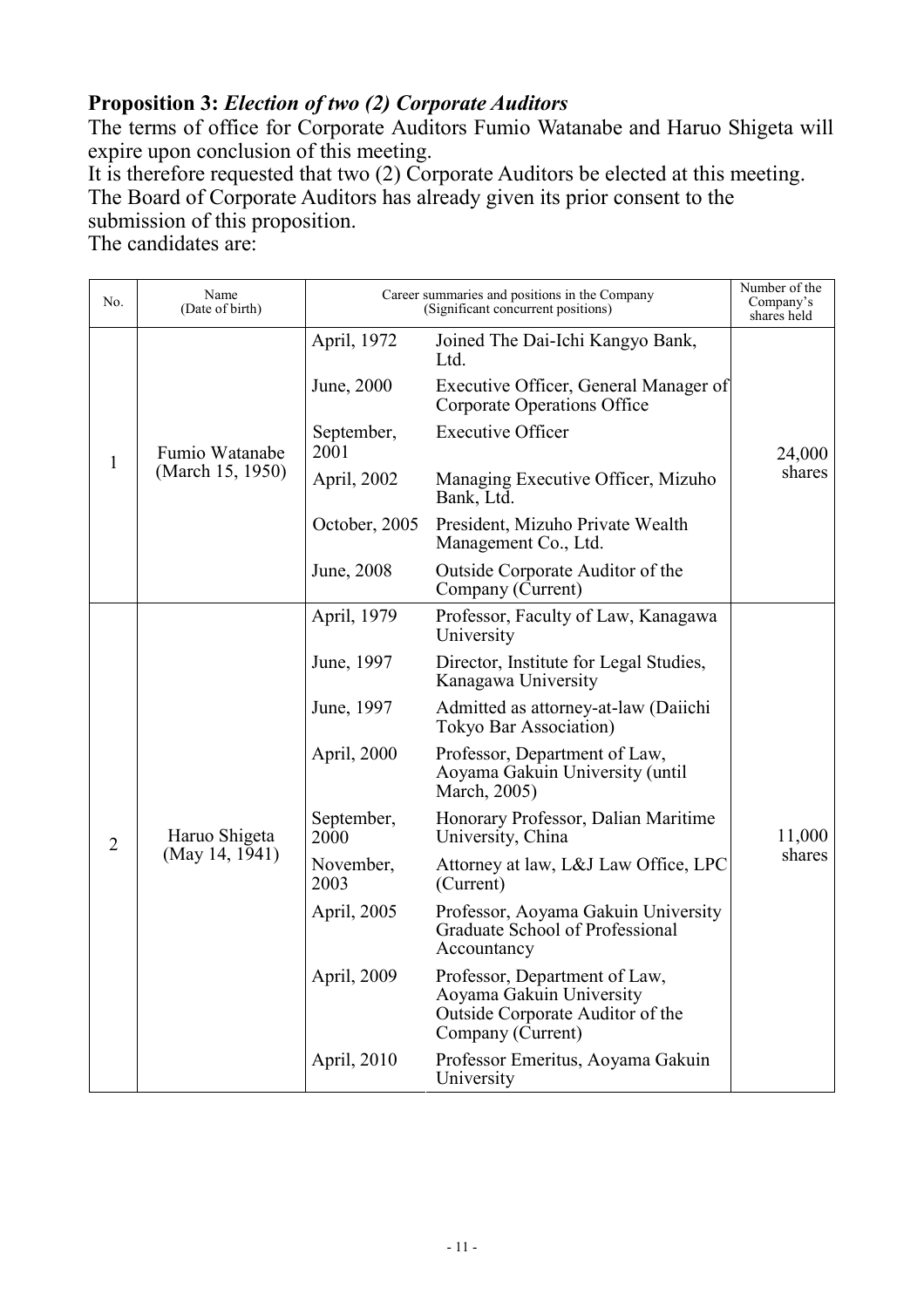## **Proposition 3:** *Election of two (2) Corporate Auditors*

The terms of office for Corporate Auditors Fumio Watanabe and Haruo Shigeta will expire upon conclusion of this meeting.

It is therefore requested that two (2) Corporate Auditors be elected at this meeting. The Board of Corporate Auditors has already given its prior consent to the submission of this proposition.

The candidates are:

| No.            | Name<br>(Date of birth)         |                    | Career summaries and positions in the Company<br>(Significant concurrent positions)                                | Number of the<br>Company's<br>shares held |
|----------------|---------------------------------|--------------------|--------------------------------------------------------------------------------------------------------------------|-------------------------------------------|
| $\mathbf{1}$   |                                 | April, 1972        | Joined The Dai-Ichi Kangyo Bank,<br>Ltd.                                                                           |                                           |
|                |                                 | June, 2000         | Executive Officer, General Manager of<br>Corporate Operations Office                                               |                                           |
|                | Fumio Watanabe                  | September,<br>2001 | <b>Executive Officer</b>                                                                                           | 24,000                                    |
|                | (March 15, 1950)                | April, 2002        | Managing Executive Officer, Mizuho<br>Bank, Ltd.                                                                   | shares                                    |
|                |                                 | October, 2005      | President, Mizuho Private Wealth<br>Management Co., Ltd.                                                           |                                           |
|                |                                 | June, 2008         | Outside Corporate Auditor of the<br>Company (Current)                                                              |                                           |
|                | Haruo Shigeta<br>(May 14, 1941) | April, 1979        | Professor, Faculty of Law, Kanagawa<br>University                                                                  |                                           |
|                |                                 | June, 1997         | Director, Institute for Legal Studies,<br>Kanagawa University                                                      |                                           |
|                |                                 | June, 1997         | Admitted as attorney-at-law (Daiichi<br>Tokyo Bar Association)                                                     |                                           |
|                |                                 | April, 2000        | Professor, Department of Law,<br>Aoyama Gakuin University (until<br>March, 2005)                                   |                                           |
| $\overline{2}$ |                                 | September,<br>2000 | Honorary Professor, Dalian Maritime<br>University, China                                                           | 11,000                                    |
|                |                                 | November,<br>2003  | Attorney at law, L&J Law Office, LPC<br>(Current)                                                                  | shares                                    |
|                |                                 | April, 2005        | Professor, Aoyama Gakuin University<br>Graduate School of Professional<br>Accountancy                              |                                           |
|                |                                 | April, 2009        | Professor, Department of Law,<br>Aoyama Gakuin University<br>Outside Corporate Auditor of the<br>Company (Current) |                                           |
|                |                                 | April, 2010        | Professor Emeritus, Aoyama Gakuin<br>University                                                                    |                                           |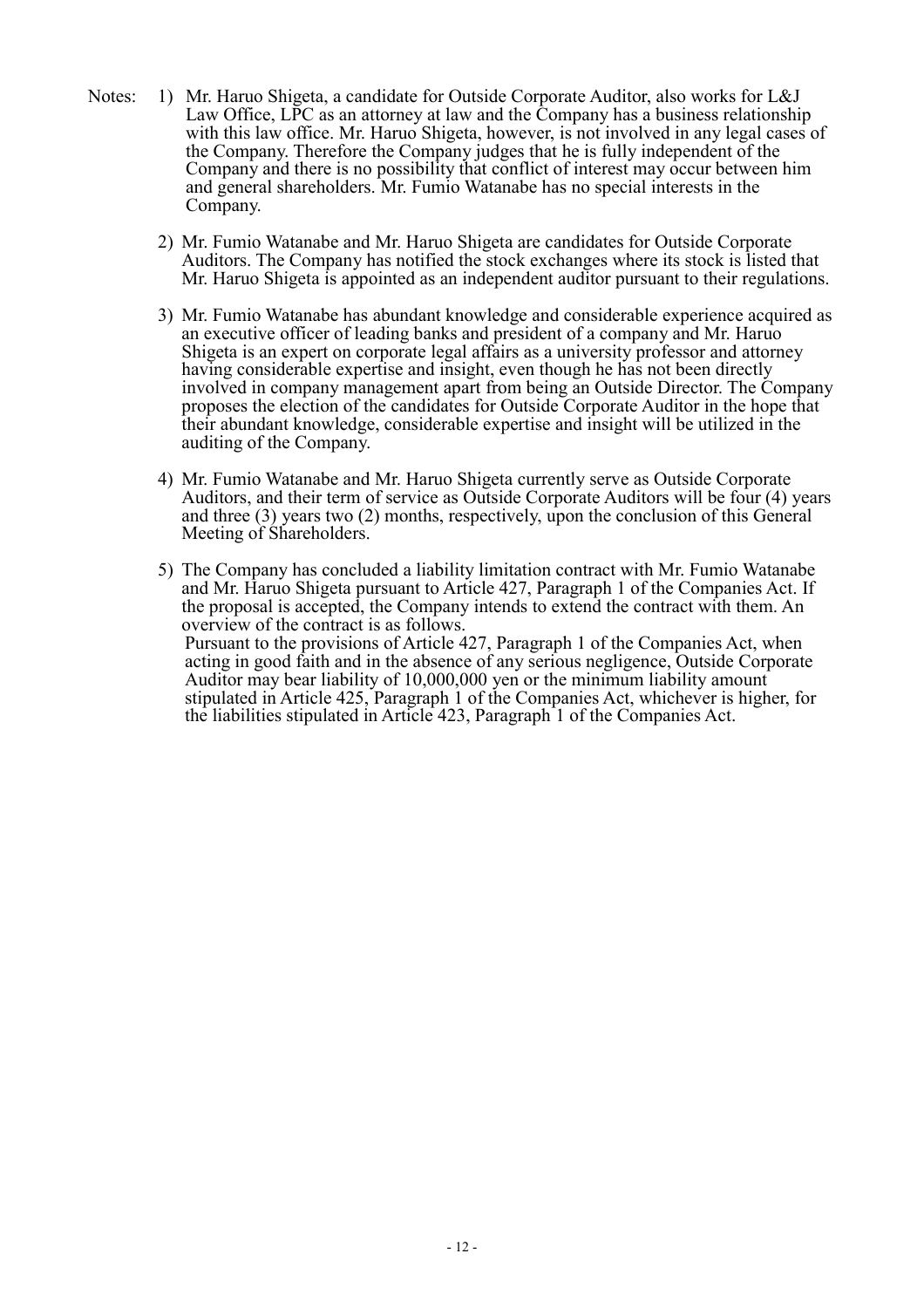- Notes: 1) Mr. Haruo Shigeta, a candidate for Outside Corporate Auditor, also works for L&J Law Office, LPC as an attorney at law and the Company has a business relationship with this law office. Mr. Haruo Shigeta, however, is not involved in any legal cases of the Company. Therefore the Company judges that he is fully independent of the Company and there is no possibility that conflict of interest may occur between him and general shareholders. Mr. Fumio Watanabe has no special interests in the Company.
	- 2) Mr. Fumio Watanabe and Mr. Haruo Shigeta are candidates for Outside Corporate Auditors. The Company has notified the stock exchanges where its stock is listed that Mr. Haruo Shigeta is appointed as an independent auditor pursuant to their regulations.
	- 3) Mr. Fumio Watanabe has abundant knowledge and considerable experience acquired as an executive officer of leading banks and president of a company and Mr. Haruo Shigeta is an expert on corporate legal affairs as a university professor and attorney having considerable expertise and insight, even though he has not been directly involved in company management apart from being an Outside Director. The Company proposes the election of the candidates for Outside Corporate Auditor in the hope that their abundant knowledge, considerable expertise and insight will be utilized in the auditing of the Company.
	- 4) Mr. Fumio Watanabe and Mr. Haruo Shigeta currently serve as Outside Corporate Auditors, and their term of service as Outside Corporate Auditors will be four (4) years and three (3) years two (2) months, respectively, upon the conclusion of this General Meeting of Shareholders.
	- 5) The Company has concluded a liability limitation contract with Mr. Fumio Watanabe and Mr. Haruo Shigeta pursuant to Article 427, Paragraph 1 of the Companies Act. If the proposal is accepted, the Company intends to extend the contract with them. An overview of the contract is as follows. Pursuant to the provisions of Article 427, Paragraph 1 of the Companies Act, when acting in good faith and in the absence of any serious negligence, Outside Corporate Auditor may bear liability of 10,000,000 yen or the minimum liability amount stipulated in Article 425, Paragraph 1 of the Companies Act, whichever is higher, for the liabilities stipulated in Article 423, Paragraph 1 of the Companies Act.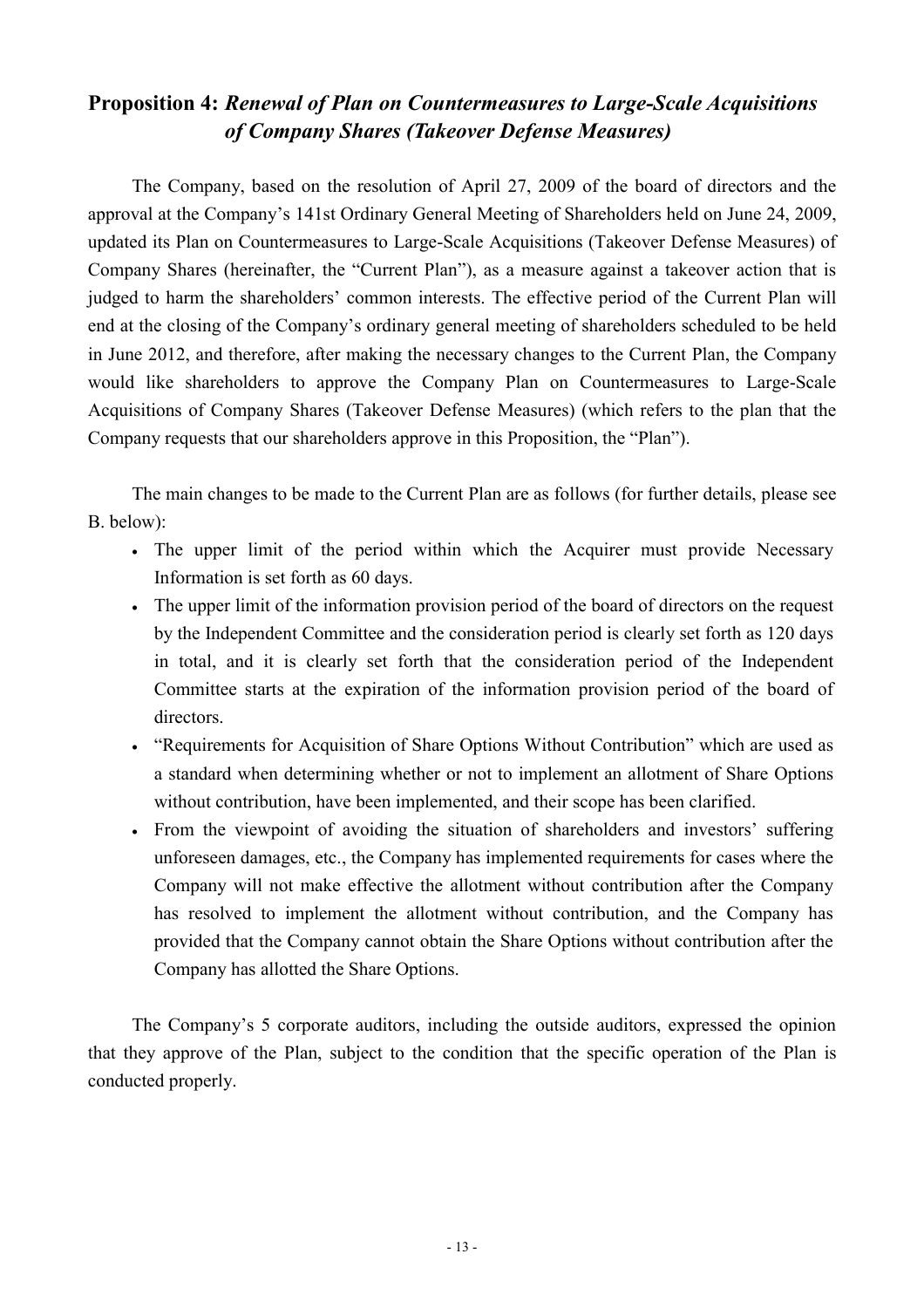## **Proposition 4:** *Renewal of Plan on Countermeasures to Large-Scale Acquisitions of Company Shares (Takeover Defense Measures)*

The Company, based on the resolution of April 27, 2009 of the board of directors and the approval at the Company's 141st Ordinary General Meeting of Shareholders held on June 24, 2009, updated its Plan on Countermeasures to Large-Scale Acquisitions (Takeover Defense Measures) of Company Shares (hereinafter, the "Current Plan"), as a measure against a takeover action that is judged to harm the shareholders' common interests. The effective period of the Current Plan will end at the closing of the Company's ordinary general meeting of shareholders scheduled to be held in June 2012, and therefore, after making the necessary changes to the Current Plan, the Company would like shareholders to approve the Company Plan on Countermeasures to Large-Scale Acquisitions of Company Shares (Takeover Defense Measures) (which refers to the plan that the Company requests that our shareholders approve in this Proposition, the "Plan").

The main changes to be made to the Current Plan are as follows (for further details, please see B. below):

- The upper limit of the period within which the Acquirer must provide Necessary Information is set forth as 60 days.
- The upper limit of the information provision period of the board of directors on the request by the Independent Committee and the consideration period is clearly set forth as 120 days in total, and it is clearly set forth that the consideration period of the Independent Committee starts at the expiration of the information provision period of the board of directors.
- "Requirements for Acquisition of Share Options Without Contribution" which are used as a standard when determining whether or not to implement an allotment of Share Options without contribution, have been implemented, and their scope has been clarified.
- From the viewpoint of avoiding the situation of shareholders and investors' suffering unforeseen damages, etc., the Company has implemented requirements for cases where the Company will not make effective the allotment without contribution after the Company has resolved to implement the allotment without contribution, and the Company has provided that the Company cannot obtain the Share Options without contribution after the Company has allotted the Share Options.

The Company's 5 corporate auditors, including the outside auditors, expressed the opinion that they approve of the Plan, subject to the condition that the specific operation of the Plan is conducted properly.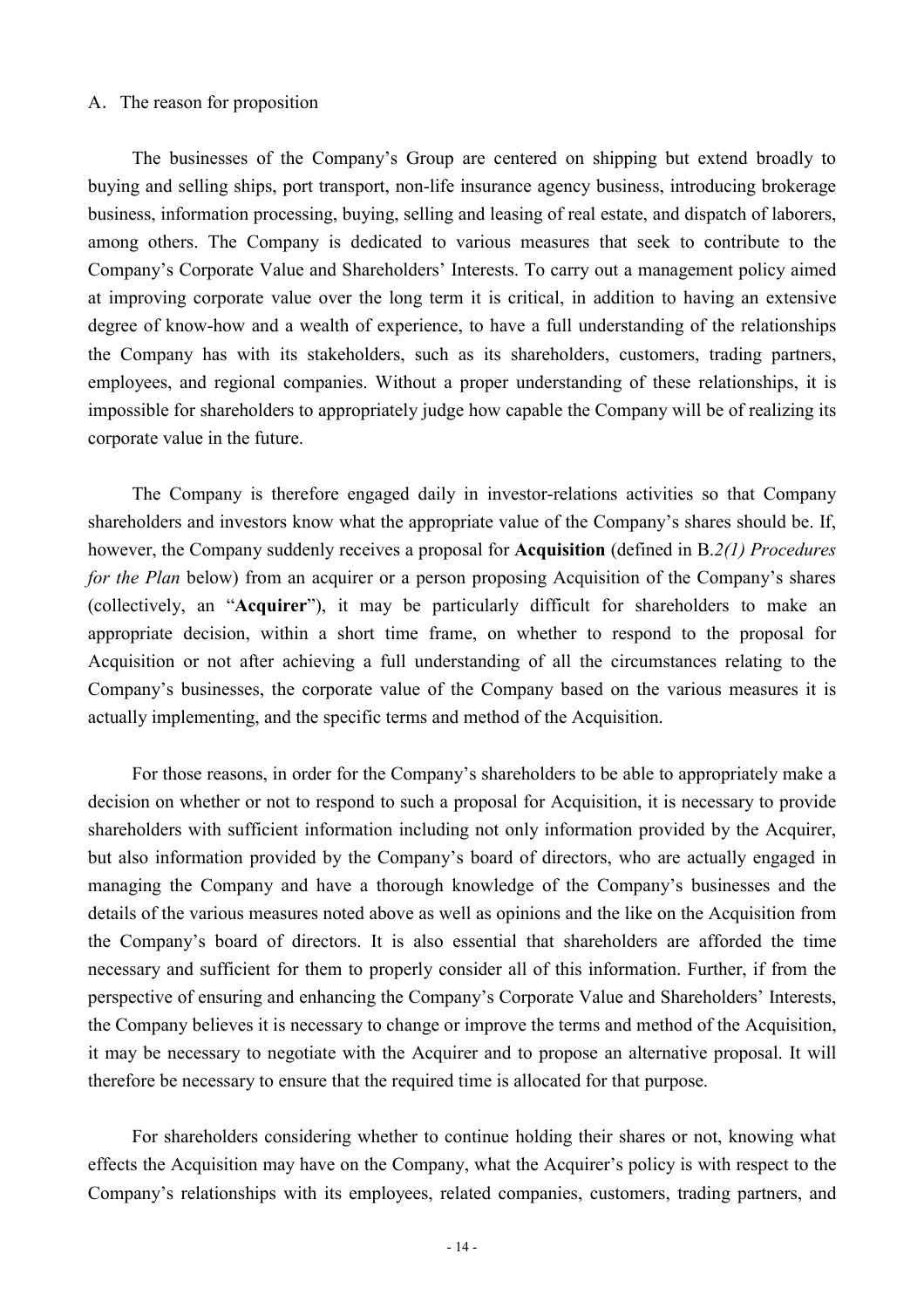#### A.The reason for proposition

The businesses of the Company's Group are centered on shipping but extend broadly to buying and selling ships, port transport, non-life insurance agency business, introducing brokerage business, information processing, buying, selling and leasing of real estate, and dispatch of laborers, among others. The Company is dedicated to various measures that seek to contribute to the Company's Corporate Value and Shareholders' Interests. To carry out a management policy aimed at improving corporate value over the long term it is critical, in addition to having an extensive degree of know-how and a wealth of experience, to have a full understanding of the relationships the Company has with its stakeholders, such as its shareholders, customers, trading partners, employees, and regional companies. Without a proper understanding of these relationships, it is impossible for shareholders to appropriately judge how capable the Company will be of realizing its corporate value in the future.

The Company is therefore engaged daily in investor-relations activities so that Company shareholders and investors know what the appropriate value of the Company's shares should be. If, however, the Company suddenly receives a proposal for **Acquisition** (defined in B.*2(1) Procedures for the Plan* below) from an acquirer or a person proposing Acquisition of the Company's shares (collectively, an "**Acquirer**"), it may be particularly difficult for shareholders to make an appropriate decision, within a short time frame, on whether to respond to the proposal for Acquisition or not after achieving a full understanding of all the circumstances relating to the Company's businesses, the corporate value of the Company based on the various measures it is actually implementing, and the specific terms and method of the Acquisition.

For those reasons, in order for the Company's shareholders to be able to appropriately make a decision on whether or not to respond to such a proposal for Acquisition, it is necessary to provide shareholders with sufficient information including not only information provided by the Acquirer, but also information provided by the Company's board of directors, who are actually engaged in managing the Company and have a thorough knowledge of the Company's businesses and the details of the various measures noted above as well as opinions and the like on the Acquisition from the Company's board of directors. It is also essential that shareholders are afforded the time necessary and sufficient for them to properly consider all of this information. Further, if from the perspective of ensuring and enhancing the Company's Corporate Value and Shareholders' Interests, the Company believes it is necessary to change or improve the terms and method of the Acquisition, it may be necessary to negotiate with the Acquirer and to propose an alternative proposal. It will therefore be necessary to ensure that the required time is allocated for that purpose.

For shareholders considering whether to continue holding their shares or not, knowing what effects the Acquisition may have on the Company, what the Acquirer's policy is with respect to the Company's relationships with its employees, related companies, customers, trading partners, and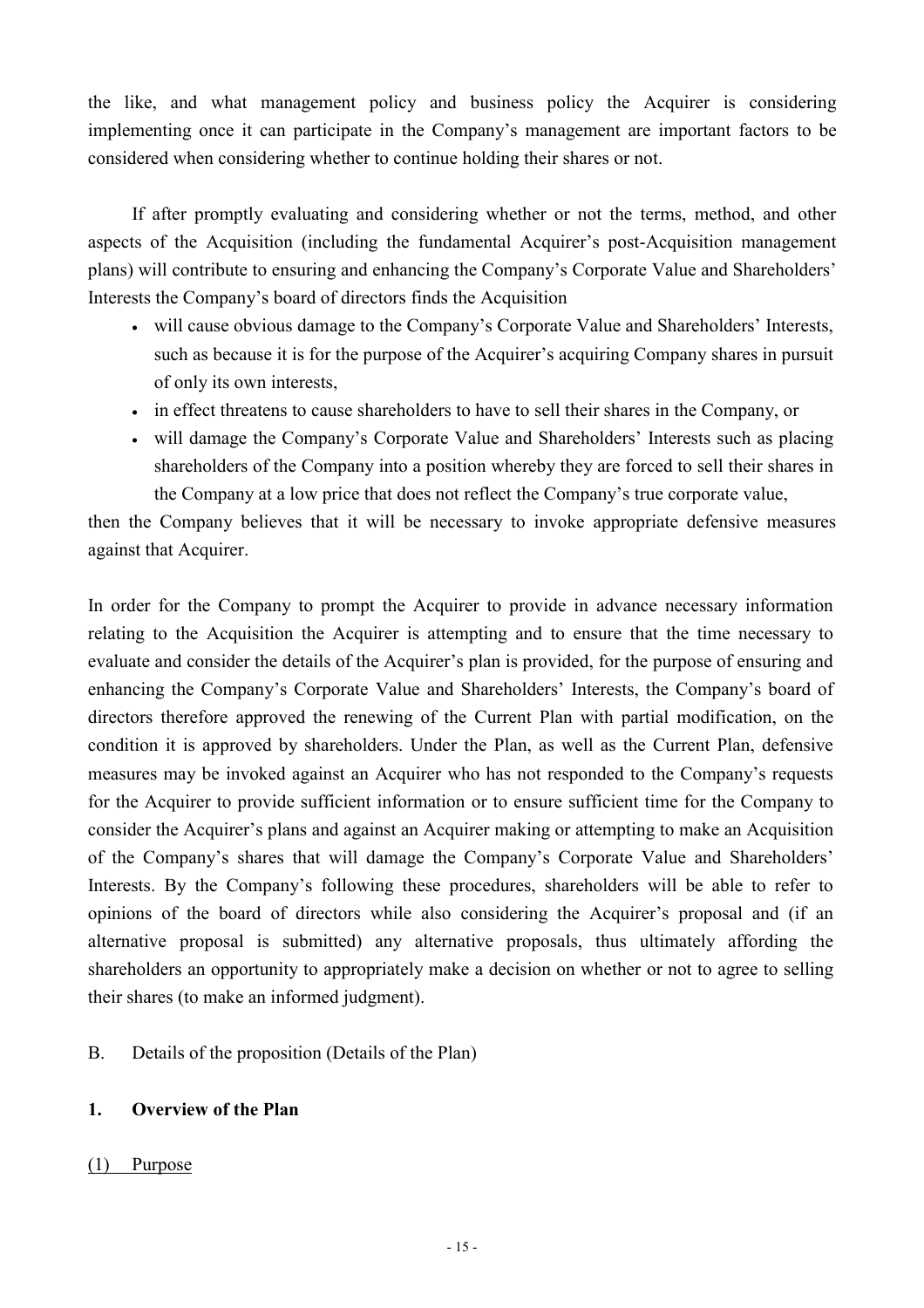the like, and what management policy and business policy the Acquirer is considering implementing once it can participate in the Company's management are important factors to be considered when considering whether to continue holding their shares or not.

If after promptly evaluating and considering whether or not the terms, method, and other aspects of the Acquisition (including the fundamental Acquirer's post-Acquisition management plans) will contribute to ensuring and enhancing the Company's Corporate Value and Shareholders' Interests the Company's board of directors finds the Acquisition

- will cause obvious damage to the Company's Corporate Value and Shareholders' Interests, such as because it is for the purpose of the Acquirer's acquiring Company shares in pursuit of only its own interests,
- in effect threatens to cause shareholders to have to sell their shares in the Company, or
- will damage the Company's Corporate Value and Shareholders' Interests such as placing shareholders of the Company into a position whereby they are forced to sell their shares in the Company at a low price that does not reflect the Company's true corporate value,

then the Company believes that it will be necessary to invoke appropriate defensive measures against that Acquirer.

In order for the Company to prompt the Acquirer to provide in advance necessary information relating to the Acquisition the Acquirer is attempting and to ensure that the time necessary to evaluate and consider the details of the Acquirer's plan is provided, for the purpose of ensuring and enhancing the Company's Corporate Value and Shareholders' Interests, the Company's board of directors therefore approved the renewing of the Current Plan with partial modification, on the condition it is approved by shareholders. Under the Plan, as well as the Current Plan, defensive measures may be invoked against an Acquirer who has not responded to the Company's requests for the Acquirer to provide sufficient information or to ensure sufficient time for the Company to consider the Acquirer's plans and against an Acquirer making or attempting to make an Acquisition of the Company's shares that will damage the Company's Corporate Value and Shareholders' Interests. By the Company's following these procedures, shareholders will be able to refer to opinions of the board of directors while also considering the Acquirer's proposal and (if an alternative proposal is submitted) any alternative proposals, thus ultimately affording the shareholders an opportunity to appropriately make a decision on whether or not to agree to selling their shares (to make an informed judgment).

B. Details of the proposition (Details of the Plan)

## **1. Overview of the Plan**

## (1) Purpose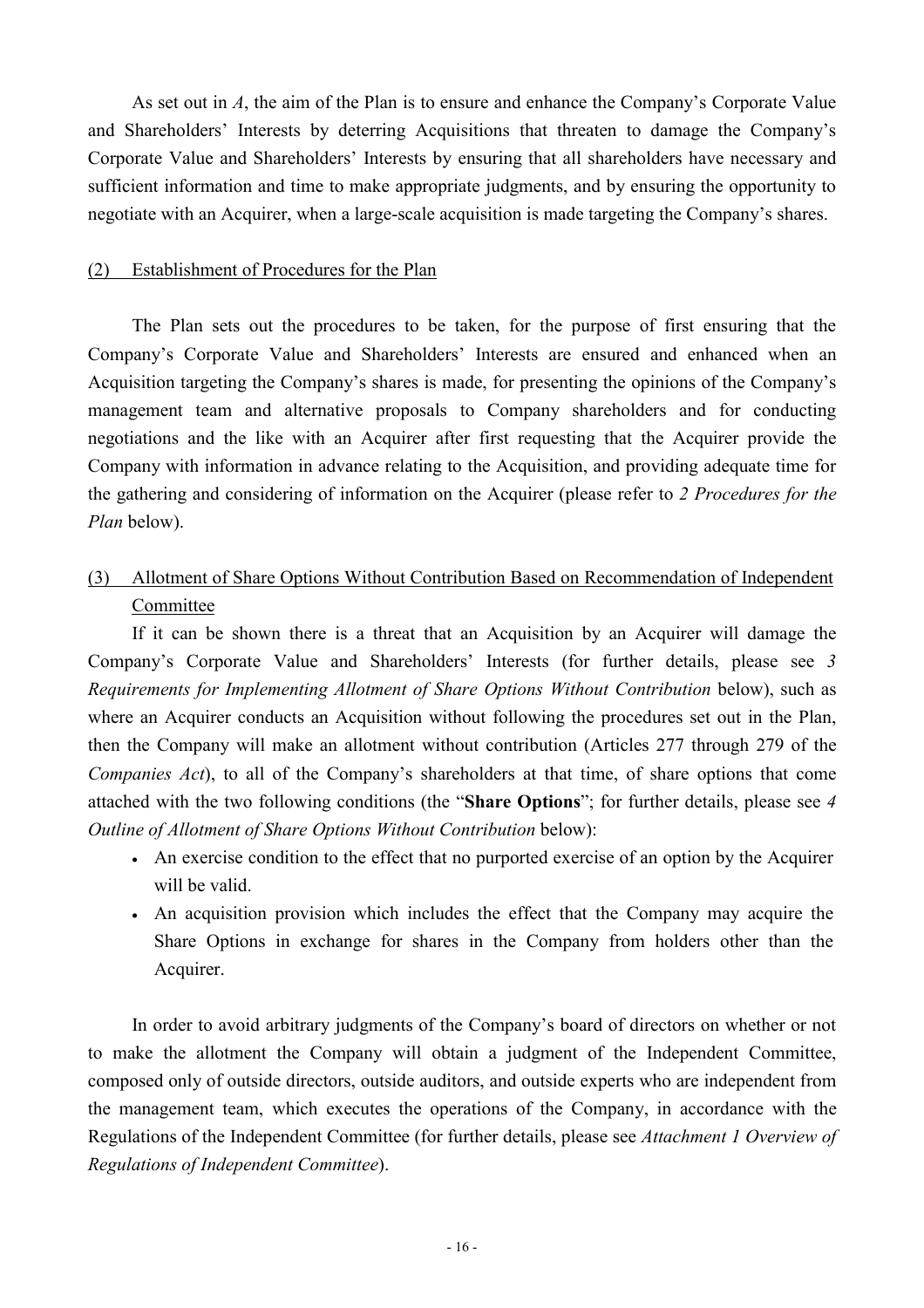As set out in *A*, the aim of the Plan is to ensure and enhance the Company's Corporate Value and Shareholders' Interests by deterring Acquisitions that threaten to damage the Company's Corporate Value and Shareholders' Interests by ensuring that all shareholders have necessary and sufficient information and time to make appropriate judgments, and by ensuring the opportunity to negotiate with an Acquirer, when a large-scale acquisition is made targeting the Company's shares.

### (2) Establishment of Procedures for the Plan

The Plan sets out the procedures to be taken, for the purpose of first ensuring that the Company's Corporate Value and Shareholders' Interests are ensured and enhanced when an Acquisition targeting the Company's shares is made, for presenting the opinions of the Company's management team and alternative proposals to Company shareholders and for conducting negotiations and the like with an Acquirer after first requesting that the Acquirer provide the Company with information in advance relating to the Acquisition, and providing adequate time for the gathering and considering of information on the Acquirer (please refer to *2 Procedures for the Plan* below).

## (3) Allotment of Share Options Without Contribution Based on Recommendation of Independent Committee

If it can be shown there is a threat that an Acquisition by an Acquirer will damage the Company's Corporate Value and Shareholders' Interests (for further details, please see *3 Requirements for Implementing Allotment of Share Options Without Contribution* below), such as where an Acquirer conducts an Acquisition without following the procedures set out in the Plan, then the Company will make an allotment without contribution (Articles 277 through 279 of the *Companies Act*), to all of the Company's shareholders at that time, of share options that come attached with the two following conditions (the "**Share Options**"; for further details, please see *4 Outline of Allotment of Share Options Without Contribution* below):

- An exercise condition to the effect that no purported exercise of an option by the Acquirer will be valid.
- An acquisition provision which includes the effect that the Company may acquire the Share Options in exchange for shares in the Company from holders other than the Acquirer.

In order to avoid arbitrary judgments of the Company's board of directors on whether or not to make the allotment the Company will obtain a judgment of the Independent Committee, composed only of outside directors, outside auditors, and outside experts who are independent from the management team, which executes the operations of the Company, in accordance with the Regulations of the Independent Committee (for further details, please see *Attachment 1 Overview of Regulations of Independent Committee*).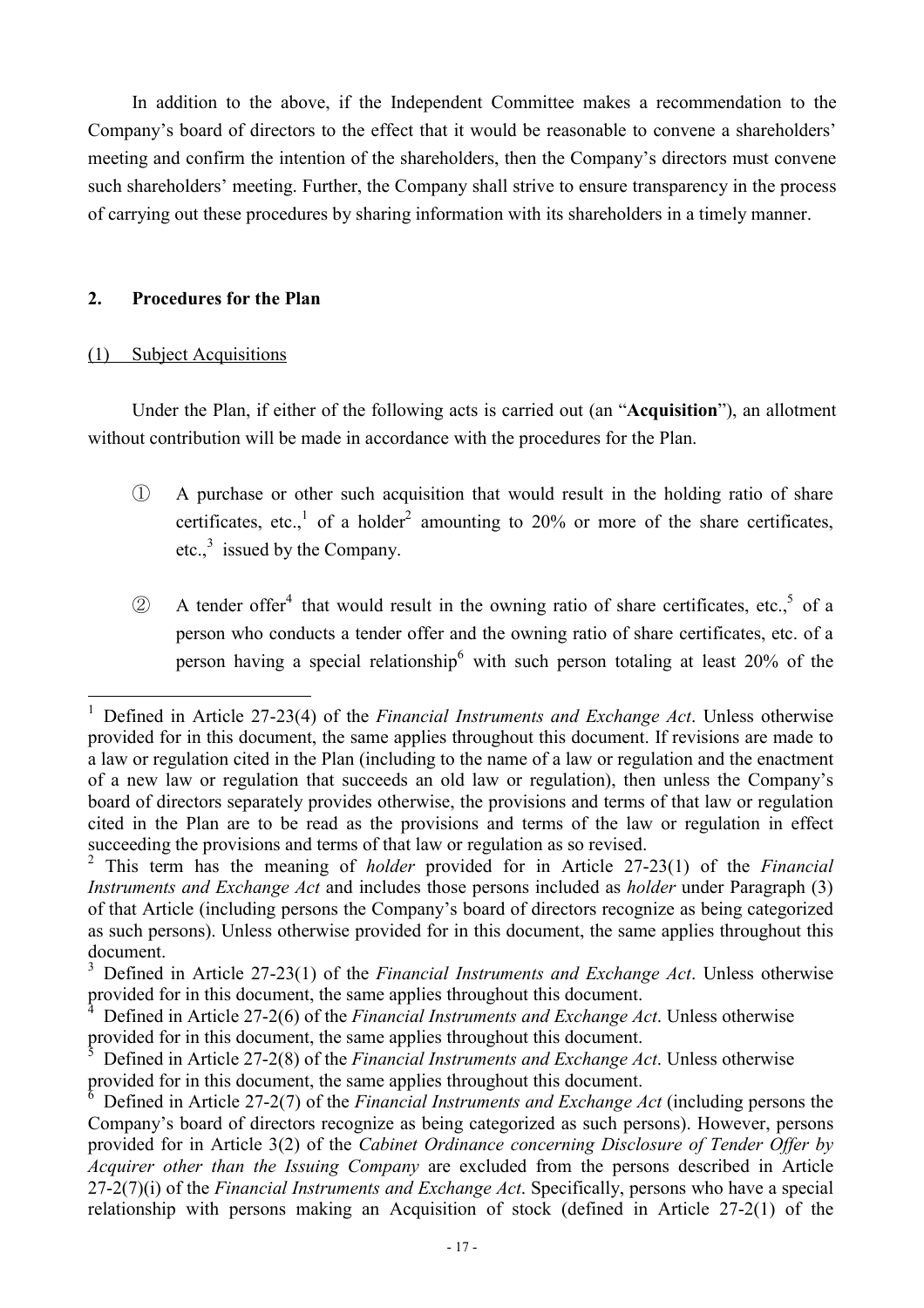In addition to the above, if the Independent Committee makes a recommendation to the Company's board of directors to the effect that it would be reasonable to convene a shareholders' meeting and confirm the intention of the shareholders, then the Company's directors must convene such shareholders' meeting. Further, the Company shall strive to ensure transparency in the process of carrying out these procedures by sharing information with its shareholders in a timely manner.

### **2. Procedures for the Plan**

### (1) Subject Acquisitions

 $\overline{a}$ 

Under the Plan, if either of the following acts is carried out (an "**Acquisition**"), an allotment without contribution will be made in accordance with the procedures for the Plan.

- ① A purchase or other such acquisition that would result in the holding ratio of share certificates, etc.,<sup>1</sup> of a holder<sup>2</sup> amounting to 20% or more of the share certificates, etc., $3$  issued by the Company.
- $\circledR$  A tender offer<sup>4</sup> that would result in the owning ratio of share certificates, etc.,  $\circ$  of a person who conducts a tender offer and the owning ratio of share certificates, etc. of a person having a special relationship with such person totaling at least 20% of the

<sup>1</sup> Defined in Article 27-23(4) of the *Financial Instruments and Exchange Act*. Unless otherwise provided for in this document, the same applies throughout this document. If revisions are made to a law or regulation cited in the Plan (including to the name of a law or regulation and the enactment of a new law or regulation that succeeds an old law or regulation), then unless the Company's board of directors separately provides otherwise, the provisions and terms of that law or regulation cited in the Plan are to be read as the provisions and terms of the law or regulation in effect succeeding the provisions and terms of that law or regulation as so revised.

<sup>2</sup> This term has the meaning of *holder* provided for in Article 27-23(1) of the *Financial Instruments and Exchange Act* and includes those persons included as *holder* under Paragraph (3) of that Article (including persons the Company's board of directors recognize as being categorized as such persons). Unless otherwise provided for in this document, the same applies throughout this document.

<sup>3</sup> Defined in Article 27-23(1) of the *Financial Instruments and Exchange Act*. Unless otherwise provided for in this document, the same applies throughout this document.

<sup>4</sup> Defined in Article 27-2(6) of the *Financial Instruments and Exchange Act*. Unless otherwise provided for in this document, the same applies throughout this document.

<sup>5</sup> Defined in Article 27-2(8) of the *Financial Instruments and Exchange Act*. Unless otherwise provided for in this document, the same applies throughout this document.

**<sup>6</sup>**  Defined in Article 27-2(7) of the *Financial Instruments and Exchange Act* (including persons the Company's board of directors recognize as being categorized as such persons). However, persons provided for in Article 3(2) of the *Cabinet Ordinance concerning Disclosure of Tender Offer by Acquirer other than the Issuing Company* are excluded from the persons described in Article 27-2(7)(i) of the *Financial Instruments and Exchange Act*. Specifically, persons who have a special relationship with persons making an Acquisition of stock (defined in Article 27-2(1) of the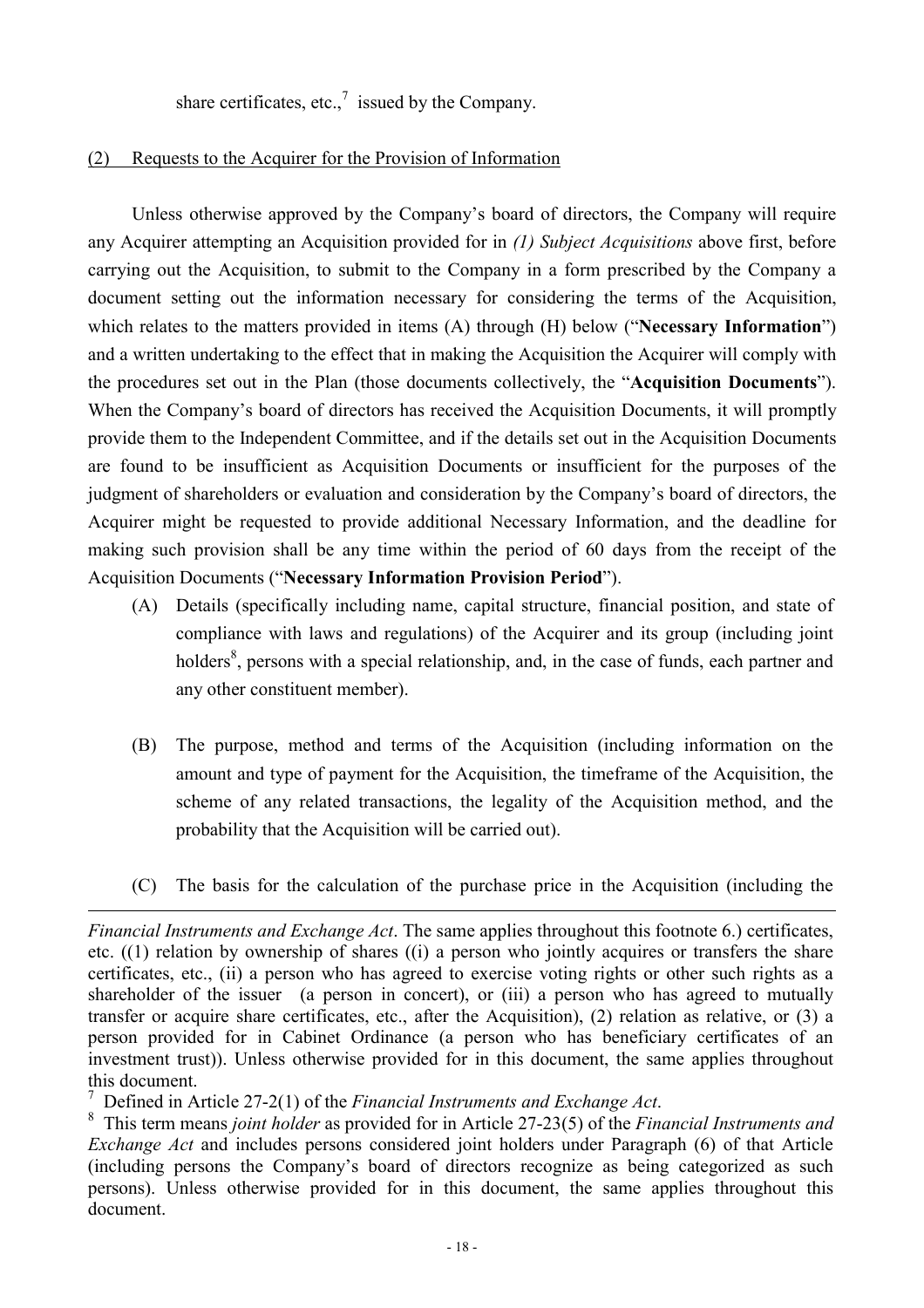share certificates, etc.,<sup>7</sup> issued by the Company.

### (2) Requests to the Acquirer for the Provision of Information

Unless otherwise approved by the Company's board of directors, the Company will require any Acquirer attempting an Acquisition provided for in *(1) Subject Acquisitions* above first, before carrying out the Acquisition, to submit to the Company in a form prescribed by the Company a document setting out the information necessary for considering the terms of the Acquisition, which relates to the matters provided in items (A) through (H) below ("**Necessary Information**") and a written undertaking to the effect that in making the Acquisition the Acquirer will comply with the procedures set out in the Plan (those documents collectively, the "**Acquisition Documents**"). When the Company's board of directors has received the Acquisition Documents, it will promptly provide them to the Independent Committee, and if the details set out in the Acquisition Documents are found to be insufficient as Acquisition Documents or insufficient for the purposes of the judgment of shareholders or evaluation and consideration by the Company's board of directors, the Acquirer might be requested to provide additional Necessary Information, and the deadline for making such provision shall be any time within the period of 60 days from the receipt of the Acquisition Documents ("**Necessary Information Provision Period**").

- (A) Details (specifically including name, capital structure, financial position, and state of compliance with laws and regulations) of the Acquirer and its group (including joint holders<sup>8</sup>, persons with a special relationship, and, in the case of funds, each partner and any other constituent member).
- (B) The purpose, method and terms of the Acquisition (including information on the amount and type of payment for the Acquisition, the timeframe of the Acquisition, the scheme of any related transactions, the legality of the Acquisition method, and the probability that the Acquisition will be carried out).
- (C) The basis for the calculation of the purchase price in the Acquisition (including the

<sup>7</sup> Defined in Article 27-2(1) of the *Financial Instruments and Exchange Act*.

 $\overline{a}$ 

*Financial Instruments and Exchange Act*. The same applies throughout this footnote 6.) certificates, etc. ((1) relation by ownership of shares ((i) a person who jointly acquires or transfers the share certificates, etc., (ii) a person who has agreed to exercise voting rights or other such rights as a shareholder of the issuer (a person in concert), or (iii) a person who has agreed to mutually transfer or acquire share certificates, etc., after the Acquisition), (2) relation as relative, or (3) a person provided for in Cabinet Ordinance (a person who has beneficiary certificates of an investment trust)). Unless otherwise provided for in this document, the same applies throughout this document.

This term means *joint holder* as provided for in Article 27-23(5) of the *Financial Instruments and Exchange Act* and includes persons considered joint holders under Paragraph (6) of that Article (including persons the Company's board of directors recognize as being categorized as such persons). Unless otherwise provided for in this document, the same applies throughout this document.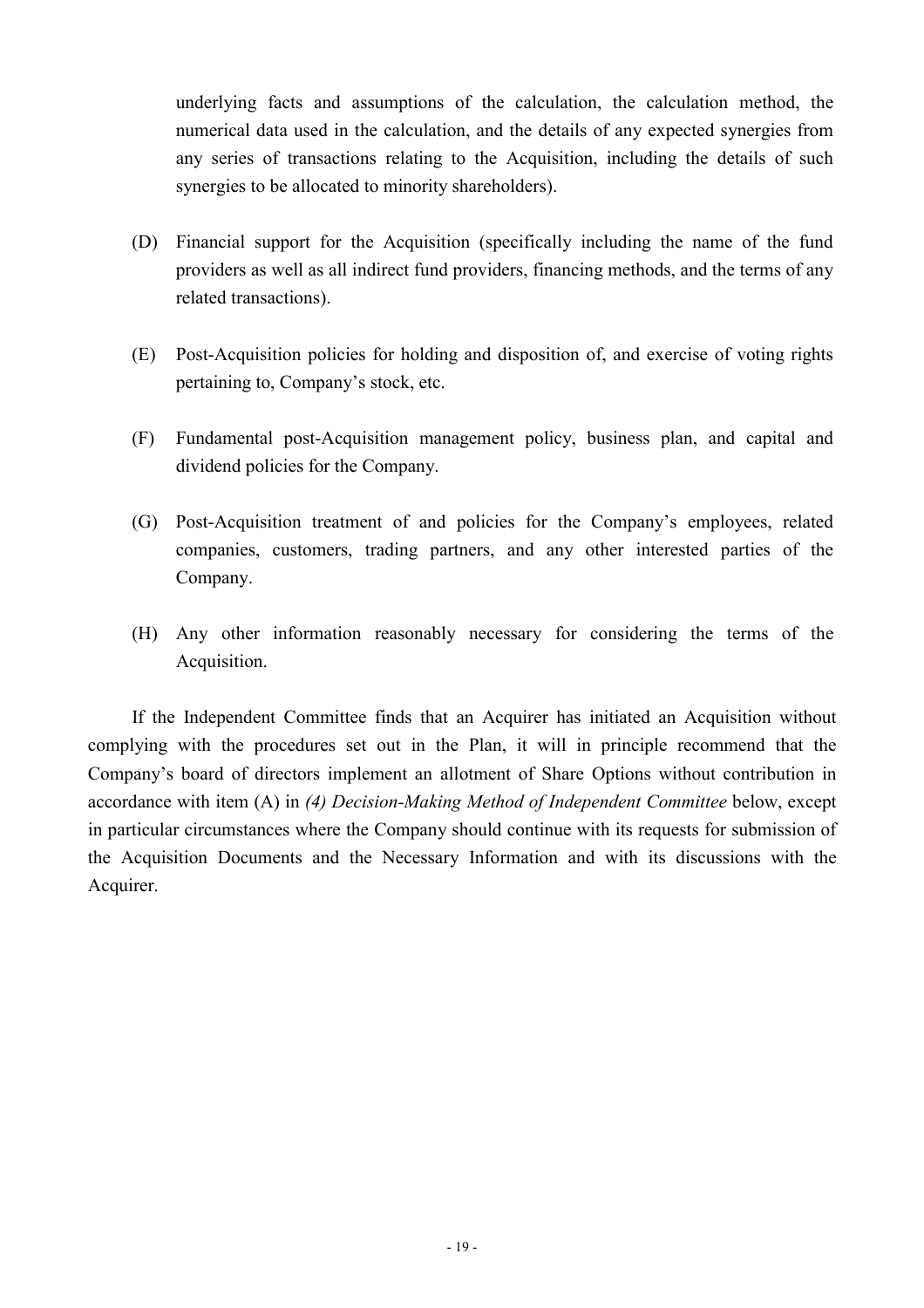underlying facts and assumptions of the calculation, the calculation method, the numerical data used in the calculation, and the details of any expected synergies from any series of transactions relating to the Acquisition, including the details of such synergies to be allocated to minority shareholders).

- (D) Financial support for the Acquisition (specifically including the name of the fund providers as well as all indirect fund providers, financing methods, and the terms of any related transactions).
- (E) Post-Acquisition policies for holding and disposition of, and exercise of voting rights pertaining to, Company's stock, etc.
- (F) Fundamental post-Acquisition management policy, business plan, and capital and dividend policies for the Company.
- (G) Post-Acquisition treatment of and policies for the Company's employees, related companies, customers, trading partners, and any other interested parties of the Company.
- (H) Any other information reasonably necessary for considering the terms of the Acquisition.

If the Independent Committee finds that an Acquirer has initiated an Acquisition without complying with the procedures set out in the Plan, it will in principle recommend that the Company's board of directors implement an allotment of Share Options without contribution in accordance with item (A) in *(4) Decision-Making Method of Independent Committee* below, except in particular circumstances where the Company should continue with its requests for submission of the Acquisition Documents and the Necessary Information and with its discussions with the Acquirer.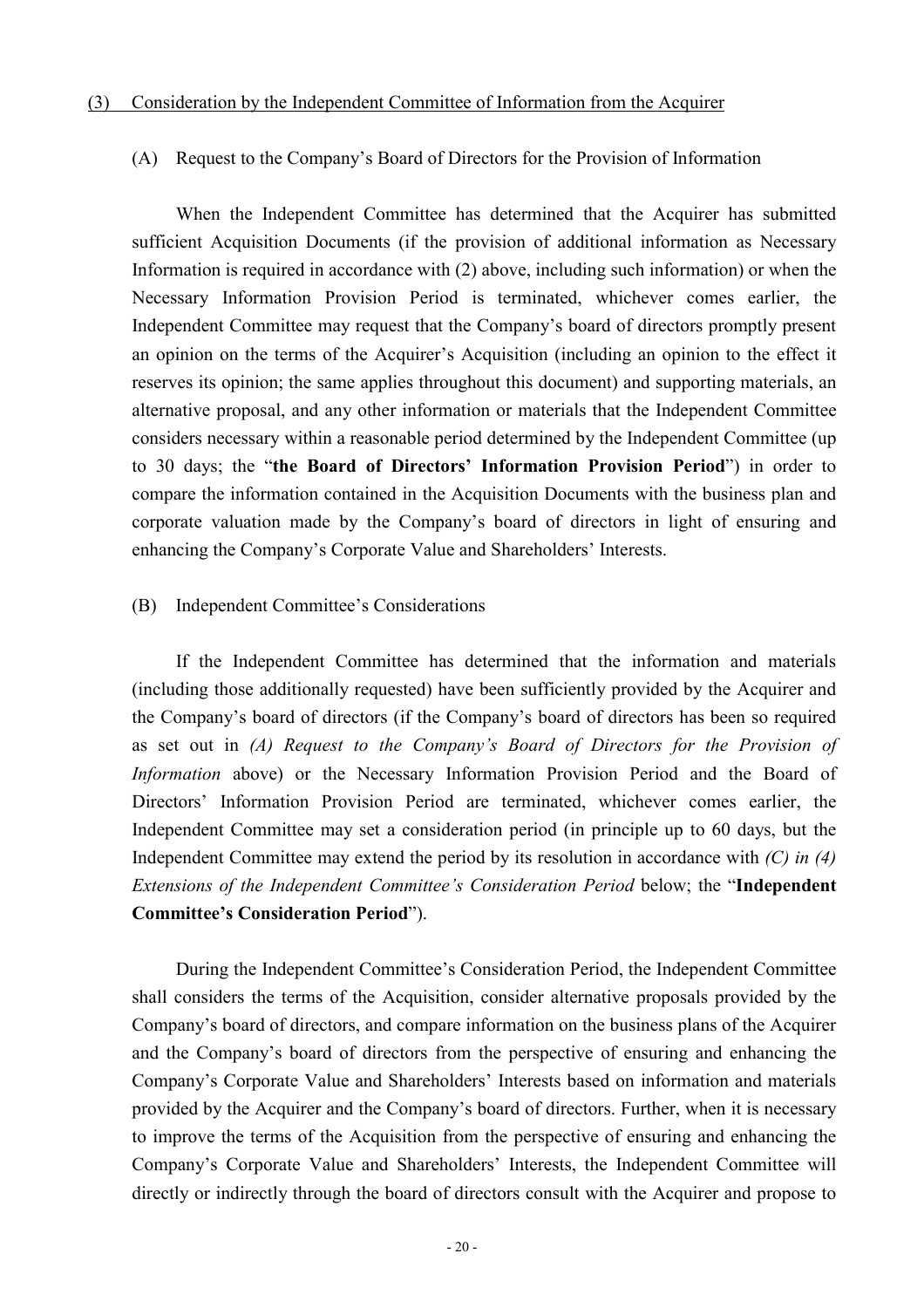#### (A) Request to the Company's Board of Directors for the Provision of Information

When the Independent Committee has determined that the Acquirer has submitted sufficient Acquisition Documents (if the provision of additional information as Necessary Information is required in accordance with (2) above, including such information) or when the Necessary Information Provision Period is terminated, whichever comes earlier, the Independent Committee may request that the Company's board of directors promptly present an opinion on the terms of the Acquirer's Acquisition (including an opinion to the effect it reserves its opinion; the same applies throughout this document) and supporting materials, an alternative proposal, and any other information or materials that the Independent Committee considers necessary within a reasonable period determined by the Independent Committee (up to 30 days; the "**the Board of Directors' Information Provision Period**") in order to compare the information contained in the Acquisition Documents with the business plan and corporate valuation made by the Company's board of directors in light of ensuring and enhancing the Company's Corporate Value and Shareholders' Interests.

#### (B) Independent Committee's Considerations

If the Independent Committee has determined that the information and materials (including those additionally requested) have been sufficiently provided by the Acquirer and the Company's board of directors (if the Company's board of directors has been so required as set out in *(A) Request to the Company's Board of Directors for the Provision of Information* above) or the Necessary Information Provision Period and the Board of Directors' Information Provision Period are terminated, whichever comes earlier, the Independent Committee may set a consideration period (in principle up to 60 days, but the Independent Committee may extend the period by its resolution in accordance with *(C) in (4) Extensions of the Independent Committee's Consideration Period* below; the "**Independent Committee's Consideration Period**").

During the Independent Committee's Consideration Period, the Independent Committee shall considers the terms of the Acquisition, consider alternative proposals provided by the Company's board of directors, and compare information on the business plans of the Acquirer and the Company's board of directors from the perspective of ensuring and enhancing the Company's Corporate Value and Shareholders' Interests based on information and materials provided by the Acquirer and the Company's board of directors. Further, when it is necessary to improve the terms of the Acquisition from the perspective of ensuring and enhancing the Company's Corporate Value and Shareholders' Interests, the Independent Committee will directly or indirectly through the board of directors consult with the Acquirer and propose to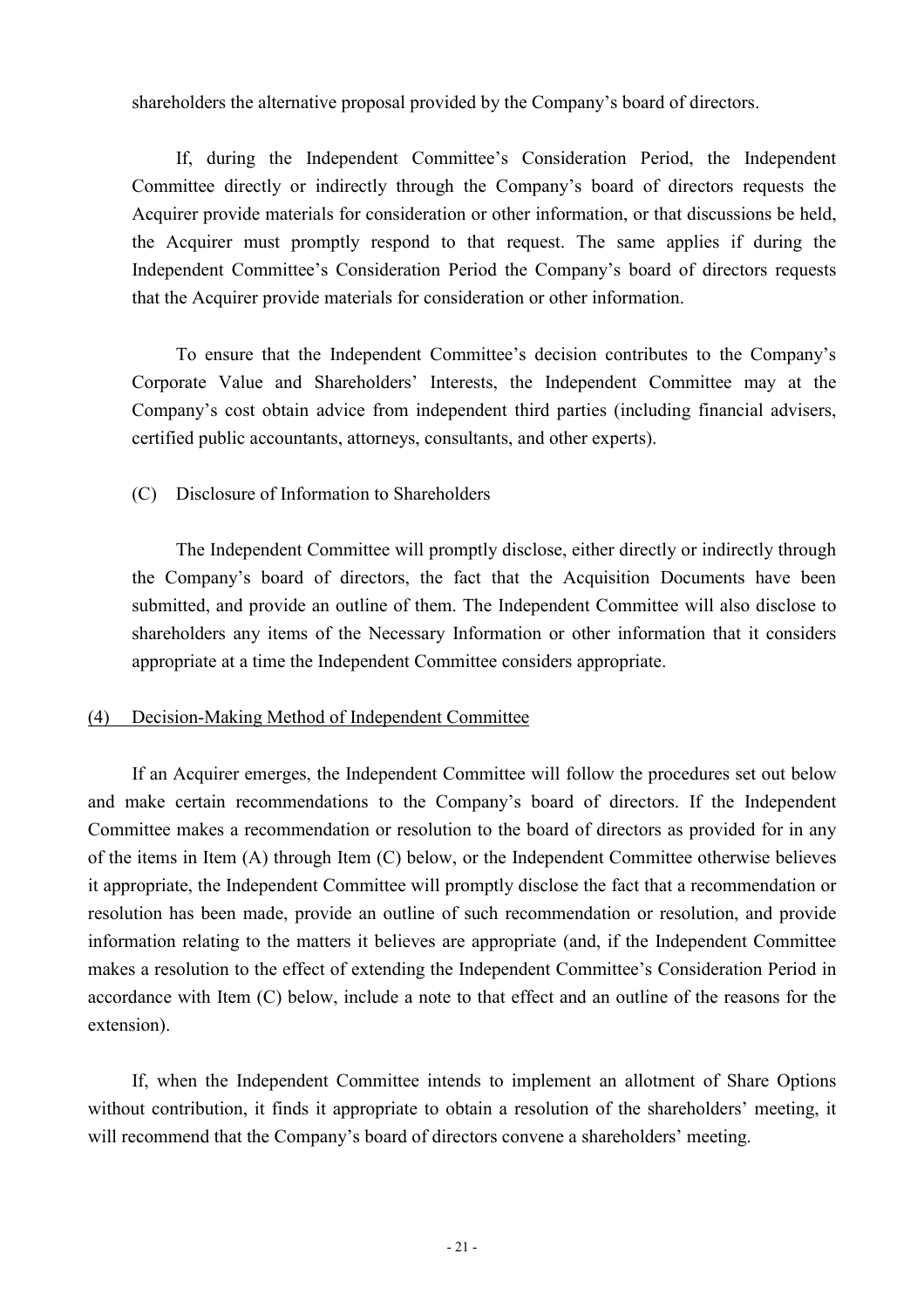shareholders the alternative proposal provided by the Company's board of directors.

If, during the Independent Committee's Consideration Period, the Independent Committee directly or indirectly through the Company's board of directors requests the Acquirer provide materials for consideration or other information, or that discussions be held, the Acquirer must promptly respond to that request. The same applies if during the Independent Committee's Consideration Period the Company's board of directors requests that the Acquirer provide materials for consideration or other information.

To ensure that the Independent Committee's decision contributes to the Company's Corporate Value and Shareholders' Interests, the Independent Committee may at the Company's cost obtain advice from independent third parties (including financial advisers, certified public accountants, attorneys, consultants, and other experts).

### (C) Disclosure of Information to Shareholders

The Independent Committee will promptly disclose, either directly or indirectly through the Company's board of directors, the fact that the Acquisition Documents have been submitted, and provide an outline of them. The Independent Committee will also disclose to shareholders any items of the Necessary Information or other information that it considers appropriate at a time the Independent Committee considers appropriate.

### (4) Decision-Making Method of Independent Committee

If an Acquirer emerges, the Independent Committee will follow the procedures set out below and make certain recommendations to the Company's board of directors. If the Independent Committee makes a recommendation or resolution to the board of directors as provided for in any of the items in Item (A) through Item (C) below, or the Independent Committee otherwise believes it appropriate, the Independent Committee will promptly disclose the fact that a recommendation or resolution has been made, provide an outline of such recommendation or resolution, and provide information relating to the matters it believes are appropriate (and, if the Independent Committee makes a resolution to the effect of extending the Independent Committee's Consideration Period in accordance with Item (C) below, include a note to that effect and an outline of the reasons for the extension).

If, when the Independent Committee intends to implement an allotment of Share Options without contribution, it finds it appropriate to obtain a resolution of the shareholders' meeting, it will recommend that the Company's board of directors convene a shareholders' meeting.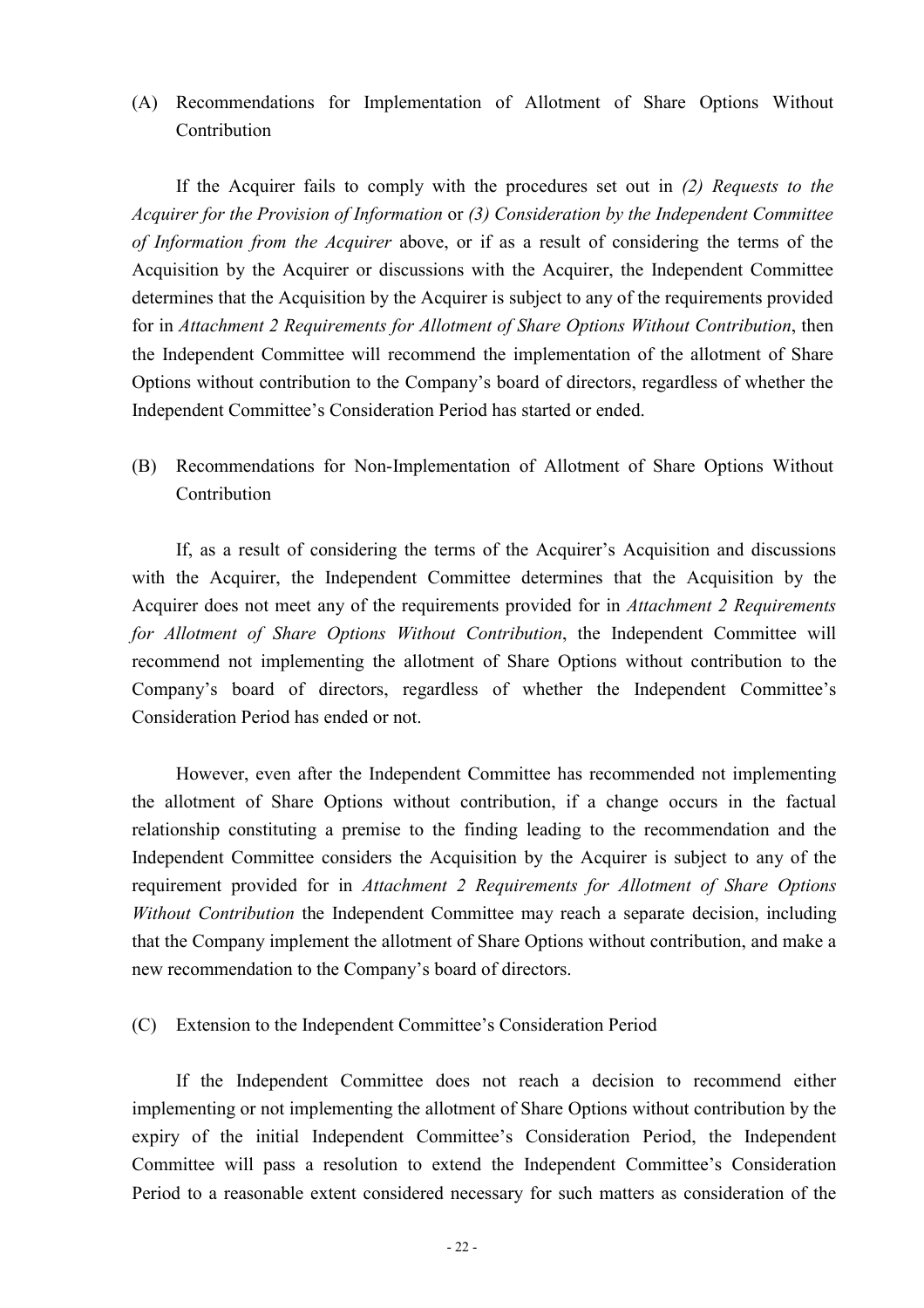(A) Recommendations for Implementation of Allotment of Share Options Without **Contribution** 

If the Acquirer fails to comply with the procedures set out in *(2) Requests to the Acquirer for the Provision of Information* or *(3) Consideration by the Independent Committee of Information from the Acquirer* above, or if as a result of considering the terms of the Acquisition by the Acquirer or discussions with the Acquirer, the Independent Committee determines that the Acquisition by the Acquirer is subject to any of the requirements provided for in *Attachment 2 Requirements for Allotment of Share Options Without Contribution*, then the Independent Committee will recommend the implementation of the allotment of Share Options without contribution to the Company's board of directors, regardless of whether the Independent Committee's Consideration Period has started or ended.

(B) Recommendations for Non-Implementation of Allotment of Share Options Without **Contribution** 

If, as a result of considering the terms of the Acquirer's Acquisition and discussions with the Acquirer, the Independent Committee determines that the Acquisition by the Acquirer does not meet any of the requirements provided for in *Attachment 2 Requirements for Allotment of Share Options Without Contribution*, the Independent Committee will recommend not implementing the allotment of Share Options without contribution to the Company's board of directors, regardless of whether the Independent Committee's Consideration Period has ended or not.

However, even after the Independent Committee has recommended not implementing the allotment of Share Options without contribution, if a change occurs in the factual relationship constituting a premise to the finding leading to the recommendation and the Independent Committee considers the Acquisition by the Acquirer is subject to any of the requirement provided for in *Attachment 2 Requirements for Allotment of Share Options Without Contribution* the Independent Committee may reach a separate decision, including that the Company implement the allotment of Share Options without contribution, and make a new recommendation to the Company's board of directors.

(C) Extension to the Independent Committee's Consideration Period

If the Independent Committee does not reach a decision to recommend either implementing or not implementing the allotment of Share Options without contribution by the expiry of the initial Independent Committee's Consideration Period, the Independent Committee will pass a resolution to extend the Independent Committee's Consideration Period to a reasonable extent considered necessary for such matters as consideration of the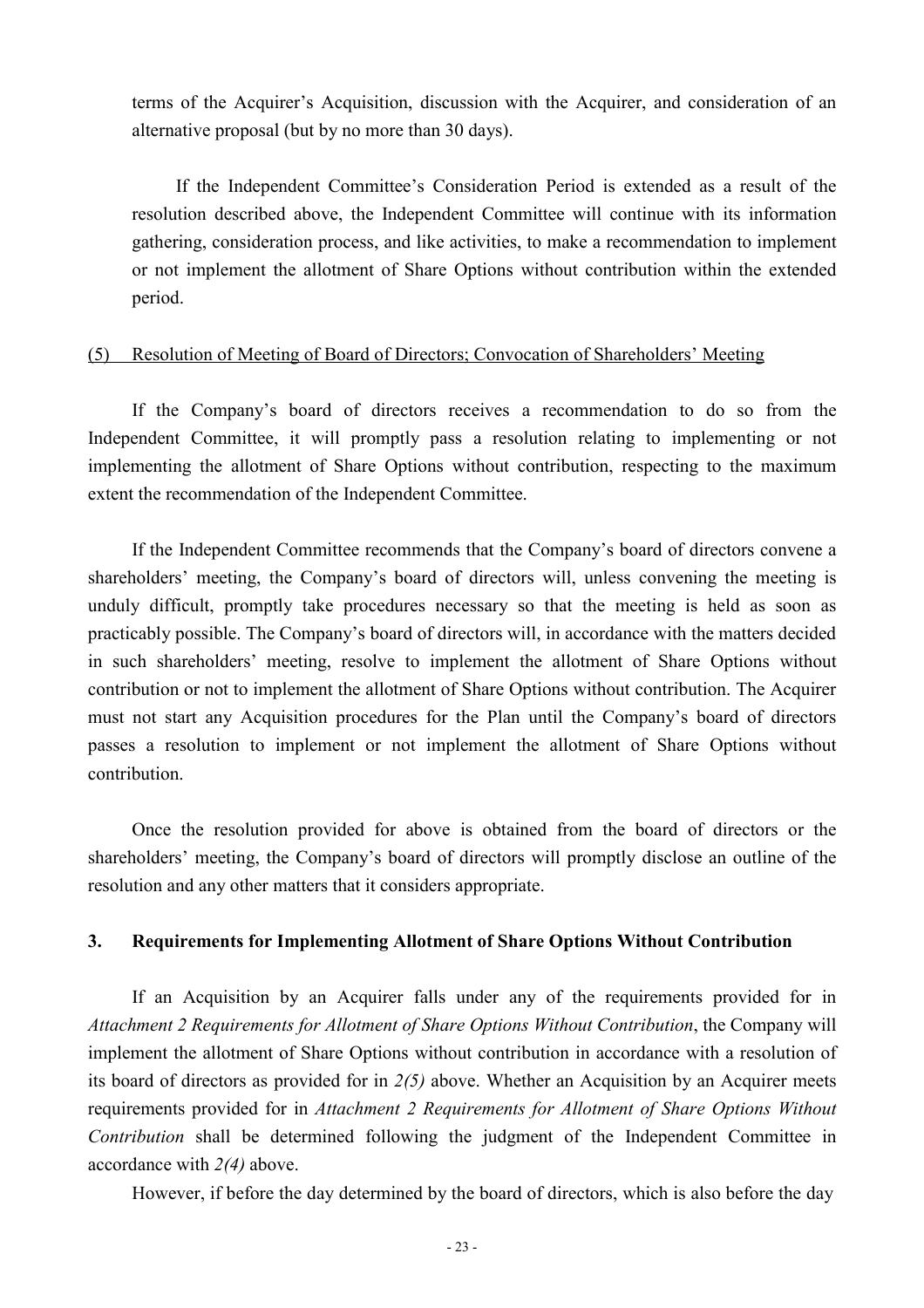terms of the Acquirer's Acquisition, discussion with the Acquirer, and consideration of an alternative proposal (but by no more than 30 days).

If the Independent Committee's Consideration Period is extended as a result of the resolution described above, the Independent Committee will continue with its information gathering, consideration process, and like activities, to make a recommendation to implement or not implement the allotment of Share Options without contribution within the extended period.

### (5) Resolution of Meeting of Board of Directors; Convocation of Shareholders' Meeting

If the Company's board of directors receives a recommendation to do so from the Independent Committee, it will promptly pass a resolution relating to implementing or not implementing the allotment of Share Options without contribution, respecting to the maximum extent the recommendation of the Independent Committee.

If the Independent Committee recommends that the Company's board of directors convene a shareholders' meeting, the Company's board of directors will, unless convening the meeting is unduly difficult, promptly take procedures necessary so that the meeting is held as soon as practicably possible. The Company's board of directors will, in accordance with the matters decided in such shareholders' meeting, resolve to implement the allotment of Share Options without contribution or not to implement the allotment of Share Options without contribution. The Acquirer must not start any Acquisition procedures for the Plan until the Company's board of directors passes a resolution to implement or not implement the allotment of Share Options without contribution.

Once the resolution provided for above is obtained from the board of directors or the shareholders' meeting, the Company's board of directors will promptly disclose an outline of the resolution and any other matters that it considers appropriate.

#### **3. Requirements for Implementing Allotment of Share Options Without Contribution**

If an Acquisition by an Acquirer falls under any of the requirements provided for in *Attachment 2 Requirements for Allotment of Share Options Without Contribution*, the Company will implement the allotment of Share Options without contribution in accordance with a resolution of its board of directors as provided for in *2(5)* above. Whether an Acquisition by an Acquirer meets requirements provided for in *Attachment 2 Requirements for Allotment of Share Options Without Contribution* shall be determined following the judgment of the Independent Committee in accordance with *2(4)* above.

However, if before the day determined by the board of directors, which is also before the day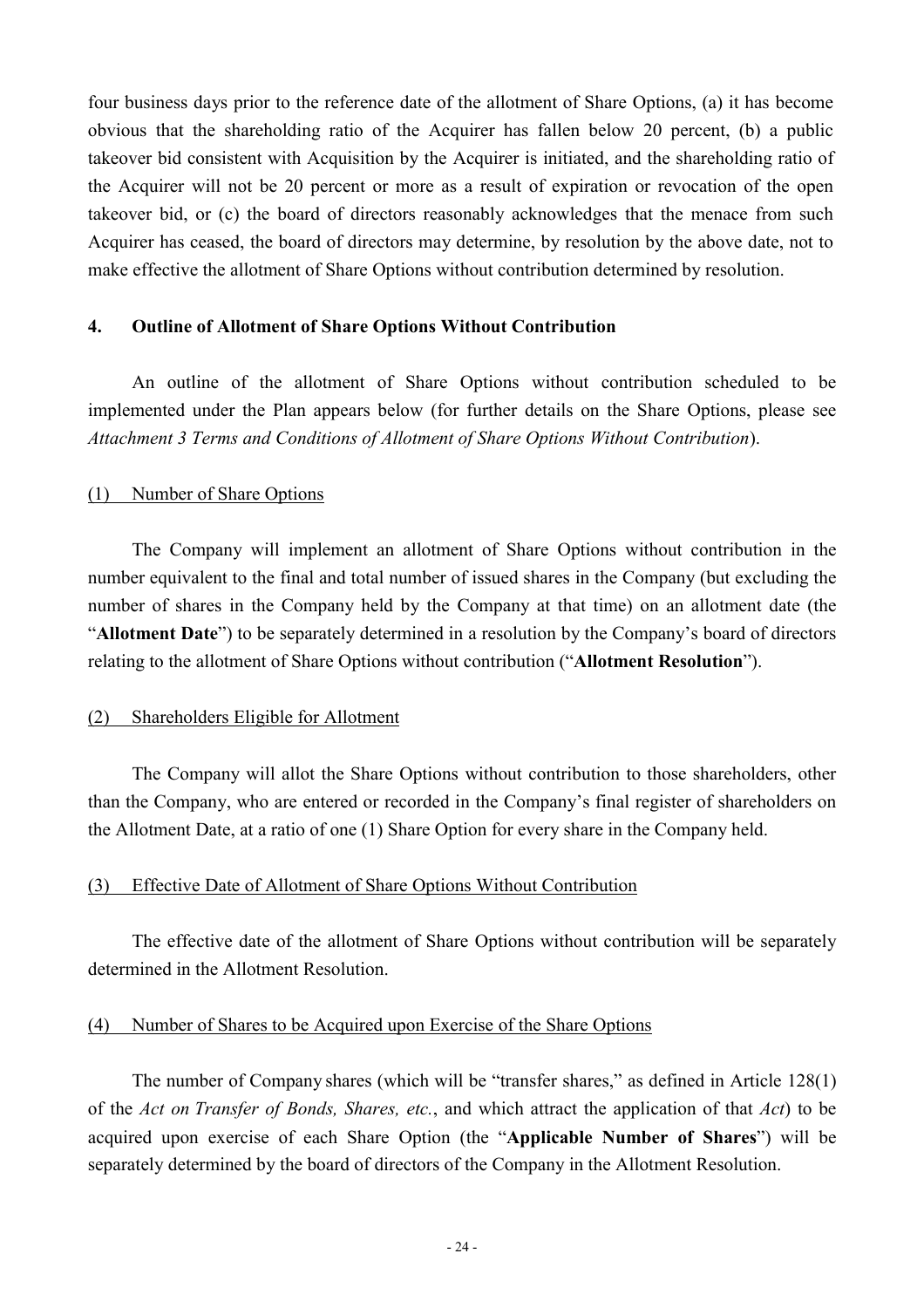four business days prior to the reference date of the allotment of Share Options, (a) it has become obvious that the shareholding ratio of the Acquirer has fallen below 20 percent, (b) a public takeover bid consistent with Acquisition by the Acquirer is initiated, and the shareholding ratio of the Acquirer will not be 20 percent or more as a result of expiration or revocation of the open takeover bid, or (c) the board of directors reasonably acknowledges that the menace from such Acquirer has ceased, the board of directors may determine, by resolution by the above date, not to make effective the allotment of Share Options without contribution determined by resolution.

#### **4. Outline of Allotment of Share Options Without Contribution**

An outline of the allotment of Share Options without contribution scheduled to be implemented under the Plan appears below (for further details on the Share Options, please see *Attachment 3 Terms and Conditions of Allotment of Share Options Without Contribution*).

#### (1) Number of Share Options

The Company will implement an allotment of Share Options without contribution in the number equivalent to the final and total number of issued shares in the Company (but excluding the number of shares in the Company held by the Company at that time) on an allotment date (the "**Allotment Date**") to be separately determined in a resolution by the Company's board of directors relating to the allotment of Share Options without contribution ("**Allotment Resolution**").

### (2) Shareholders Eligible for Allotment

The Company will allot the Share Options without contribution to those shareholders, other than the Company, who are entered or recorded in the Company's final register of shareholders on the Allotment Date, at a ratio of one (1) Share Option for every share in the Company held.

#### (3) Effective Date of Allotment of Share Options Without Contribution

The effective date of the allotment of Share Options without contribution will be separately determined in the Allotment Resolution.

#### (4) Number of Shares to be Acquired upon Exercise of the Share Options

The number of Company shares (which will be "transfer shares," as defined in Article 128(1) of the *Act on Transfer of Bonds, Shares, etc.*, and which attract the application of that *Act*) to be acquired upon exercise of each Share Option (the "**Applicable Number of Shares**") will be separately determined by the board of directors of the Company in the Allotment Resolution.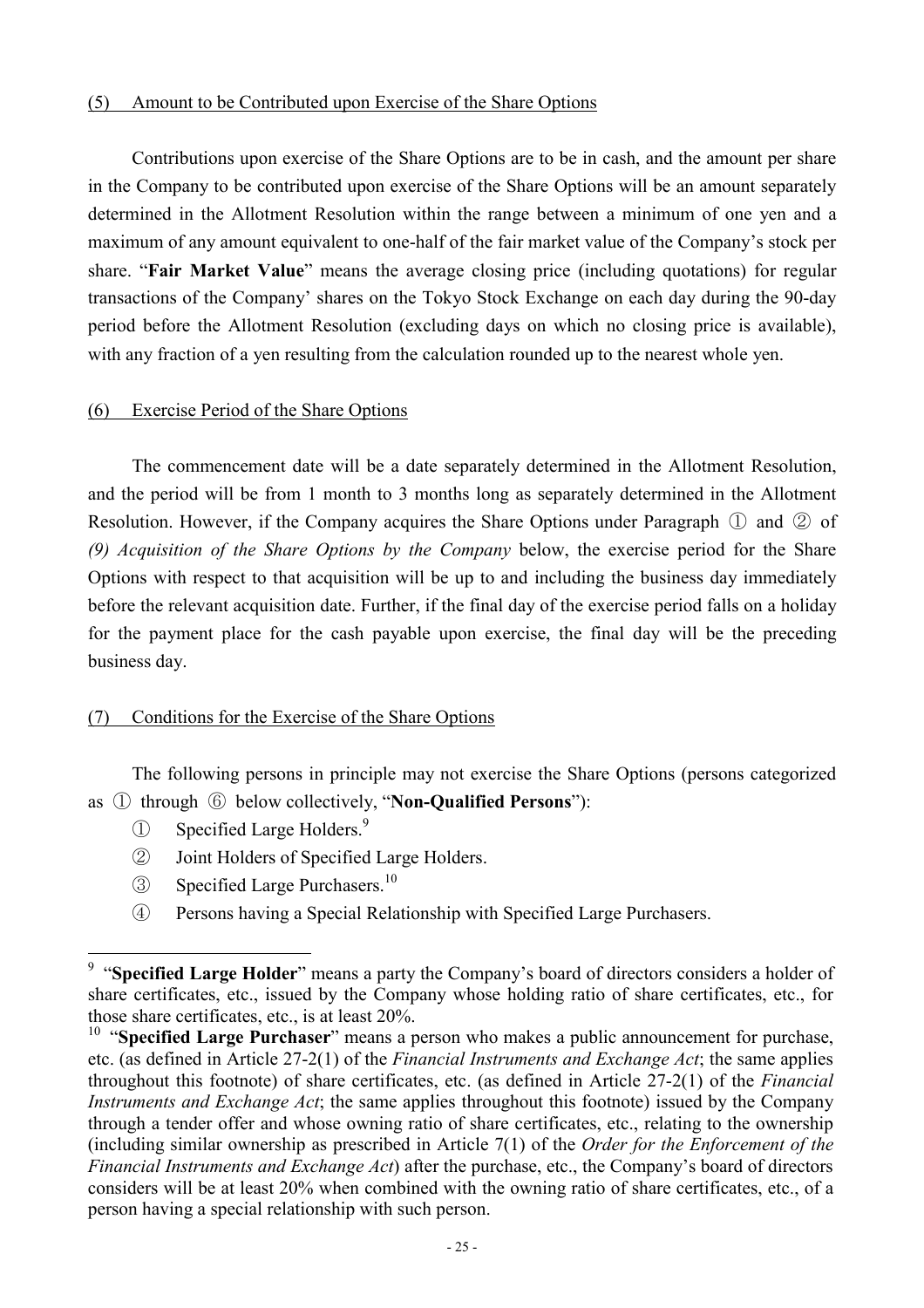### (5) Amount to be Contributed upon Exercise of the Share Options

Contributions upon exercise of the Share Options are to be in cash, and the amount per share in the Company to be contributed upon exercise of the Share Options will be an amount separately determined in the Allotment Resolution within the range between a minimum of one yen and a maximum of any amount equivalent to one-half of the fair market value of the Company's stock per share. "**Fair Market Value**" means the average closing price (including quotations) for regular transactions of the Company' shares on the Tokyo Stock Exchange on each day during the 90-day period before the Allotment Resolution (excluding days on which no closing price is available), with any fraction of a yen resulting from the calculation rounded up to the nearest whole yen.

### (6) Exercise Period of the Share Options

The commencement date will be a date separately determined in the Allotment Resolution, and the period will be from 1 month to 3 months long as separately determined in the Allotment Resolution. However, if the Company acquires the Share Options under Paragraph ① and ② of *(9) Acquisition of the Share Options by the Company* below, the exercise period for the Share Options with respect to that acquisition will be up to and including the business day immediately before the relevant acquisition date. Further, if the final day of the exercise period falls on a holiday for the payment place for the cash payable upon exercise, the final day will be the preceding business day.

## (7) Conditions for the Exercise of the Share Options

The following persons in principle may not exercise the Share Options (persons categorized as ① through ⑥ below collectively, "**Non-Qualified Persons**"):

① Specified Large Holders.9

 $\overline{a}$ 

- ② Joint Holders of Specified Large Holders.
- ③ Specified Large Purchasers.10
- ④ Persons having a Special Relationship with Specified Large Purchasers.

<sup>&</sup>lt;sup>9</sup> "Specified Large Holder" means a party the Company's board of directors considers a holder of share certificates, etc., issued by the Company whose holding ratio of share certificates, etc., for those share certificates, etc., is at least 20%.

<sup>&</sup>lt;sup>10</sup> "Specified Large Purchaser" means a person who makes a public announcement for purchase, etc. (as defined in Article 27-2(1) of the *Financial Instruments and Exchange Act*; the same applies throughout this footnote) of share certificates, etc. (as defined in Article 27-2(1) of the *Financial Instruments and Exchange Act*; the same applies throughout this footnote) issued by the Company through a tender offer and whose owning ratio of share certificates, etc., relating to the ownership (including similar ownership as prescribed in Article 7(1) of the *Order for the Enforcement of the Financial Instruments and Exchange Act*) after the purchase, etc., the Company's board of directors considers will be at least 20% when combined with the owning ratio of share certificates, etc., of a person having a special relationship with such person.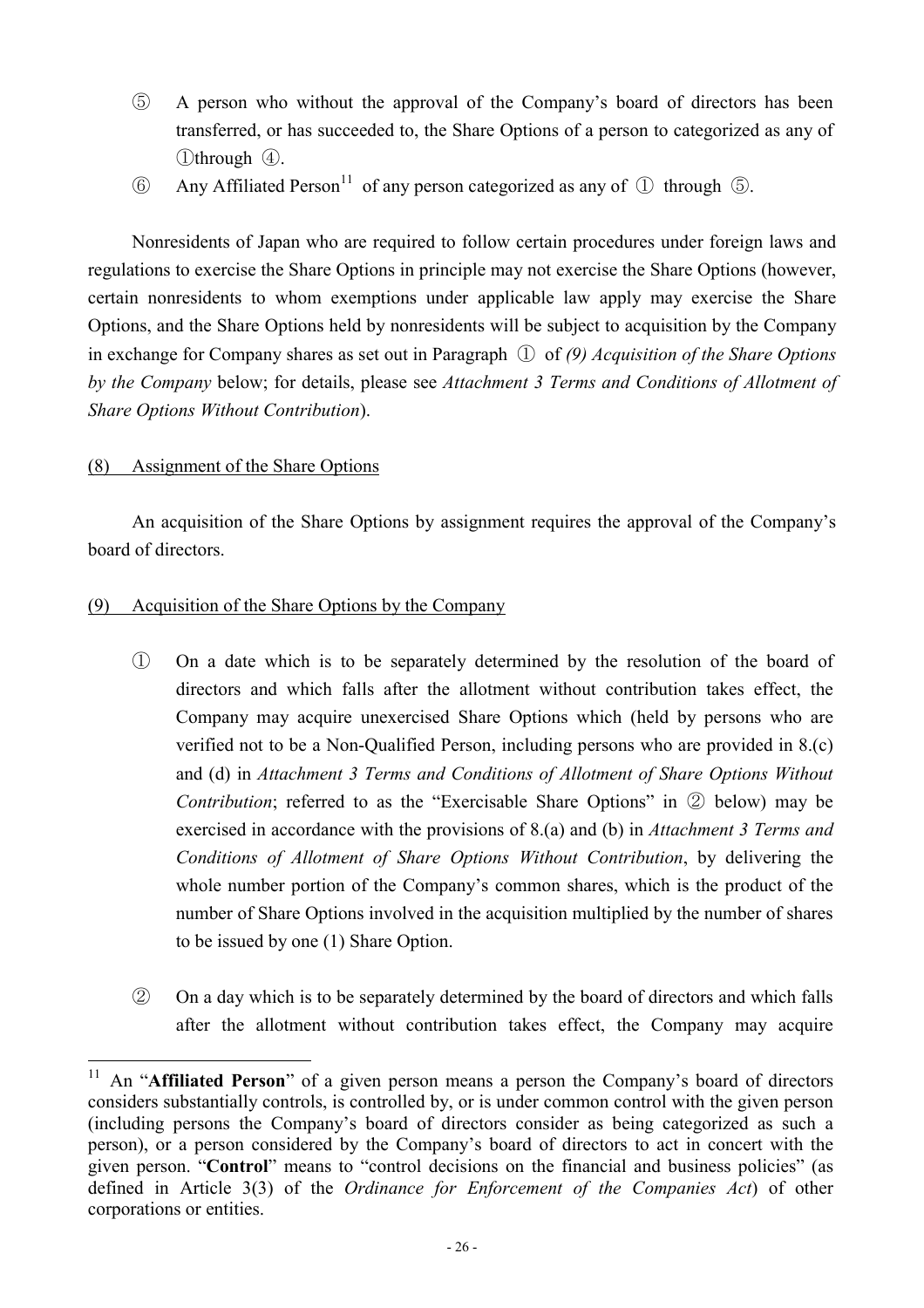- ⑤ A person who without the approval of the Company's board of directors has been transferred, or has succeeded to, the Share Options of a person to categorized as any of ①through ④.
- (6) Any Affiliated Person<sup>11</sup> of any person categorized as any of  $(1)$  through  $(5)$ .

Nonresidents of Japan who are required to follow certain procedures under foreign laws and regulations to exercise the Share Options in principle may not exercise the Share Options (however, certain nonresidents to whom exemptions under applicable law apply may exercise the Share Options, and the Share Options held by nonresidents will be subject to acquisition by the Company in exchange for Company shares as set out in Paragraph ① of *(9) Acquisition of the Share Options by the Company* below; for details, please see *Attachment 3 Terms and Conditions of Allotment of Share Options Without Contribution*).

### (8) Assignment of the Share Options

An acquisition of the Share Options by assignment requires the approval of the Company's board of directors.

### (9) Acquisition of the Share Options by the Company

- ① On a date which is to be separately determined by the resolution of the board of directors and which falls after the allotment without contribution takes effect, the Company may acquire unexercised Share Options which (held by persons who are verified not to be a Non-Qualified Person, including persons who are provided in 8.(c) and (d) in *Attachment 3 Terms and Conditions of Allotment of Share Options Without Contribution*; referred to as the "Exercisable Share Options" in ② below) may be exercised in accordance with the provisions of 8.(a) and (b) in *Attachment 3 Terms and Conditions of Allotment of Share Options Without Contribution*, by delivering the whole number portion of the Company's common shares, which is the product of the number of Share Options involved in the acquisition multiplied by the number of shares to be issued by one (1) Share Option.
- ② On a day which is to be separately determined by the board of directors and which falls after the allotment without contribution takes effect, the Company may acquire

 $\overline{a}$ 11 An "**Affiliated Person**" of a given person means a person the Company's board of directors considers substantially controls, is controlled by, or is under common control with the given person (including persons the Company's board of directors consider as being categorized as such a person), or a person considered by the Company's board of directors to act in concert with the given person. "**Control**" means to "control decisions on the financial and business policies" (as defined in Article 3(3) of the *Ordinance for Enforcement of the Companies Act*) of other corporations or entities.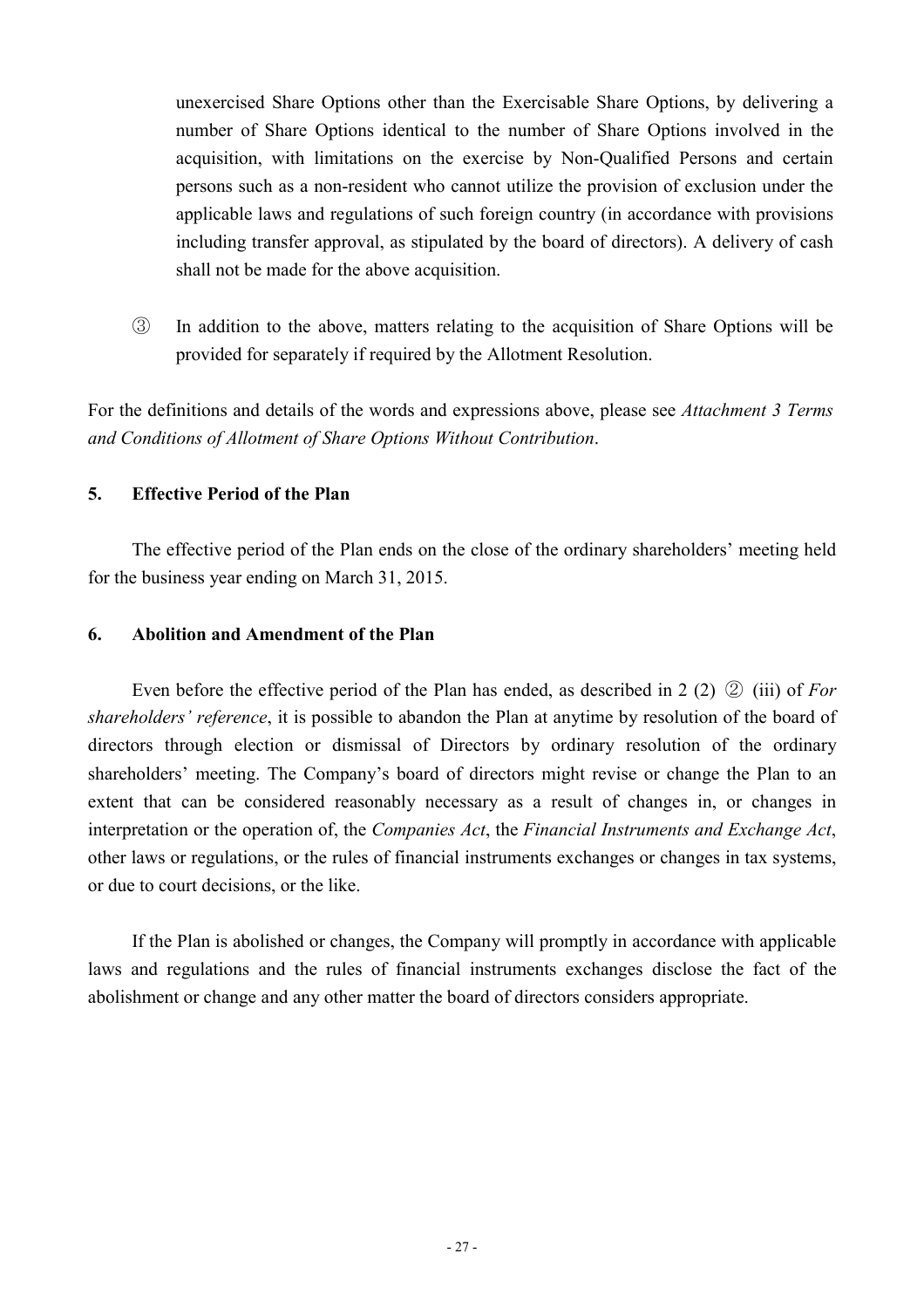unexercised Share Options other than the Exercisable Share Options, by delivering a number of Share Options identical to the number of Share Options involved in the acquisition, with limitations on the exercise by Non-Qualified Persons and certain persons such as a non-resident who cannot utilize the provision of exclusion under the applicable laws and regulations of such foreign country (in accordance with provisions including transfer approval, as stipulated by the board of directors). A delivery of cash shall not be made for the above acquisition.

③ In addition to the above, matters relating to the acquisition of Share Options will be provided for separately if required by the Allotment Resolution.

For the definitions and details of the words and expressions above, please see *Attachment 3 Terms and Conditions of Allotment of Share Options Without Contribution*.

### **5. Effective Period of the Plan**

The effective period of the Plan ends on the close of the ordinary shareholders' meeting held for the business year ending on March 31, 2015.

### **6. Abolition and Amendment of the Plan**

Even before the effective period of the Plan has ended, as described in 2 (2) ② (iii) of *For shareholders' reference*, it is possible to abandon the Plan at anytime by resolution of the board of directors through election or dismissal of Directors by ordinary resolution of the ordinary shareholders' meeting. The Company's board of directors might revise or change the Plan to an extent that can be considered reasonably necessary as a result of changes in, or changes in interpretation or the operation of, the *Companies Act*, the *Financial Instruments and Exchange Act*, other laws or regulations, or the rules of financial instruments exchanges or changes in tax systems, or due to court decisions, or the like.

If the Plan is abolished or changes, the Company will promptly in accordance with applicable laws and regulations and the rules of financial instruments exchanges disclose the fact of the abolishment or change and any other matter the board of directors considers appropriate.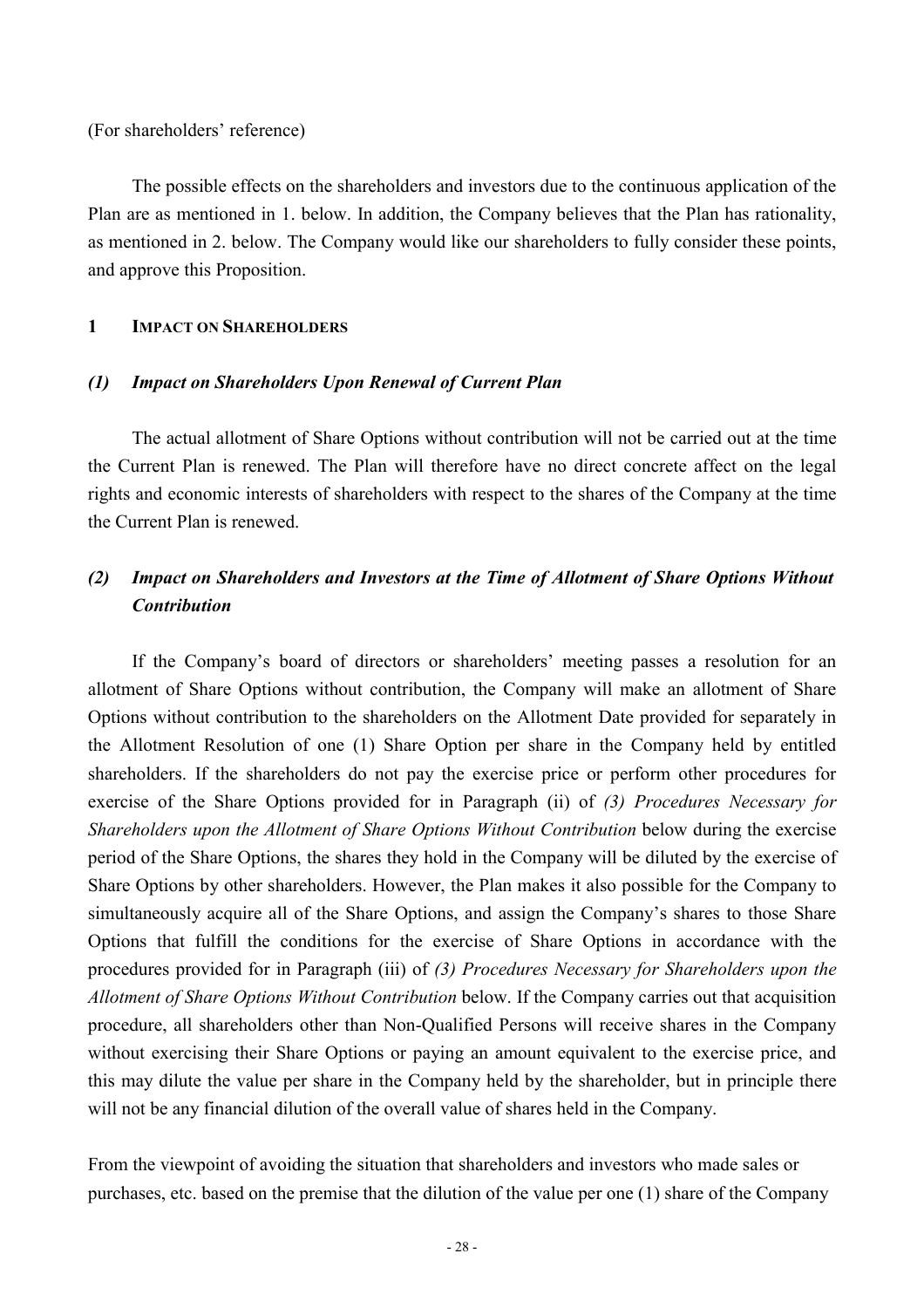(For shareholders' reference)

The possible effects on the shareholders and investors due to the continuous application of the Plan are as mentioned in 1. below. In addition, the Company believes that the Plan has rationality, as mentioned in 2. below. The Company would like our shareholders to fully consider these points, and approve this Proposition.

#### **1 IMPACT ON SHAREHOLDERS**

### *(1) Impact on Shareholders Upon Renewal of Current Plan*

The actual allotment of Share Options without contribution will not be carried out at the time the Current Plan is renewed. The Plan will therefore have no direct concrete affect on the legal rights and economic interests of shareholders with respect to the shares of the Company at the time the Current Plan is renewed.

## *(2) Impact on Shareholders and Investors at the Time of Allotment of Share Options Without Contribution*

If the Company's board of directors or shareholders' meeting passes a resolution for an allotment of Share Options without contribution, the Company will make an allotment of Share Options without contribution to the shareholders on the Allotment Date provided for separately in the Allotment Resolution of one (1) Share Option per share in the Company held by entitled shareholders. If the shareholders do not pay the exercise price or perform other procedures for exercise of the Share Options provided for in Paragraph (ii) of *(3) Procedures Necessary for Shareholders upon the Allotment of Share Options Without Contribution* below during the exercise period of the Share Options, the shares they hold in the Company will be diluted by the exercise of Share Options by other shareholders. However, the Plan makes it also possible for the Company to simultaneously acquire all of the Share Options, and assign the Company's shares to those Share Options that fulfill the conditions for the exercise of Share Options in accordance with the procedures provided for in Paragraph (iii) of *(3) Procedures Necessary for Shareholders upon the Allotment of Share Options Without Contribution* below. If the Company carries out that acquisition procedure, all shareholders other than Non-Qualified Persons will receive shares in the Company without exercising their Share Options or paying an amount equivalent to the exercise price, and this may dilute the value per share in the Company held by the shareholder, but in principle there will not be any financial dilution of the overall value of shares held in the Company.

From the viewpoint of avoiding the situation that shareholders and investors who made sales or purchases, etc. based on the premise that the dilution of the value per one (1) share of the Company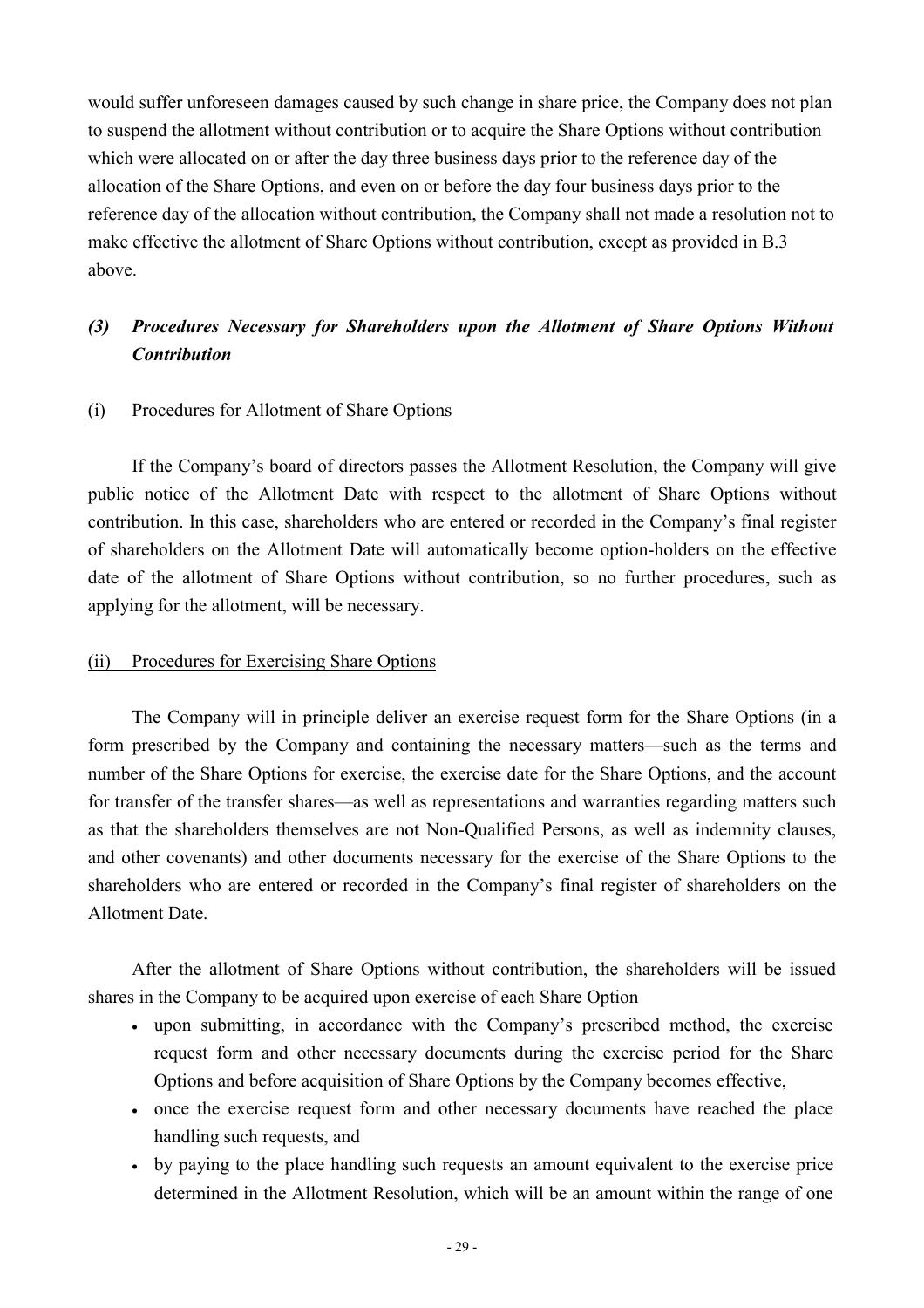would suffer unforeseen damages caused by such change in share price, the Company does not plan to suspend the allotment without contribution or to acquire the Share Options without contribution which were allocated on or after the day three business days prior to the reference day of the allocation of the Share Options, and even on or before the day four business days prior to the reference day of the allocation without contribution, the Company shall not made a resolution not to make effective the allotment of Share Options without contribution, except as provided in B.3 above.

## *(3) Procedures Necessary for Shareholders upon the Allotment of Share Options Without Contribution*

#### (i) Procedures for Allotment of Share Options

If the Company's board of directors passes the Allotment Resolution, the Company will give public notice of the Allotment Date with respect to the allotment of Share Options without contribution. In this case, shareholders who are entered or recorded in the Company's final register of shareholders on the Allotment Date will automatically become option-holders on the effective date of the allotment of Share Options without contribution, so no further procedures, such as applying for the allotment, will be necessary.

#### (ii) Procedures for Exercising Share Options

The Company will in principle deliver an exercise request form for the Share Options (in a form prescribed by the Company and containing the necessary matters—such as the terms and number of the Share Options for exercise, the exercise date for the Share Options, and the account for transfer of the transfer shares—as well as representations and warranties regarding matters such as that the shareholders themselves are not Non-Qualified Persons, as well as indemnity clauses, and other covenants) and other documents necessary for the exercise of the Share Options to the shareholders who are entered or recorded in the Company's final register of shareholders on the Allotment Date.

After the allotment of Share Options without contribution, the shareholders will be issued shares in the Company to be acquired upon exercise of each Share Option

- upon submitting, in accordance with the Company's prescribed method, the exercise request form and other necessary documents during the exercise period for the Share Options and before acquisition of Share Options by the Company becomes effective,
- once the exercise request form and other necessary documents have reached the place handling such requests, and
- by paying to the place handling such requests an amount equivalent to the exercise price determined in the Allotment Resolution, which will be an amount within the range of one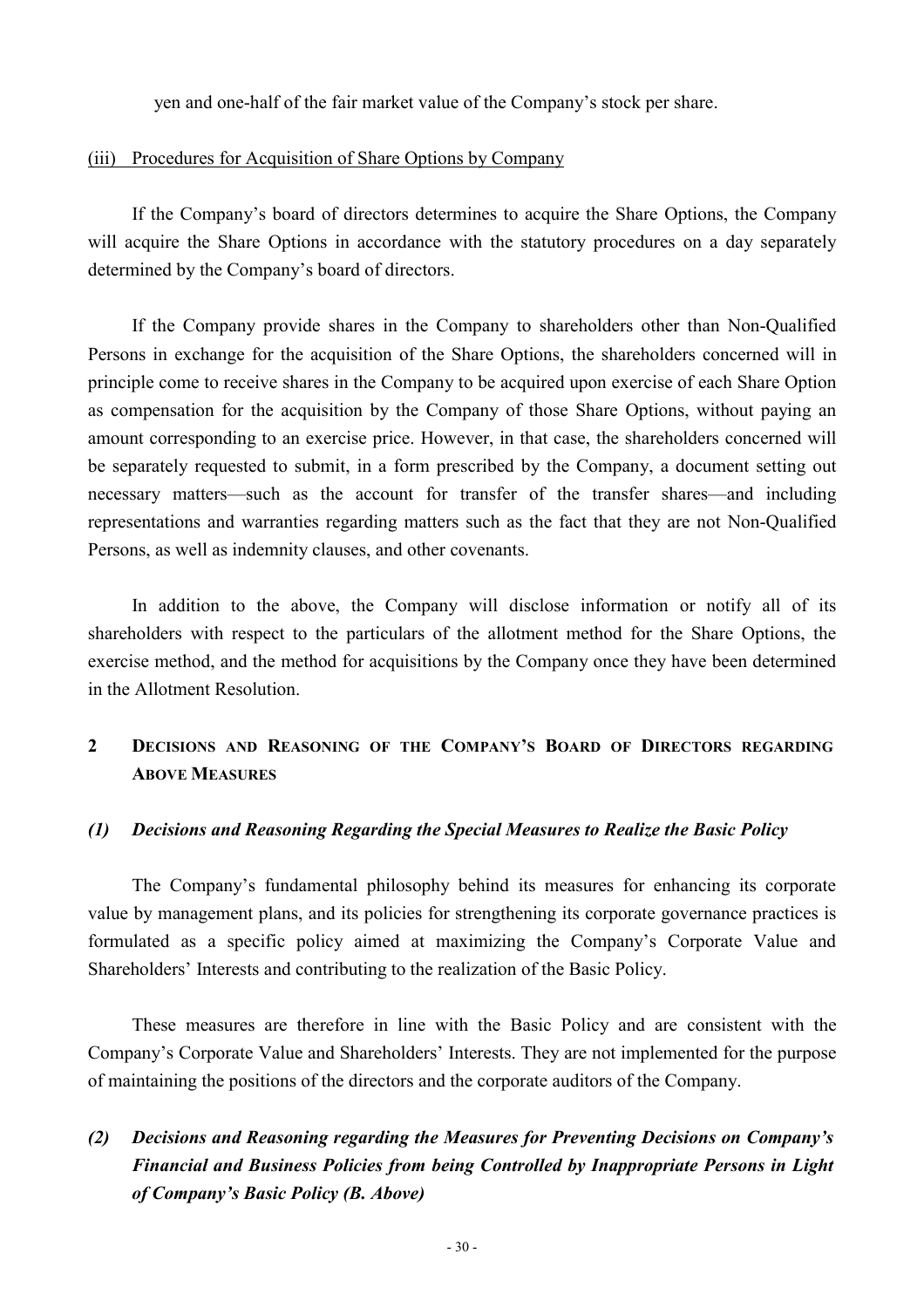yen and one-half of the fair market value of the Company's stock per share.

#### (iii) Procedures for Acquisition of Share Options by Company

If the Company's board of directors determines to acquire the Share Options, the Company will acquire the Share Options in accordance with the statutory procedures on a day separately determined by the Company's board of directors.

If the Company provide shares in the Company to shareholders other than Non-Qualified Persons in exchange for the acquisition of the Share Options, the shareholders concerned will in principle come to receive shares in the Company to be acquired upon exercise of each Share Option as compensation for the acquisition by the Company of those Share Options, without paying an amount corresponding to an exercise price. However, in that case, the shareholders concerned will be separately requested to submit, in a form prescribed by the Company, a document setting out necessary matters—such as the account for transfer of the transfer shares—and including representations and warranties regarding matters such as the fact that they are not Non-Qualified Persons, as well as indemnity clauses, and other covenants.

In addition to the above, the Company will disclose information or notify all of its shareholders with respect to the particulars of the allotment method for the Share Options, the exercise method, and the method for acquisitions by the Company once they have been determined in the Allotment Resolution.

## **2 DECISIONS AND REASONING OF THE COMPANY'S BOARD OF DIRECTORS REGARDING ABOVE MEASURES**

#### *(1) Decisions and Reasoning Regarding the Special Measures to Realize the Basic Policy*

The Company's fundamental philosophy behind its measures for enhancing its corporate value by management plans, and its policies for strengthening its corporate governance practices is formulated as a specific policy aimed at maximizing the Company's Corporate Value and Shareholders' Interests and contributing to the realization of the Basic Policy.

These measures are therefore in line with the Basic Policy and are consistent with the Company's Corporate Value and Shareholders' Interests. They are not implemented for the purpose of maintaining the positions of the directors and the corporate auditors of the Company.

## *(2) Decisions and Reasoning regarding the Measures for Preventing Decisions on Company's Financial and Business Policies from being Controlled by Inappropriate Persons in Light of Company's Basic Policy (B. Above)*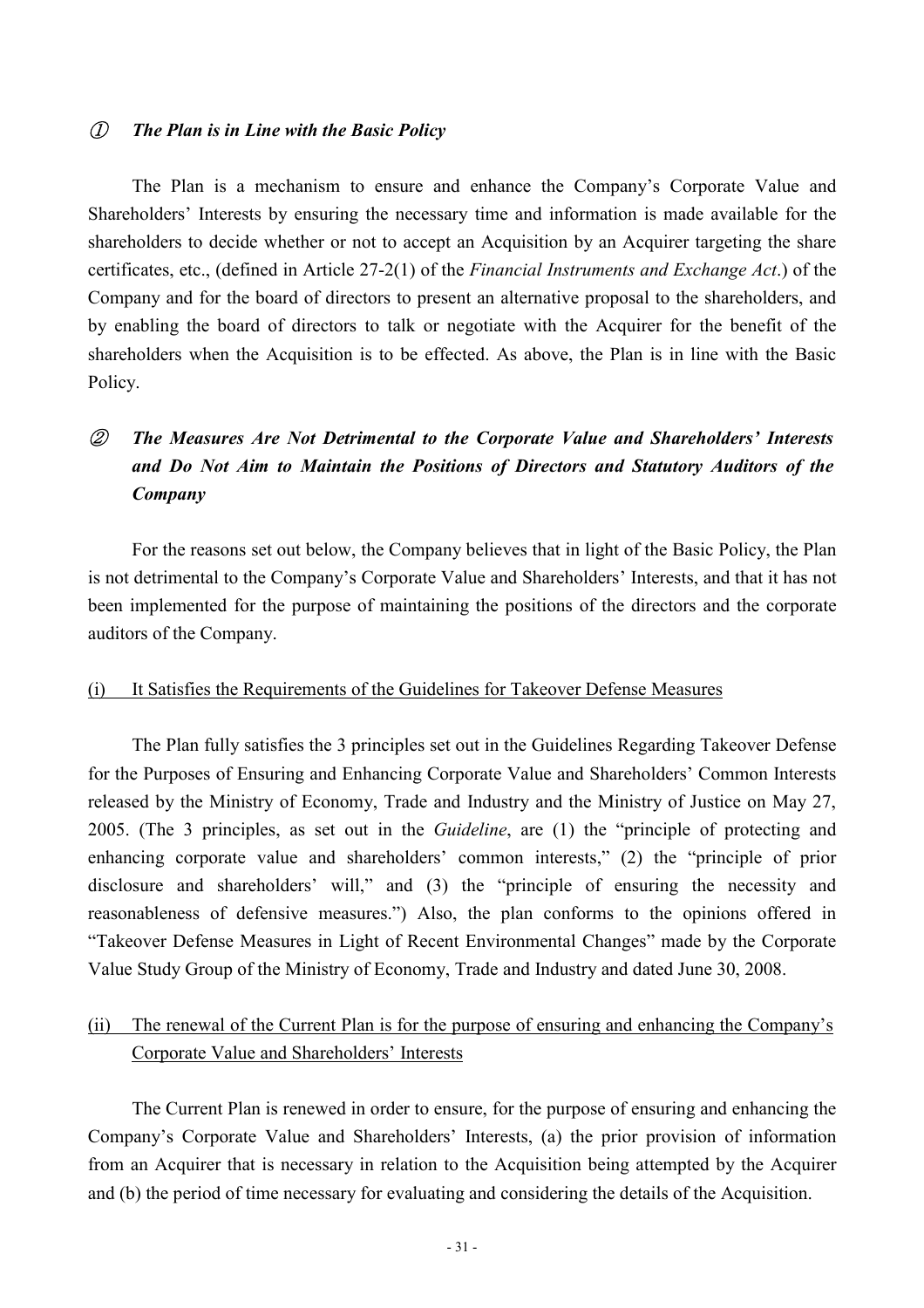### ① *The Plan is in Line with the Basic Policy*

The Plan is a mechanism to ensure and enhance the Company's Corporate Value and Shareholders' Interests by ensuring the necessary time and information is made available for the shareholders to decide whether or not to accept an Acquisition by an Acquirer targeting the share certificates, etc., (defined in Article 27-2(1) of the *Financial Instruments and Exchange Act*.) of the Company and for the board of directors to present an alternative proposal to the shareholders, and by enabling the board of directors to talk or negotiate with the Acquirer for the benefit of the shareholders when the Acquisition is to be effected. As above, the Plan is in line with the Basic Policy.

## ② *The Measures Are Not Detrimental to the Corporate Value and Shareholders' Interests and Do Not Aim to Maintain the Positions of Directors and Statutory Auditors of the Company*

For the reasons set out below, the Company believes that in light of the Basic Policy, the Plan is not detrimental to the Company's Corporate Value and Shareholders' Interests, and that it has not been implemented for the purpose of maintaining the positions of the directors and the corporate auditors of the Company.

#### (i) It Satisfies the Requirements of the Guidelines for Takeover Defense Measures

The Plan fully satisfies the 3 principles set out in the Guidelines Regarding Takeover Defense for the Purposes of Ensuring and Enhancing Corporate Value and Shareholders' Common Interests released by the Ministry of Economy, Trade and Industry and the Ministry of Justice on May 27, 2005. (The 3 principles, as set out in the *Guideline*, are (1) the "principle of protecting and enhancing corporate value and shareholders' common interests," (2) the "principle of prior disclosure and shareholders' will," and (3) the "principle of ensuring the necessity and reasonableness of defensive measures.") Also, the plan conforms to the opinions offered in "Takeover Defense Measures in Light of Recent Environmental Changes" made by the Corporate Value Study Group of the Ministry of Economy, Trade and Industry and dated June 30, 2008.

## (ii) The renewal of the Current Plan is for the purpose of ensuring and enhancing the Company's Corporate Value and Shareholders' Interests

The Current Plan is renewed in order to ensure, for the purpose of ensuring and enhancing the Company's Corporate Value and Shareholders' Interests, (a) the prior provision of information from an Acquirer that is necessary in relation to the Acquisition being attempted by the Acquirer and (b) the period of time necessary for evaluating and considering the details of the Acquisition.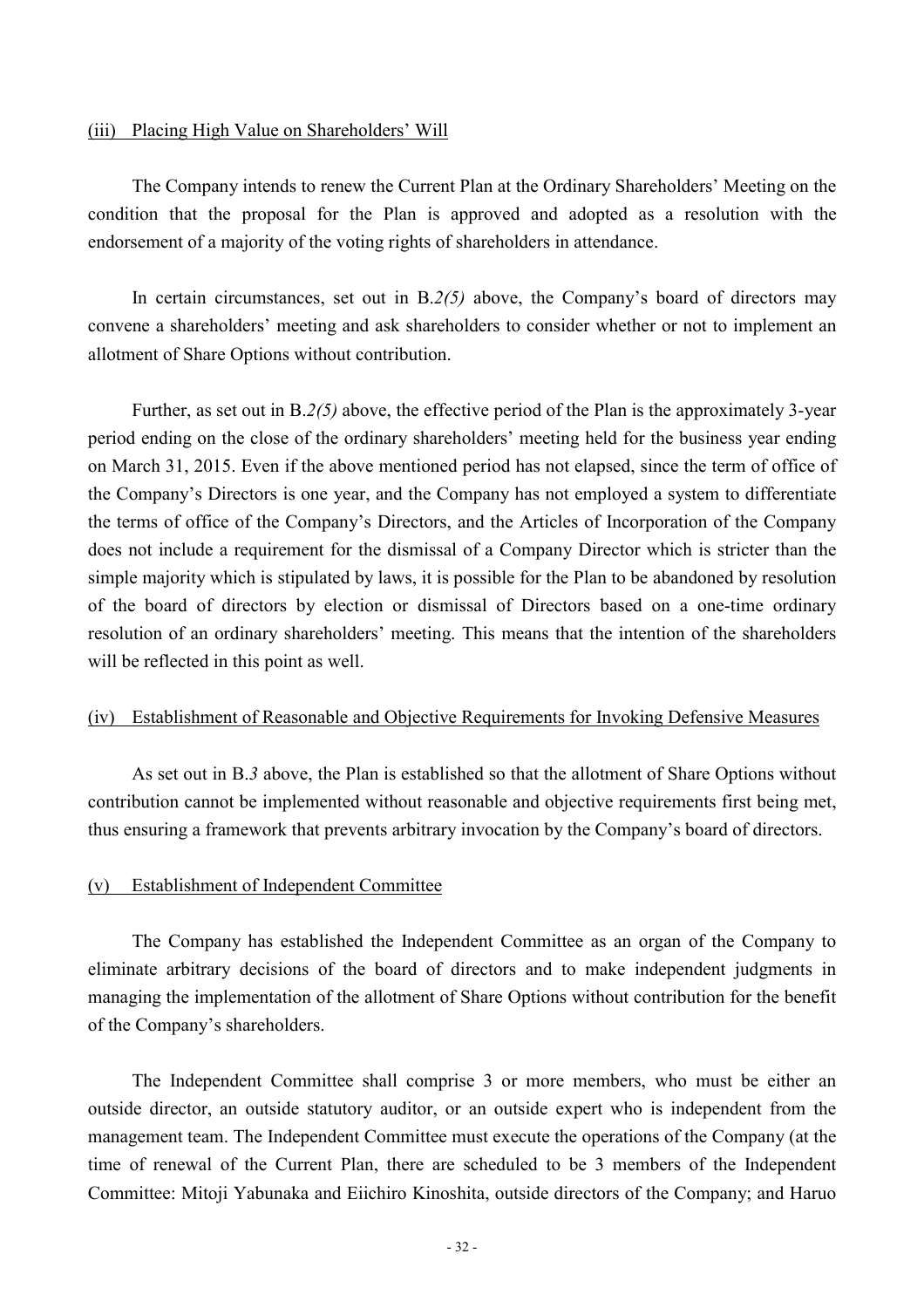#### (iii) Placing High Value on Shareholders' Will

The Company intends to renew the Current Plan at the Ordinary Shareholders' Meeting on the condition that the proposal for the Plan is approved and adopted as a resolution with the endorsement of a majority of the voting rights of shareholders in attendance.

In certain circumstances, set out in B.*2(5)* above, the Company's board of directors may convene a shareholders' meeting and ask shareholders to consider whether or not to implement an allotment of Share Options without contribution.

Further, as set out in B.*2(5)* above, the effective period of the Plan is the approximately 3-year period ending on the close of the ordinary shareholders' meeting held for the business year ending on March 31, 2015. Even if the above mentioned period has not elapsed, since the term of office of the Company's Directors is one year, and the Company has not employed a system to differentiate the terms of office of the Company's Directors, and the Articles of Incorporation of the Company does not include a requirement for the dismissal of a Company Director which is stricter than the simple majority which is stipulated by laws, it is possible for the Plan to be abandoned by resolution of the board of directors by election or dismissal of Directors based on a one-time ordinary resolution of an ordinary shareholders' meeting. This means that the intention of the shareholders will be reflected in this point as well.

#### (iv) Establishment of Reasonable and Objective Requirements for Invoking Defensive Measures

As set out in B.*3* above, the Plan is established so that the allotment of Share Options without contribution cannot be implemented without reasonable and objective requirements first being met, thus ensuring a framework that prevents arbitrary invocation by the Company's board of directors.

#### (v) Establishment of Independent Committee

The Company has established the Independent Committee as an organ of the Company to eliminate arbitrary decisions of the board of directors and to make independent judgments in managing the implementation of the allotment of Share Options without contribution for the benefit of the Company's shareholders.

The Independent Committee shall comprise 3 or more members, who must be either an outside director, an outside statutory auditor, or an outside expert who is independent from the management team. The Independent Committee must execute the operations of the Company (at the time of renewal of the Current Plan, there are scheduled to be 3 members of the Independent Committee: Mitoji Yabunaka and Eiichiro Kinoshita, outside directors of the Company; and Haruo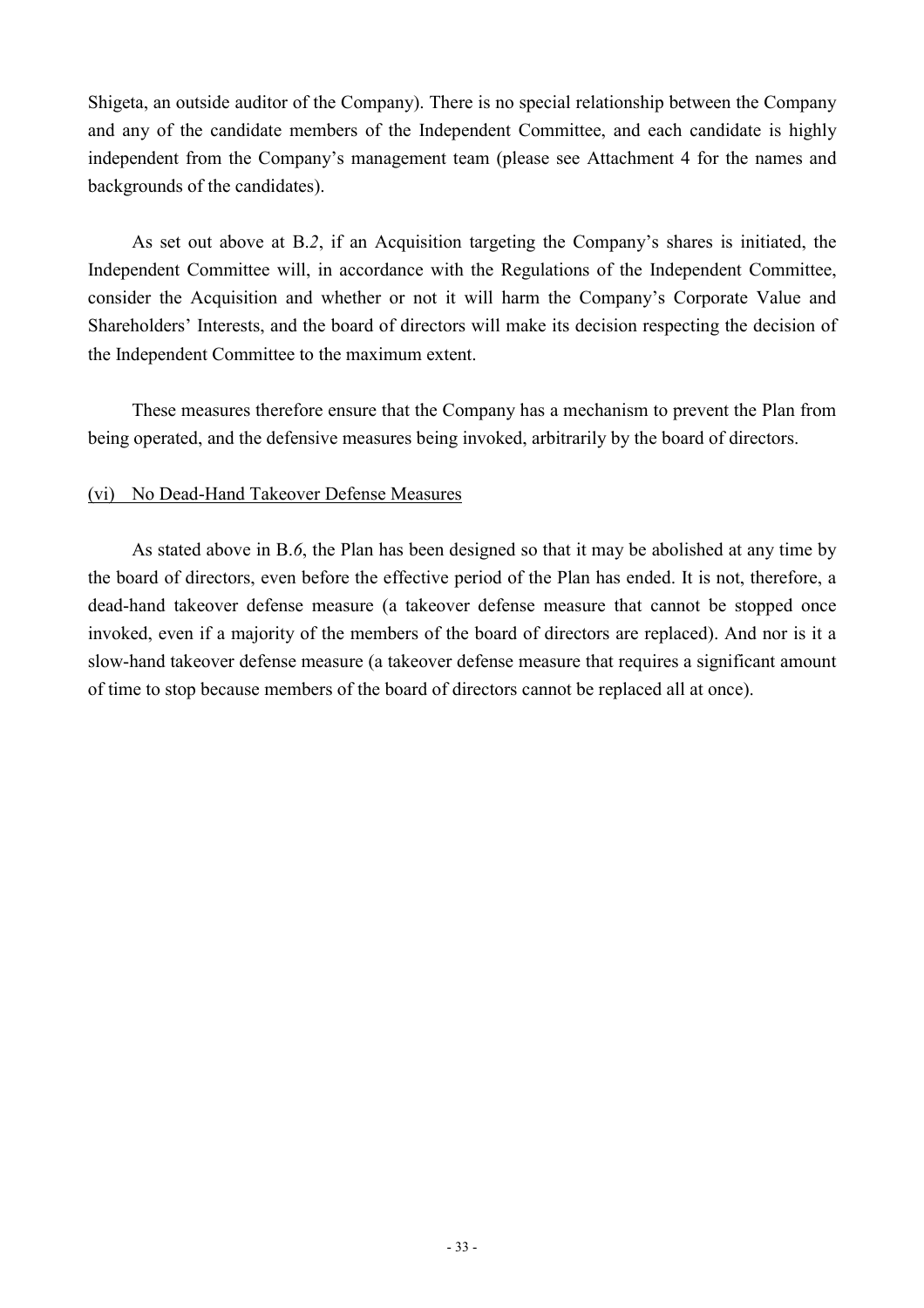Shigeta, an outside auditor of the Company). There is no special relationship between the Company and any of the candidate members of the Independent Committee, and each candidate is highly independent from the Company's management team (please see Attachment 4 for the names and backgrounds of the candidates).

As set out above at B.*2*, if an Acquisition targeting the Company's shares is initiated, the Independent Committee will, in accordance with the Regulations of the Independent Committee, consider the Acquisition and whether or not it will harm the Company's Corporate Value and Shareholders' Interests, and the board of directors will make its decision respecting the decision of the Independent Committee to the maximum extent.

These measures therefore ensure that the Company has a mechanism to prevent the Plan from being operated, and the defensive measures being invoked, arbitrarily by the board of directors.

### (vi) No Dead-Hand Takeover Defense Measures

As stated above in B.*6*, the Plan has been designed so that it may be abolished at any time by the board of directors, even before the effective period of the Plan has ended. It is not, therefore, a dead-hand takeover defense measure (a takeover defense measure that cannot be stopped once invoked, even if a majority of the members of the board of directors are replaced). And nor is it a slow-hand takeover defense measure (a takeover defense measure that requires a significant amount of time to stop because members of the board of directors cannot be replaced all at once).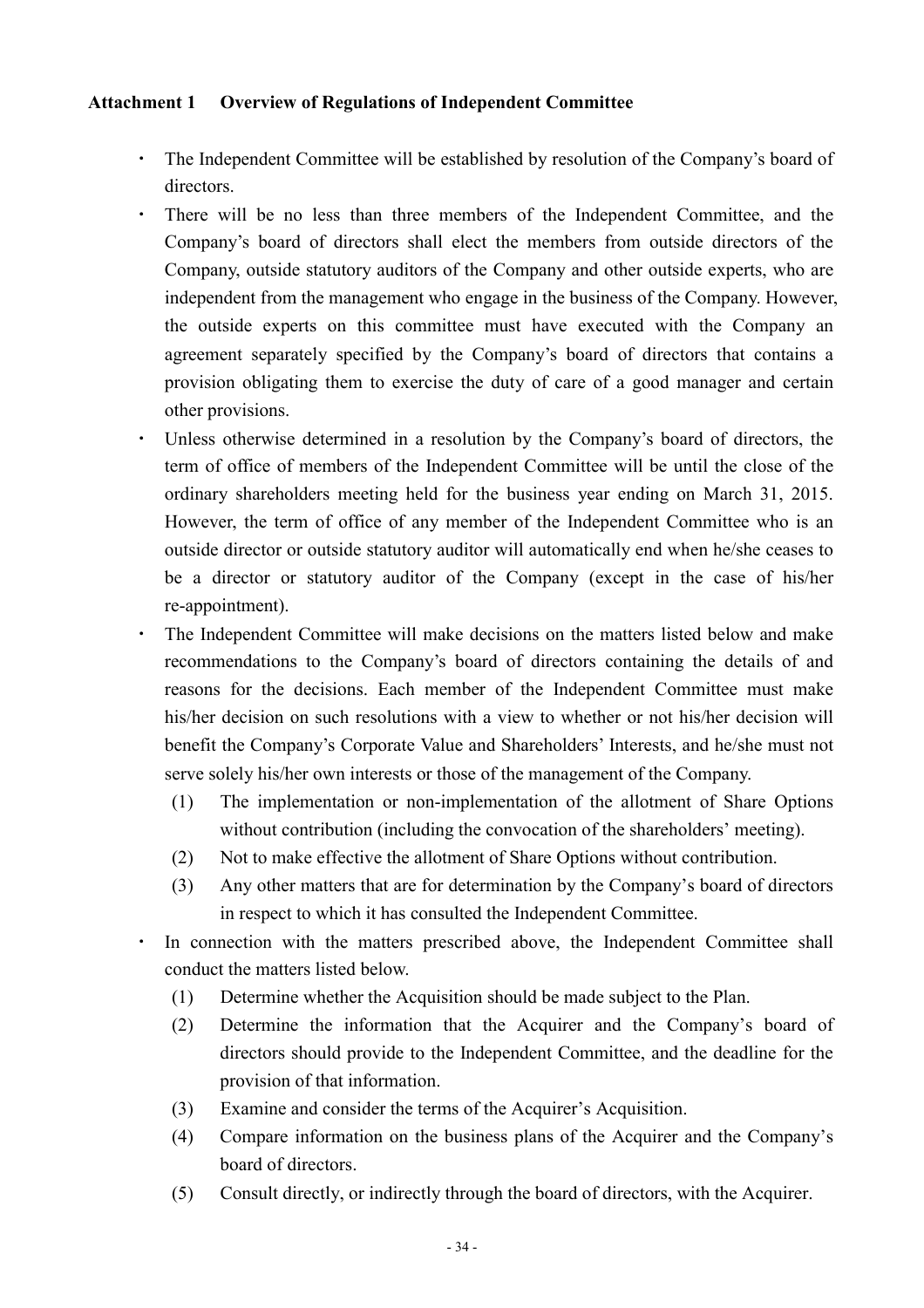## **Attachment 1 Overview of Regulations of Independent Committee**

- ・ The Independent Committee will be established by resolution of the Company's board of directors.
- ・ There will be no less than three members of the Independent Committee, and the Company's board of directors shall elect the members from outside directors of the Company, outside statutory auditors of the Company and other outside experts, who are independent from the management who engage in the business of the Company. However, the outside experts on this committee must have executed with the Company an agreement separately specified by the Company's board of directors that contains a provision obligating them to exercise the duty of care of a good manager and certain other provisions.
- ・ Unless otherwise determined in a resolution by the Company's board of directors, the term of office of members of the Independent Committee will be until the close of the ordinary shareholders meeting held for the business year ending on March 31, 2015. However, the term of office of any member of the Independent Committee who is an outside director or outside statutory auditor will automatically end when he/she ceases to be a director or statutory auditor of the Company (except in the case of his/her re-appointment).
- ・ The Independent Committee will make decisions on the matters listed below and make recommendations to the Company's board of directors containing the details of and reasons for the decisions. Each member of the Independent Committee must make his/her decision on such resolutions with a view to whether or not his/her decision will benefit the Company's Corporate Value and Shareholders' Interests, and he/she must not serve solely his/her own interests or those of the management of the Company.
	- (1) The implementation or non-implementation of the allotment of Share Options without contribution (including the convocation of the shareholders' meeting).
	- (2) Not to make effective the allotment of Share Options without contribution.
	- (3) Any other matters that are for determination by the Company's board of directors in respect to which it has consulted the Independent Committee.
	- In connection with the matters prescribed above, the Independent Committee shall conduct the matters listed below.
		- (1) Determine whether the Acquisition should be made subject to the Plan.
		- (2) Determine the information that the Acquirer and the Company's board of directors should provide to the Independent Committee, and the deadline for the provision of that information.
		- (3) Examine and consider the terms of the Acquirer's Acquisition.
		- (4) Compare information on the business plans of the Acquirer and the Company's board of directors.
		- (5) Consult directly, or indirectly through the board of directors, with the Acquirer.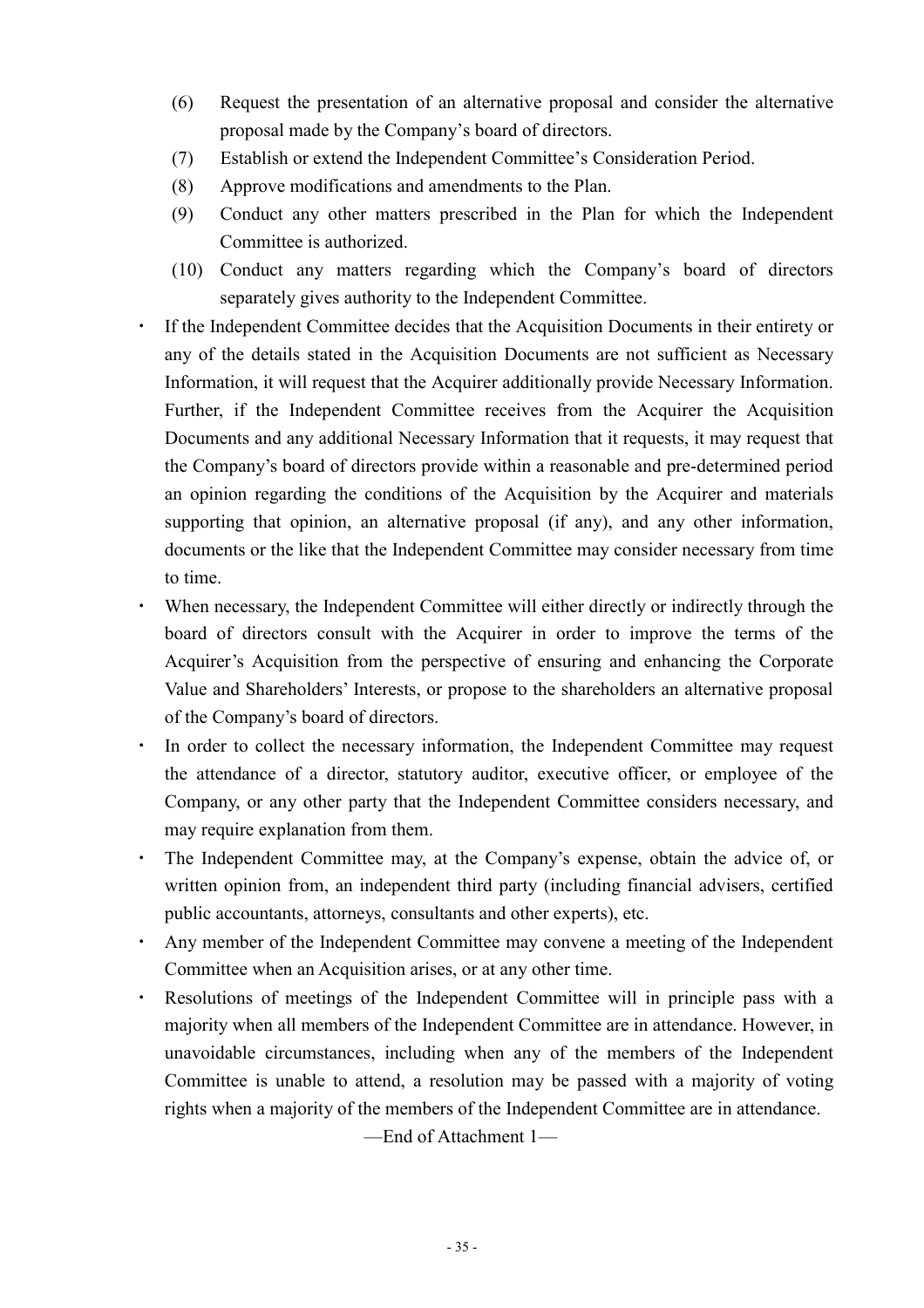- (6) Request the presentation of an alternative proposal and consider the alternative proposal made by the Company's board of directors.
- (7) Establish or extend the Independent Committee's Consideration Period.
- (8) Approve modifications and amendments to the Plan.
- (9) Conduct any other matters prescribed in the Plan for which the Independent Committee is authorized.
- (10) Conduct any matters regarding which the Company's board of directors separately gives authority to the Independent Committee.
- ・ If the Independent Committee decides that the Acquisition Documents in their entirety or any of the details stated in the Acquisition Documents are not sufficient as Necessary Information, it will request that the Acquirer additionally provide Necessary Information. Further, if the Independent Committee receives from the Acquirer the Acquisition Documents and any additional Necessary Information that it requests, it may request that the Company's board of directors provide within a reasonable and pre-determined period an opinion regarding the conditions of the Acquisition by the Acquirer and materials supporting that opinion, an alternative proposal (if any), and any other information, documents or the like that the Independent Committee may consider necessary from time to time.
- ・ When necessary, the Independent Committee will either directly or indirectly through the board of directors consult with the Acquirer in order to improve the terms of the Acquirer's Acquisition from the perspective of ensuring and enhancing the Corporate Value and Shareholders' Interests, or propose to the shareholders an alternative proposal of the Company's board of directors.
- ・ In order to collect the necessary information, the Independent Committee may request the attendance of a director, statutory auditor, executive officer, or employee of the Company, or any other party that the Independent Committee considers necessary, and may require explanation from them.
- ・ The Independent Committee may, at the Company's expense, obtain the advice of, or written opinion from, an independent third party (including financial advisers, certified public accountants, attorneys, consultants and other experts), etc.
- Any member of the Independent Committee may convene a meeting of the Independent Committee when an Acquisition arises, or at any other time.
- ・ Resolutions of meetings of the Independent Committee will in principle pass with a majority when all members of the Independent Committee are in attendance. However, in unavoidable circumstances, including when any of the members of the Independent Committee is unable to attend, a resolution may be passed with a majority of voting rights when a majority of the members of the Independent Committee are in attendance.

—End of Attachment 1—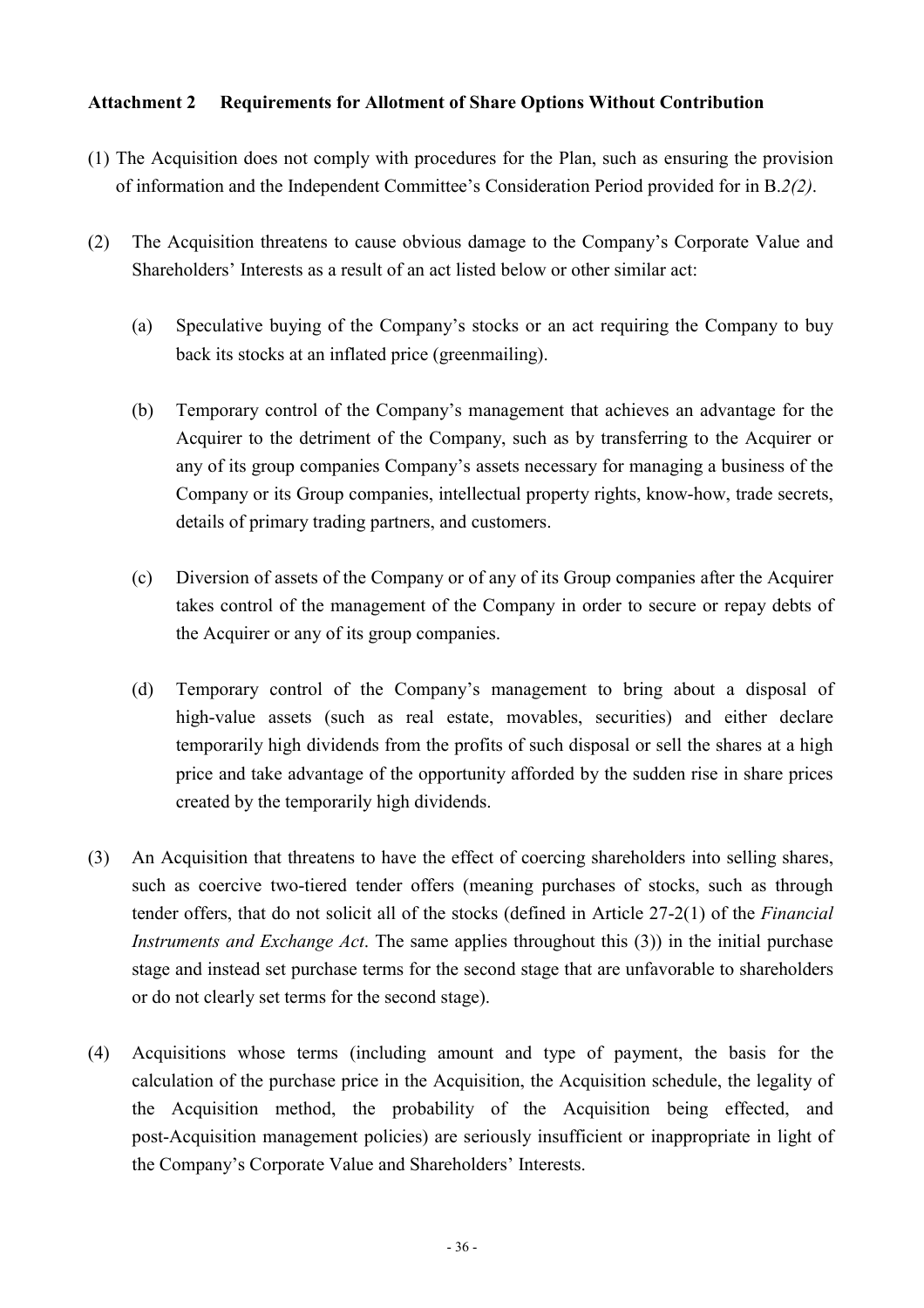## **Attachment 2 Requirements for Allotment of Share Options Without Contribution**

- (1) The Acquisition does not comply with procedures for the Plan, such as ensuring the provision of information and the Independent Committee's Consideration Period provided for in B.*2(2)*.
- (2) The Acquisition threatens to cause obvious damage to the Company's Corporate Value and Shareholders' Interests as a result of an act listed below or other similar act:
	- (a) Speculative buying of the Company's stocks or an act requiring the Company to buy back its stocks at an inflated price (greenmailing).
	- (b) Temporary control of the Company's management that achieves an advantage for the Acquirer to the detriment of the Company, such as by transferring to the Acquirer or any of its group companies Company's assets necessary for managing a business of the Company or its Group companies, intellectual property rights, know-how, trade secrets, details of primary trading partners, and customers.
	- (c) Diversion of assets of the Company or of any of its Group companies after the Acquirer takes control of the management of the Company in order to secure or repay debts of the Acquirer or any of its group companies.
	- (d) Temporary control of the Company's management to bring about a disposal of high-value assets (such as real estate, movables, securities) and either declare temporarily high dividends from the profits of such disposal or sell the shares at a high price and take advantage of the opportunity afforded by the sudden rise in share prices created by the temporarily high dividends.
- (3) An Acquisition that threatens to have the effect of coercing shareholders into selling shares, such as coercive two-tiered tender offers (meaning purchases of stocks, such as through tender offers, that do not solicit all of the stocks (defined in Article 27-2(1) of the *Financial Instruments and Exchange Act*. The same applies throughout this (3)) in the initial purchase stage and instead set purchase terms for the second stage that are unfavorable to shareholders or do not clearly set terms for the second stage).
- (4) Acquisitions whose terms (including amount and type of payment, the basis for the calculation of the purchase price in the Acquisition, the Acquisition schedule, the legality of the Acquisition method, the probability of the Acquisition being effected, and post-Acquisition management policies) are seriously insufficient or inappropriate in light of the Company's Corporate Value and Shareholders' Interests.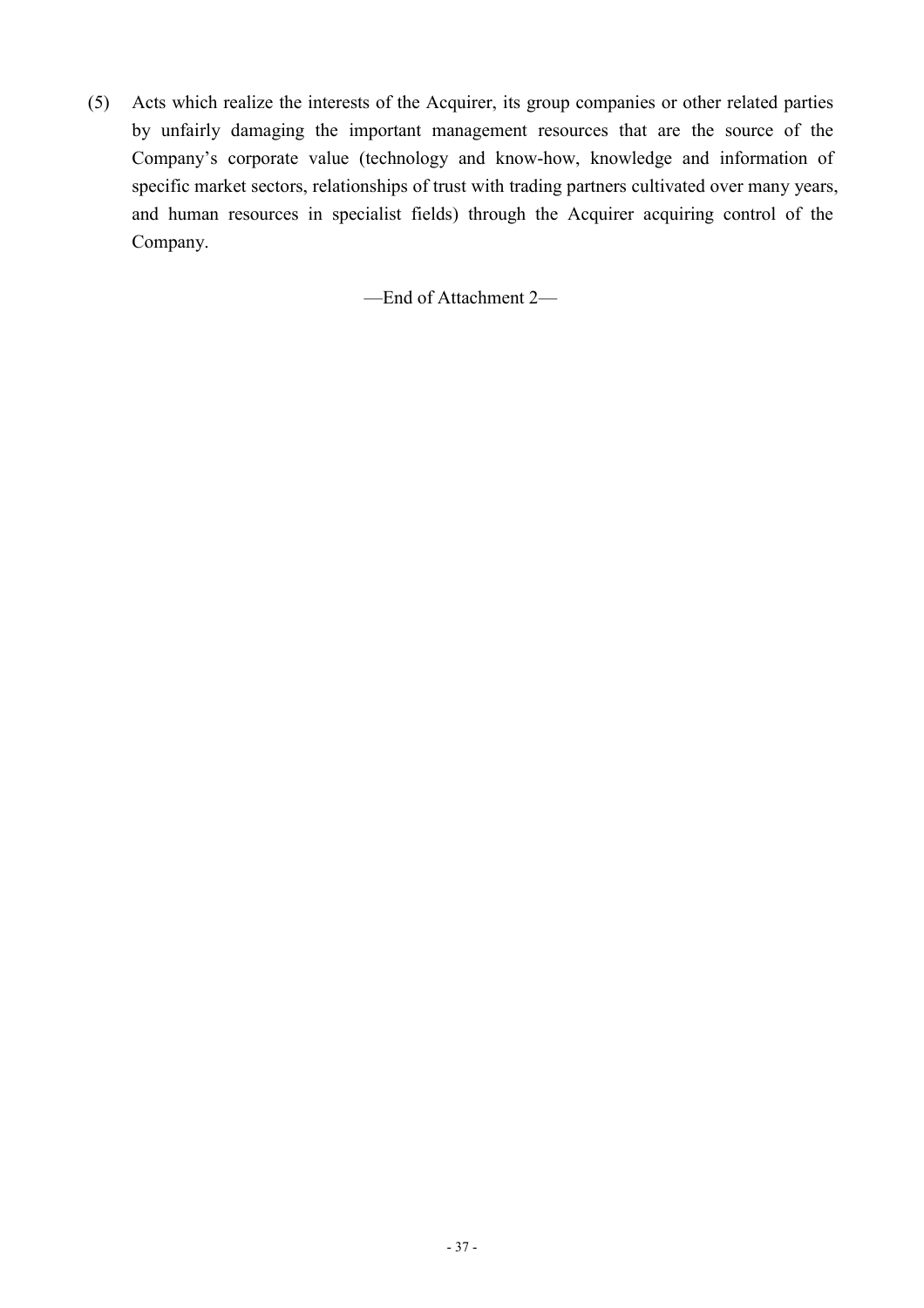(5) Acts which realize the interests of the Acquirer, its group companies or other related parties by unfairly damaging the important management resources that are the source of the Company's corporate value (technology and know-how, knowledge and information of specific market sectors, relationships of trust with trading partners cultivated over many years, and human resources in specialist fields) through the Acquirer acquiring control of the Company.

—End of Attachment 2—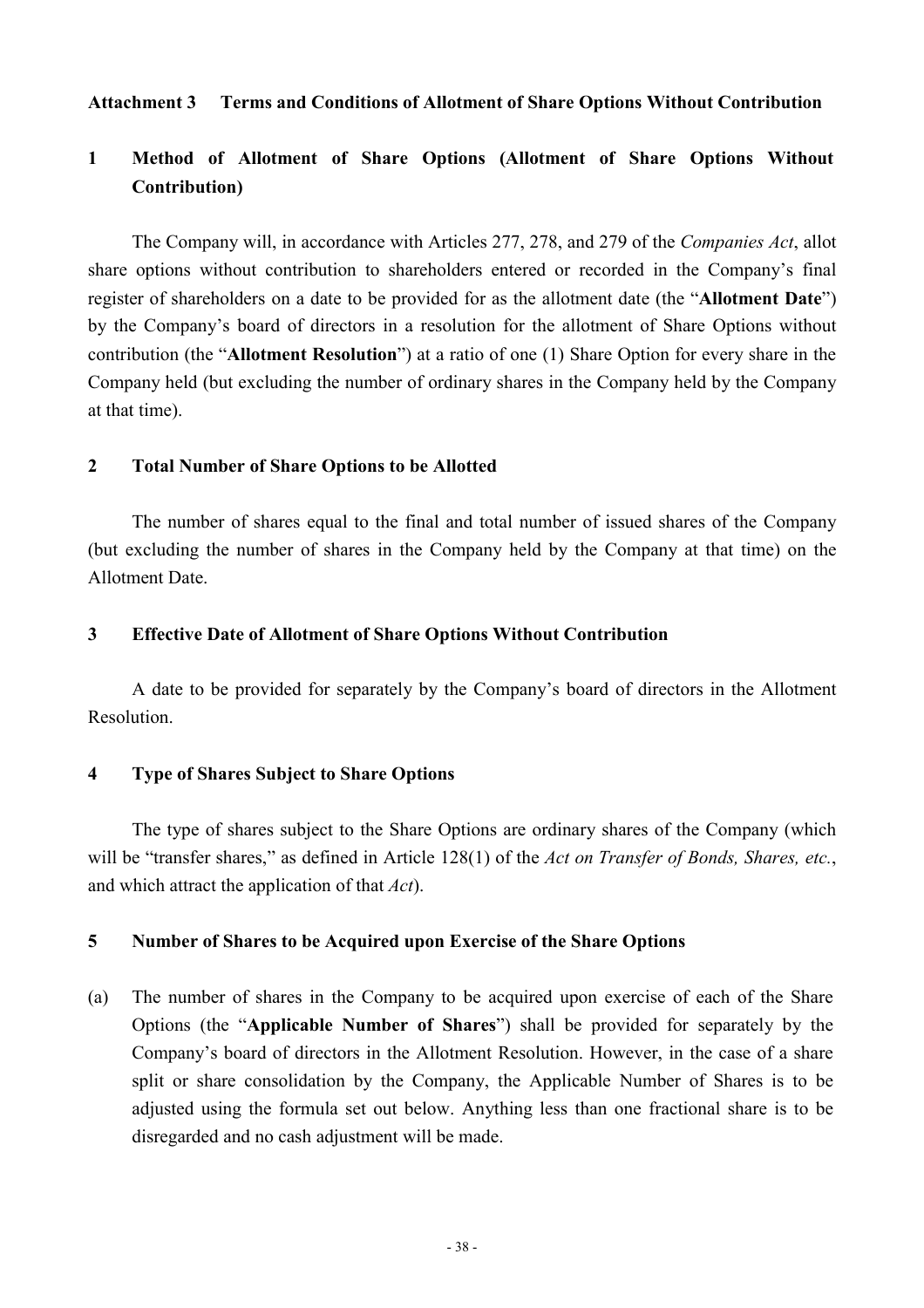### **Attachment 3 Terms and Conditions of Allotment of Share Options Without Contribution**

## **1 Method of Allotment of Share Options (Allotment of Share Options Without Contribution)**

The Company will, in accordance with Articles 277, 278, and 279 of the *Companies Act*, allot share options without contribution to shareholders entered or recorded in the Company's final register of shareholders on a date to be provided for as the allotment date (the "**Allotment Date**") by the Company's board of directors in a resolution for the allotment of Share Options without contribution (the "**Allotment Resolution**") at a ratio of one (1) Share Option for every share in the Company held (but excluding the number of ordinary shares in the Company held by the Company at that time).

### **2 Total Number of Share Options to be Allotted**

The number of shares equal to the final and total number of issued shares of the Company (but excluding the number of shares in the Company held by the Company at that time) on the Allotment Date.

#### **3 Effective Date of Allotment of Share Options Without Contribution**

A date to be provided for separately by the Company's board of directors in the Allotment Resolution.

### **4 Type of Shares Subject to Share Options**

The type of shares subject to the Share Options are ordinary shares of the Company (which will be "transfer shares," as defined in Article 128(1) of the *Act on Transfer of Bonds, Shares, etc.*, and which attract the application of that *Act*).

#### **5 Number of Shares to be Acquired upon Exercise of the Share Options**

(a) The number of shares in the Company to be acquired upon exercise of each of the Share Options (the "**Applicable Number of Shares**") shall be provided for separately by the Company's board of directors in the Allotment Resolution. However, in the case of a share split or share consolidation by the Company, the Applicable Number of Shares is to be adjusted using the formula set out below. Anything less than one fractional share is to be disregarded and no cash adjustment will be made.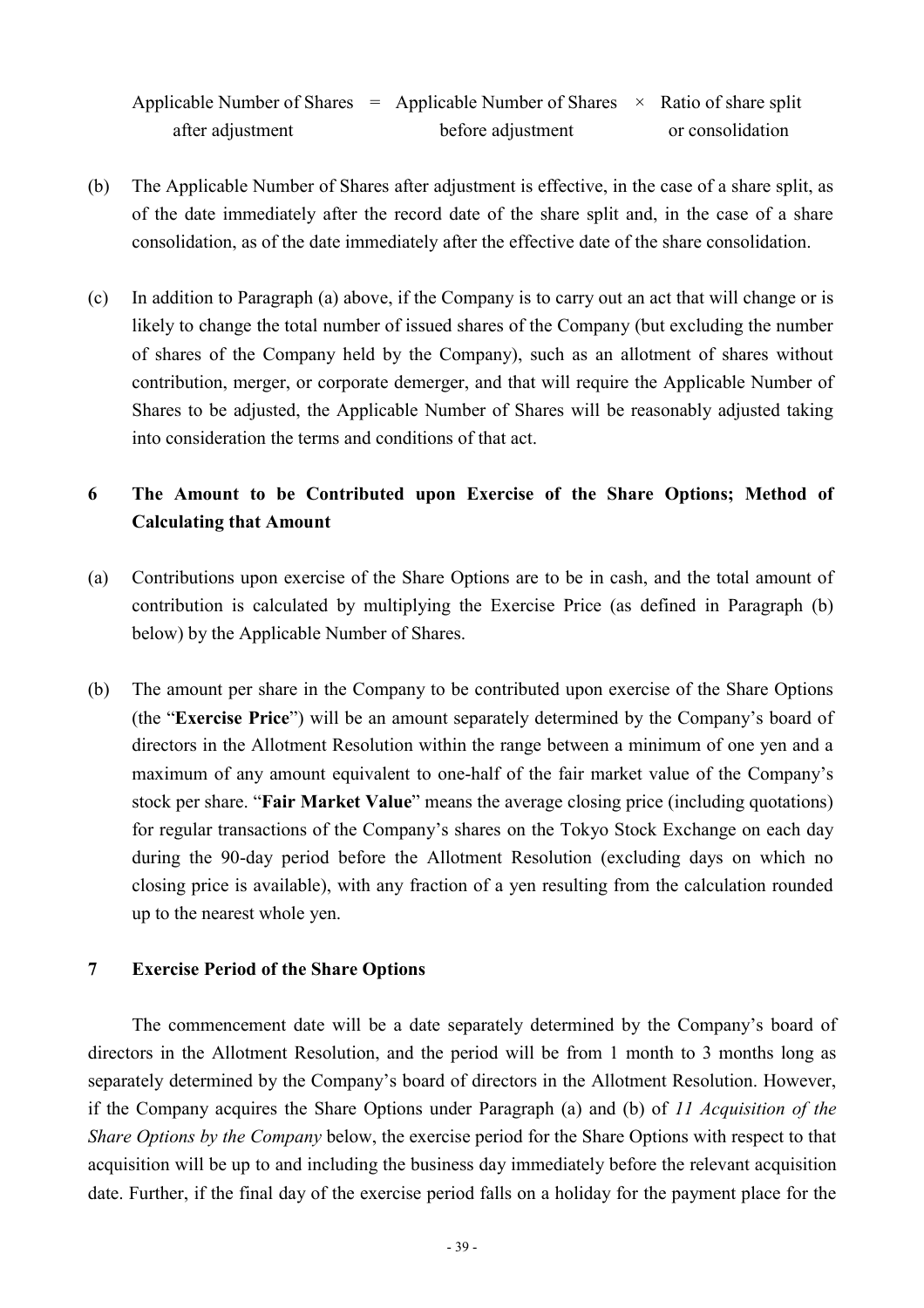Applicable Number of Shares = Applicable Number of Shares  $\times$  Ratio of share split after adjustment before adjustment or consolidation

- (b) The Applicable Number of Shares after adjustment is effective, in the case of a share split, as of the date immediately after the record date of the share split and, in the case of a share consolidation, as of the date immediately after the effective date of the share consolidation.
- (c) In addition to Paragraph (a) above, if the Company is to carry out an act that will change or is likely to change the total number of issued shares of the Company (but excluding the number of shares of the Company held by the Company), such as an allotment of shares without contribution, merger, or corporate demerger, and that will require the Applicable Number of Shares to be adjusted, the Applicable Number of Shares will be reasonably adjusted taking into consideration the terms and conditions of that act.

## **6 The Amount to be Contributed upon Exercise of the Share Options; Method of Calculating that Amount**

- (a) Contributions upon exercise of the Share Options are to be in cash, and the total amount of contribution is calculated by multiplying the Exercise Price (as defined in Paragraph (b) below) by the Applicable Number of Shares.
- (b) The amount per share in the Company to be contributed upon exercise of the Share Options (the "**Exercise Price**") will be an amount separately determined by the Company's board of directors in the Allotment Resolution within the range between a minimum of one yen and a maximum of any amount equivalent to one-half of the fair market value of the Company's stock per share. "**Fair Market Value**" means the average closing price (including quotations) for regular transactions of the Company's shares on the Tokyo Stock Exchange on each day during the 90-day period before the Allotment Resolution (excluding days on which no closing price is available), with any fraction of a yen resulting from the calculation rounded up to the nearest whole yen.

### **7 Exercise Period of the Share Options**

The commencement date will be a date separately determined by the Company's board of directors in the Allotment Resolution, and the period will be from 1 month to 3 months long as separately determined by the Company's board of directors in the Allotment Resolution. However, if the Company acquires the Share Options under Paragraph (a) and (b) of *11 Acquisition of the Share Options by the Company* below, the exercise period for the Share Options with respect to that acquisition will be up to and including the business day immediately before the relevant acquisition date. Further, if the final day of the exercise period falls on a holiday for the payment place for the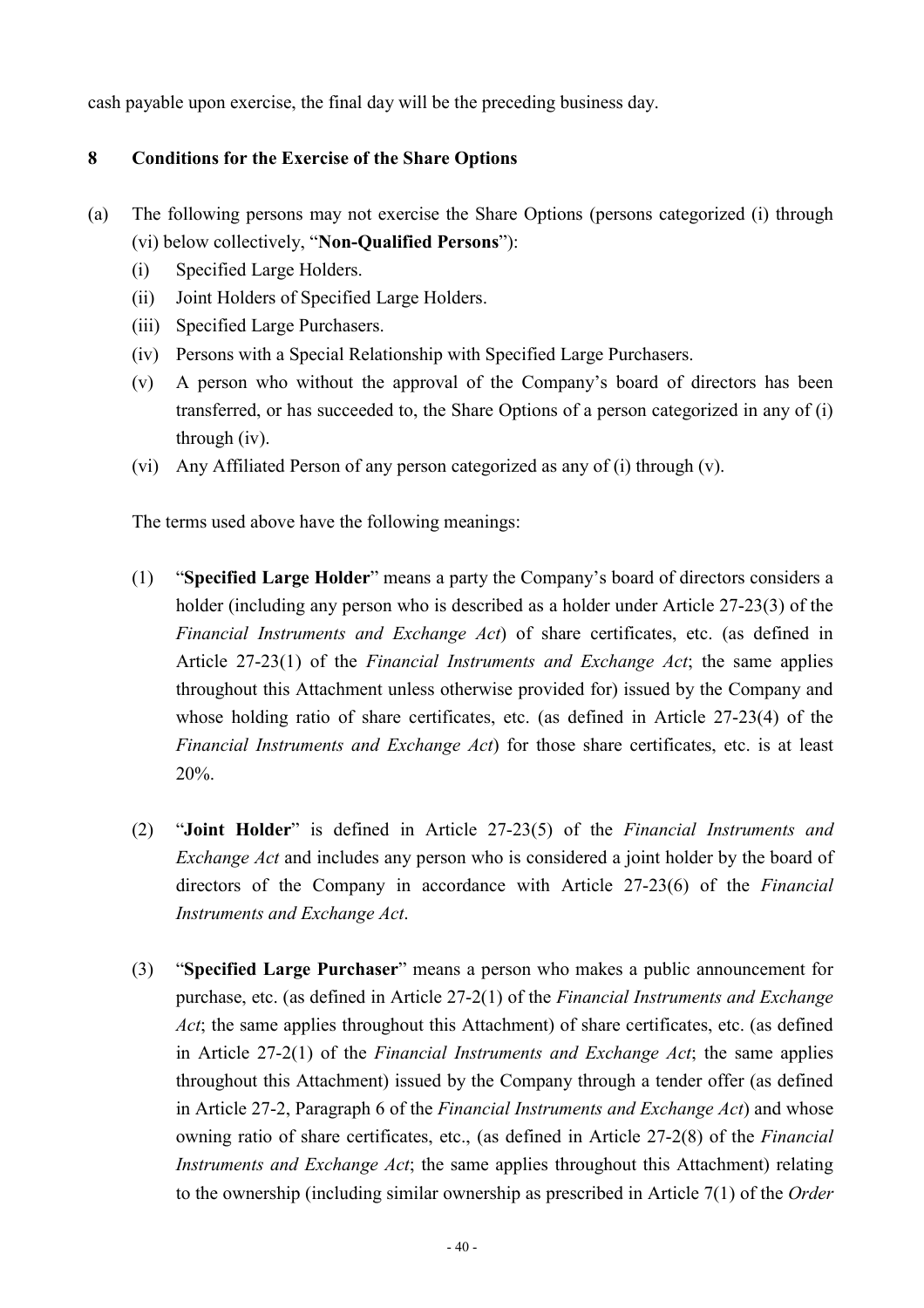cash payable upon exercise, the final day will be the preceding business day.

## **8 Conditions for the Exercise of the Share Options**

- (a) The following persons may not exercise the Share Options (persons categorized (i) through (vi) below collectively, "**Non-Qualified Persons**"):
	- (i) Specified Large Holders.
	- (ii) Joint Holders of Specified Large Holders.
	- (iii) Specified Large Purchasers.
	- (iv) Persons with a Special Relationship with Specified Large Purchasers.
	- (v) A person who without the approval of the Company's board of directors has been transferred, or has succeeded to, the Share Options of a person categorized in any of (i) through (iv).
	- (vi) Any Affiliated Person of any person categorized as any of (i) through (v).

The terms used above have the following meanings:

- (1) "**Specified Large Holder**" means a party the Company's board of directors considers a holder (including any person who is described as a holder under Article 27-23(3) of the *Financial Instruments and Exchange Act*) of share certificates, etc. (as defined in Article 27-23(1) of the *Financial Instruments and Exchange Act*; the same applies throughout this Attachment unless otherwise provided for) issued by the Company and whose holding ratio of share certificates, etc. (as defined in Article 27-23(4) of the *Financial Instruments and Exchange Act*) for those share certificates, etc. is at least 20%.
- (2) "**Joint Holder**" is defined in Article 27-23(5) of the *Financial Instruments and Exchange Act* and includes any person who is considered a joint holder by the board of directors of the Company in accordance with Article 27-23(6) of the *Financial Instruments and Exchange Act*.
- (3) "**Specified Large Purchaser**" means a person who makes a public announcement for purchase, etc. (as defined in Article 27-2(1) of the *Financial Instruments and Exchange Act*; the same applies throughout this Attachment) of share certificates, etc. (as defined in Article 27-2(1) of the *Financial Instruments and Exchange Act*; the same applies throughout this Attachment) issued by the Company through a tender offer (as defined in Article 27-2, Paragraph 6 of the *Financial Instruments and Exchange Act*) and whose owning ratio of share certificates, etc., (as defined in Article 27-2(8) of the *Financial Instruments and Exchange Act*; the same applies throughout this Attachment) relating to the ownership (including similar ownership as prescribed in Article 7(1) of the *Order*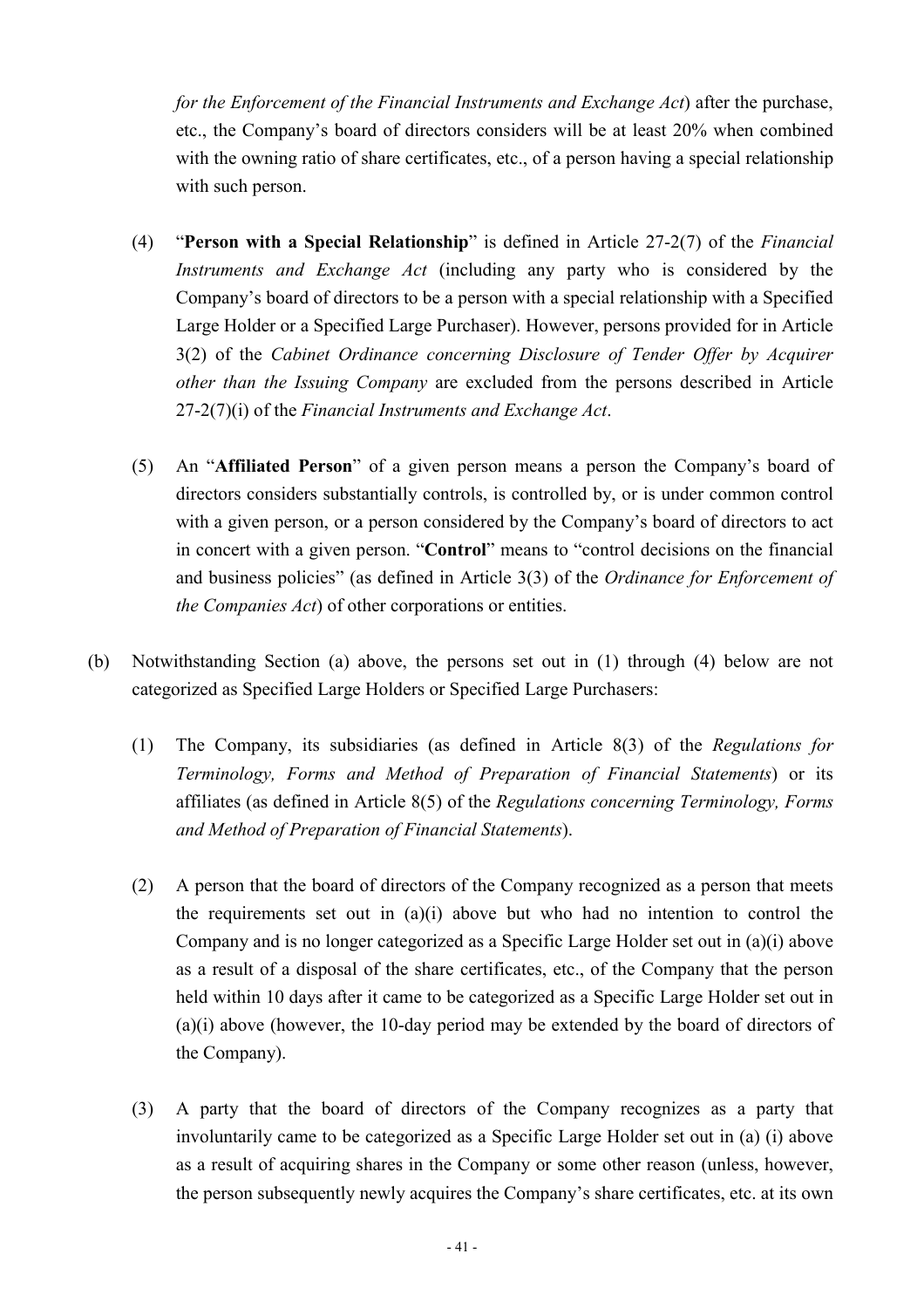*for the Enforcement of the Financial Instruments and Exchange Act*) after the purchase, etc., the Company's board of directors considers will be at least 20% when combined with the owning ratio of share certificates, etc., of a person having a special relationship with such person.

- (4) "**Person with a Special Relationship**" is defined in Article 27-2(7) of the *Financial Instruments and Exchange Act* (including any party who is considered by the Company's board of directors to be a person with a special relationship with a Specified Large Holder or a Specified Large Purchaser). However, persons provided for in Article 3(2) of the *Cabinet Ordinance concerning Disclosure of Tender Offer by Acquirer other than the Issuing Company* are excluded from the persons described in Article 27-2(7)(i) of the *Financial Instruments and Exchange Act*.
- (5) An "**Affiliated Person**" of a given person means a person the Company's board of directors considers substantially controls, is controlled by, or is under common control with a given person, or a person considered by the Company's board of directors to act in concert with a given person. "**Control**" means to "control decisions on the financial and business policies" (as defined in Article 3(3) of the *Ordinance for Enforcement of the Companies Act*) of other corporations or entities.
- (b) Notwithstanding Section (a) above, the persons set out in (1) through (4) below are not categorized as Specified Large Holders or Specified Large Purchasers:
	- (1) The Company, its subsidiaries (as defined in Article 8(3) of the *Regulations for Terminology, Forms and Method of Preparation of Financial Statements*) or its affiliates (as defined in Article 8(5) of the *Regulations concerning Terminology, Forms and Method of Preparation of Financial Statements*).
	- (2) A person that the board of directors of the Company recognized as a person that meets the requirements set out in (a)(i) above but who had no intention to control the Company and is no longer categorized as a Specific Large Holder set out in (a)(i) above as a result of a disposal of the share certificates, etc., of the Company that the person held within 10 days after it came to be categorized as a Specific Large Holder set out in (a)(i) above (however, the 10-day period may be extended by the board of directors of the Company).
	- (3) A party that the board of directors of the Company recognizes as a party that involuntarily came to be categorized as a Specific Large Holder set out in (a) (i) above as a result of acquiring shares in the Company or some other reason (unless, however, the person subsequently newly acquires the Company's share certificates, etc. at its own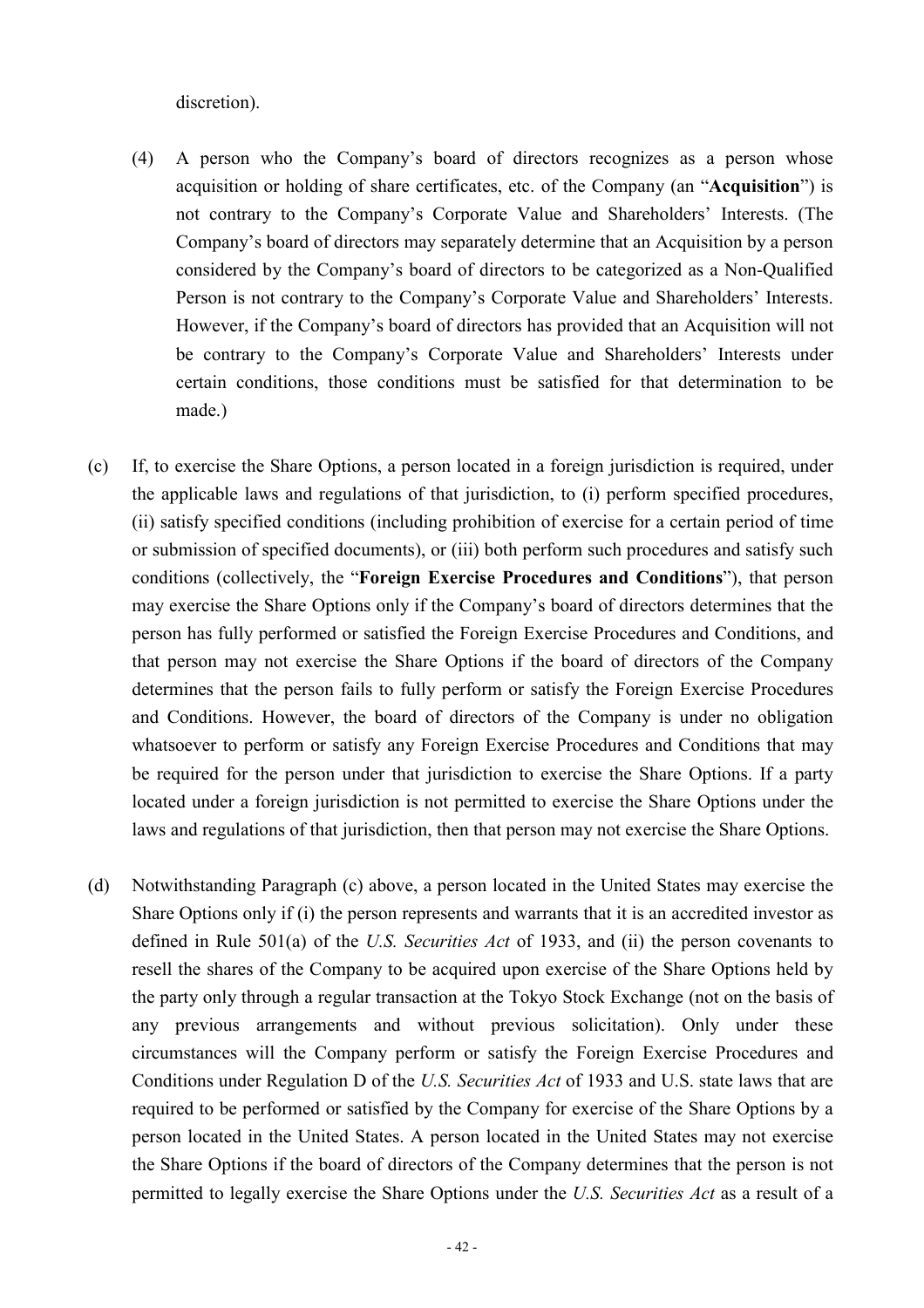discretion).

- (4) A person who the Company's board of directors recognizes as a person whose acquisition or holding of share certificates, etc. of the Company (an "**Acquisition**") is not contrary to the Company's Corporate Value and Shareholders' Interests. (The Company's board of directors may separately determine that an Acquisition by a person considered by the Company's board of directors to be categorized as a Non-Qualified Person is not contrary to the Company's Corporate Value and Shareholders' Interests. However, if the Company's board of directors has provided that an Acquisition will not be contrary to the Company's Corporate Value and Shareholders' Interests under certain conditions, those conditions must be satisfied for that determination to be made.)
- (c) If, to exercise the Share Options, a person located in a foreign jurisdiction is required, under the applicable laws and regulations of that jurisdiction, to (i) perform specified procedures, (ii) satisfy specified conditions (including prohibition of exercise for a certain period of time or submission of specified documents), or (iii) both perform such procedures and satisfy such conditions (collectively, the "**Foreign Exercise Procedures and Conditions**"), that person may exercise the Share Options only if the Company's board of directors determines that the person has fully performed or satisfied the Foreign Exercise Procedures and Conditions, and that person may not exercise the Share Options if the board of directors of the Company determines that the person fails to fully perform or satisfy the Foreign Exercise Procedures and Conditions. However, the board of directors of the Company is under no obligation whatsoever to perform or satisfy any Foreign Exercise Procedures and Conditions that may be required for the person under that jurisdiction to exercise the Share Options. If a party located under a foreign jurisdiction is not permitted to exercise the Share Options under the laws and regulations of that jurisdiction, then that person may not exercise the Share Options.
- (d) Notwithstanding Paragraph (c) above, a person located in the United States may exercise the Share Options only if (i) the person represents and warrants that it is an accredited investor as defined in Rule 501(a) of the *U.S. Securities Act* of 1933, and (ii) the person covenants to resell the shares of the Company to be acquired upon exercise of the Share Options held by the party only through a regular transaction at the Tokyo Stock Exchange (not on the basis of any previous arrangements and without previous solicitation). Only under these circumstances will the Company perform or satisfy the Foreign Exercise Procedures and Conditions under Regulation D of the *U.S. Securities Act* of 1933 and U.S. state laws that are required to be performed or satisfied by the Company for exercise of the Share Options by a person located in the United States. A person located in the United States may not exercise the Share Options if the board of directors of the Company determines that the person is not permitted to legally exercise the Share Options under the *U.S. Securities Act* as a result of a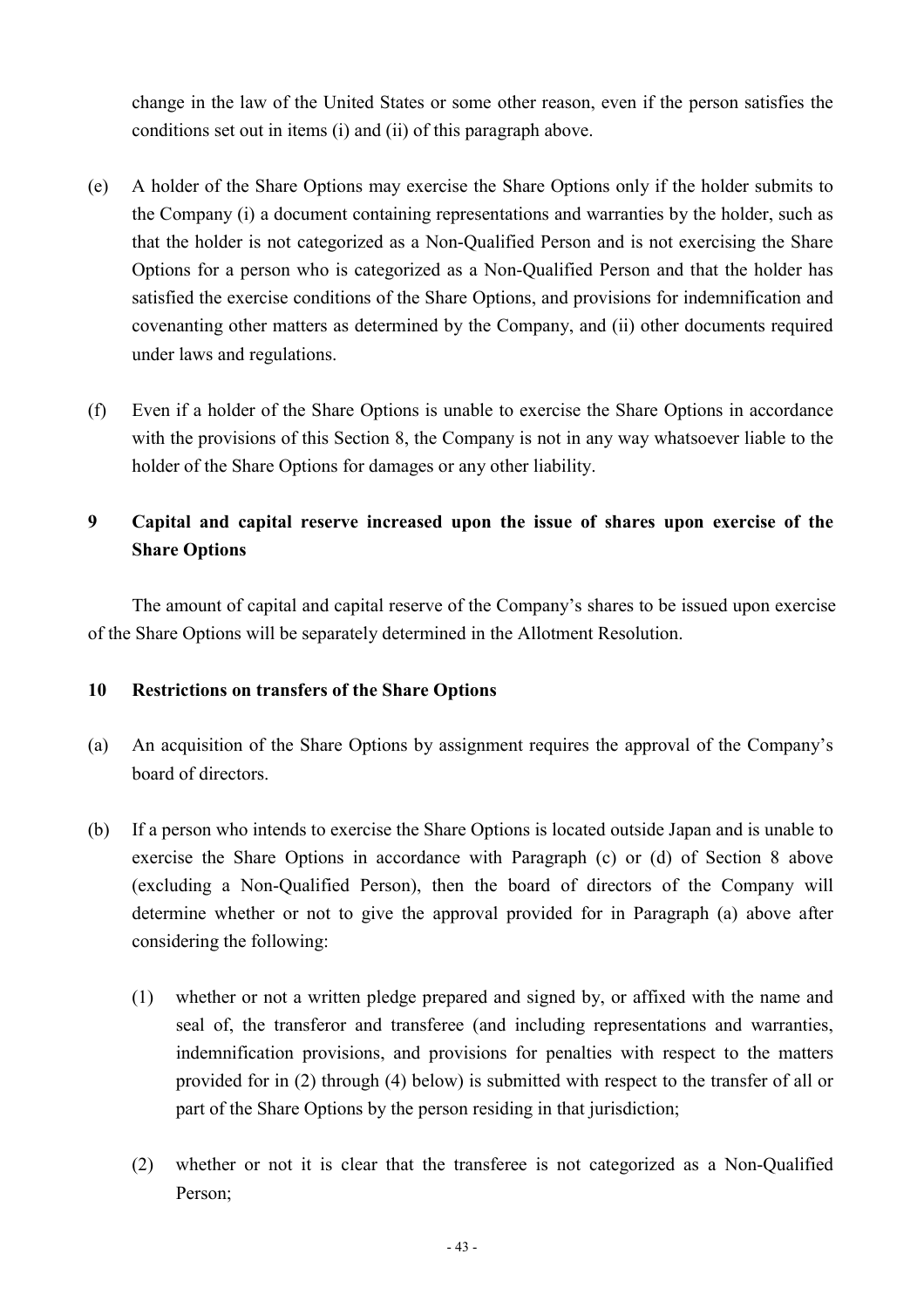change in the law of the United States or some other reason, even if the person satisfies the conditions set out in items (i) and (ii) of this paragraph above.

- (e) A holder of the Share Options may exercise the Share Options only if the holder submits to the Company (i) a document containing representations and warranties by the holder, such as that the holder is not categorized as a Non-Qualified Person and is not exercising the Share Options for a person who is categorized as a Non-Qualified Person and that the holder has satisfied the exercise conditions of the Share Options, and provisions for indemnification and covenanting other matters as determined by the Company, and (ii) other documents required under laws and regulations.
- (f) Even if a holder of the Share Options is unable to exercise the Share Options in accordance with the provisions of this Section 8, the Company is not in any way whatsoever liable to the holder of the Share Options for damages or any other liability.

## **9 Capital and capital reserve increased upon the issue of shares upon exercise of the Share Options**

The amount of capital and capital reserve of the Company's shares to be issued upon exercise of the Share Options will be separately determined in the Allotment Resolution.

## **10 Restrictions on transfers of the Share Options**

- (a) An acquisition of the Share Options by assignment requires the approval of the Company's board of directors.
- (b) If a person who intends to exercise the Share Options is located outside Japan and is unable to exercise the Share Options in accordance with Paragraph (c) or (d) of Section 8 above (excluding a Non-Qualified Person), then the board of directors of the Company will determine whether or not to give the approval provided for in Paragraph (a) above after considering the following:
	- (1) whether or not a written pledge prepared and signed by, or affixed with the name and seal of, the transferor and transferee (and including representations and warranties, indemnification provisions, and provisions for penalties with respect to the matters provided for in (2) through (4) below) is submitted with respect to the transfer of all or part of the Share Options by the person residing in that jurisdiction;
	- (2) whether or not it is clear that the transferee is not categorized as a Non-Qualified Person;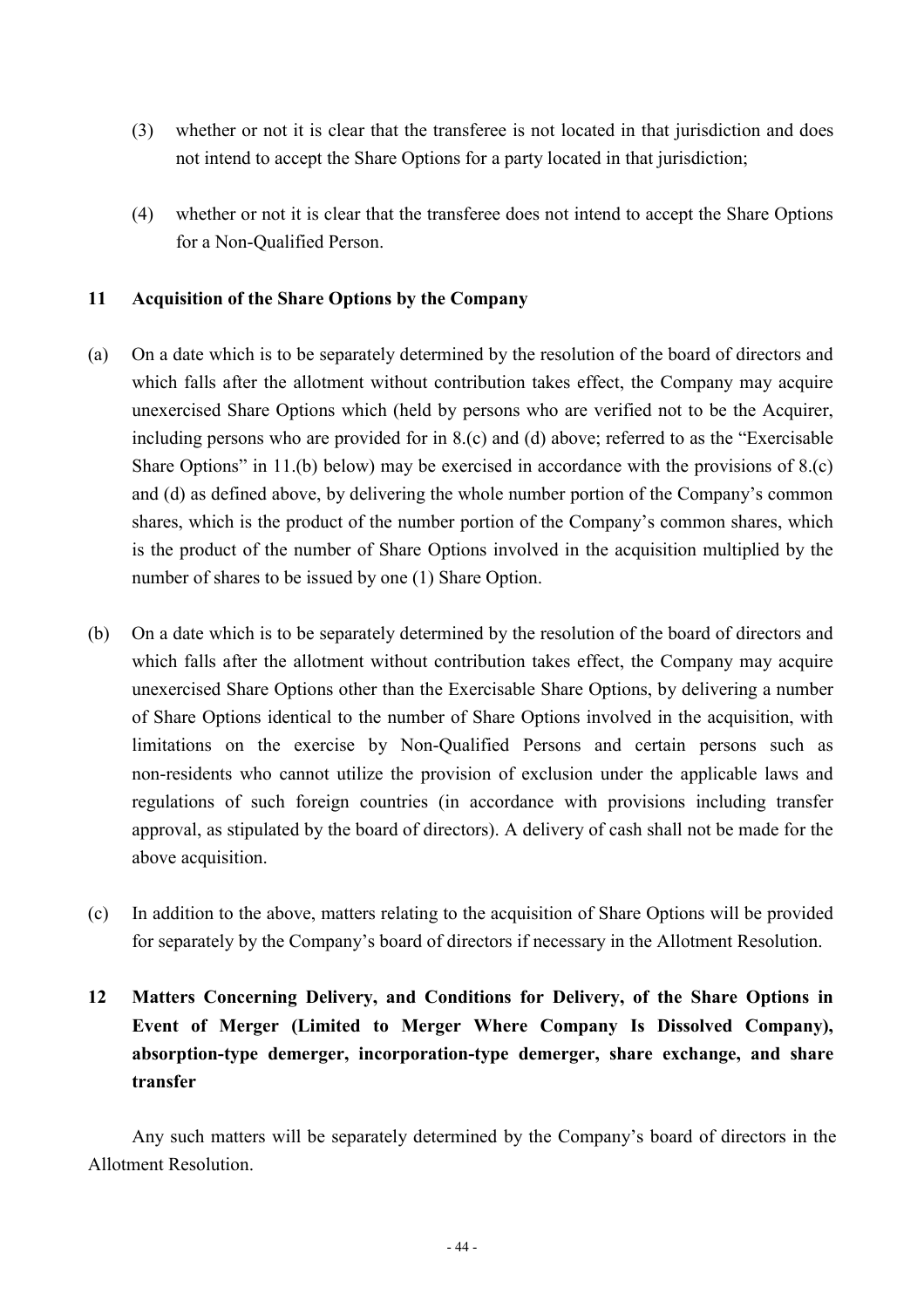- (3) whether or not it is clear that the transferee is not located in that jurisdiction and does not intend to accept the Share Options for a party located in that jurisdiction;
- (4) whether or not it is clear that the transferee does not intend to accept the Share Options for a Non-Qualified Person.

## **11 Acquisition of the Share Options by the Company**

- (a) On a date which is to be separately determined by the resolution of the board of directors and which falls after the allotment without contribution takes effect, the Company may acquire unexercised Share Options which (held by persons who are verified not to be the Acquirer, including persons who are provided for in 8.(c) and (d) above; referred to as the "Exercisable Share Options" in 11.(b) below) may be exercised in accordance with the provisions of 8.(c) and (d) as defined above, by delivering the whole number portion of the Company's common shares, which is the product of the number portion of the Company's common shares, which is the product of the number of Share Options involved in the acquisition multiplied by the number of shares to be issued by one (1) Share Option.
- (b) On a date which is to be separately determined by the resolution of the board of directors and which falls after the allotment without contribution takes effect, the Company may acquire unexercised Share Options other than the Exercisable Share Options, by delivering a number of Share Options identical to the number of Share Options involved in the acquisition, with limitations on the exercise by Non-Qualified Persons and certain persons such as non-residents who cannot utilize the provision of exclusion under the applicable laws and regulations of such foreign countries (in accordance with provisions including transfer approval, as stipulated by the board of directors). A delivery of cash shall not be made for the above acquisition.
- (c) In addition to the above, matters relating to the acquisition of Share Options will be provided for separately by the Company's board of directors if necessary in the Allotment Resolution.

## **12 Matters Concerning Delivery, and Conditions for Delivery, of the Share Options in Event of Merger (Limited to Merger Where Company Is Dissolved Company), absorption-type demerger, incorporation-type demerger, share exchange, and share transfer**

Any such matters will be separately determined by the Company's board of directors in the Allotment Resolution.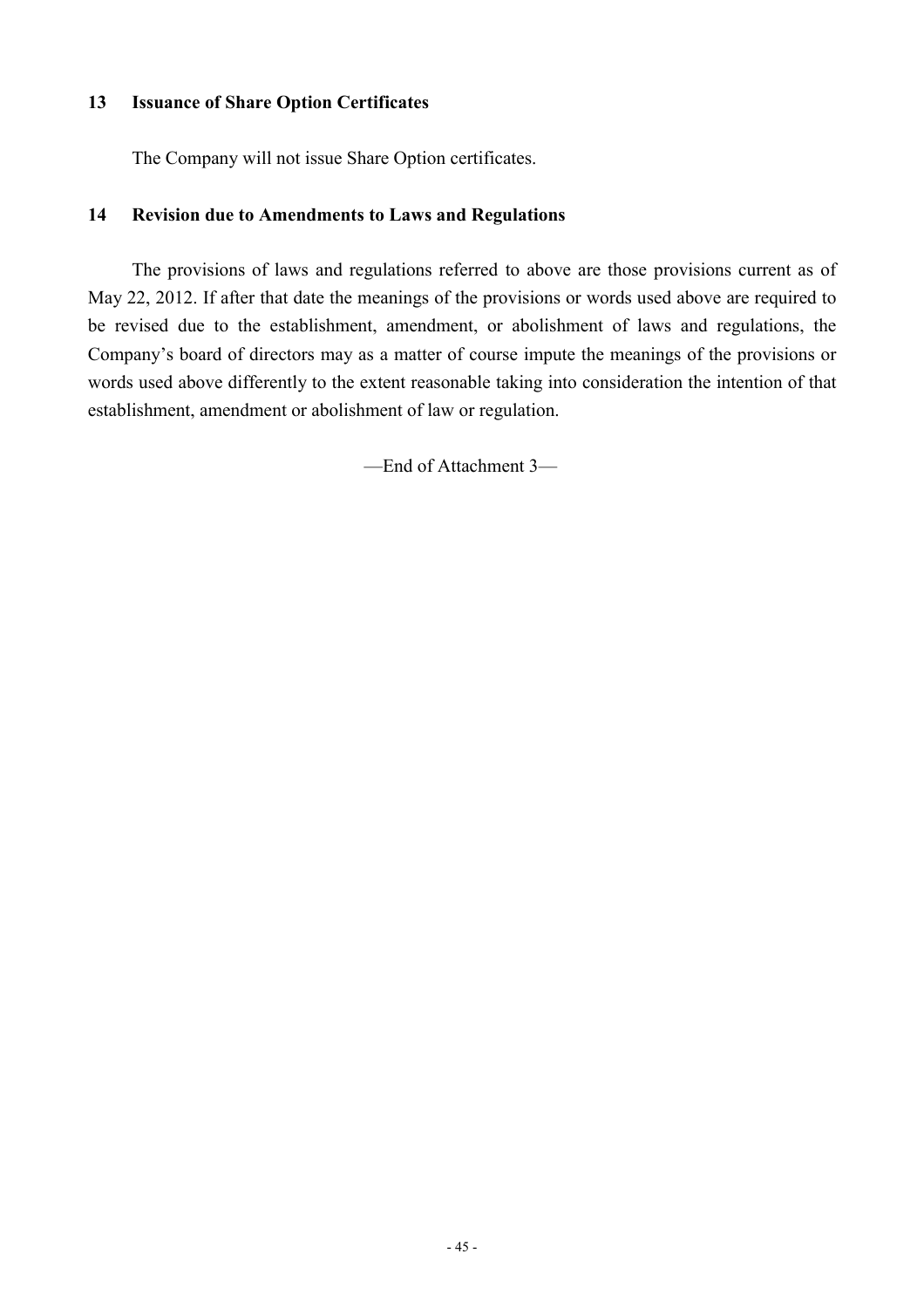## **13 Issuance of Share Option Certificates**

The Company will not issue Share Option certificates.

### **14 Revision due to Amendments to Laws and Regulations**

The provisions of laws and regulations referred to above are those provisions current as of May 22, 2012. If after that date the meanings of the provisions or words used above are required to be revised due to the establishment, amendment, or abolishment of laws and regulations, the Company's board of directors may as a matter of course impute the meanings of the provisions or words used above differently to the extent reasonable taking into consideration the intention of that establishment, amendment or abolishment of law or regulation.

—End of Attachment 3—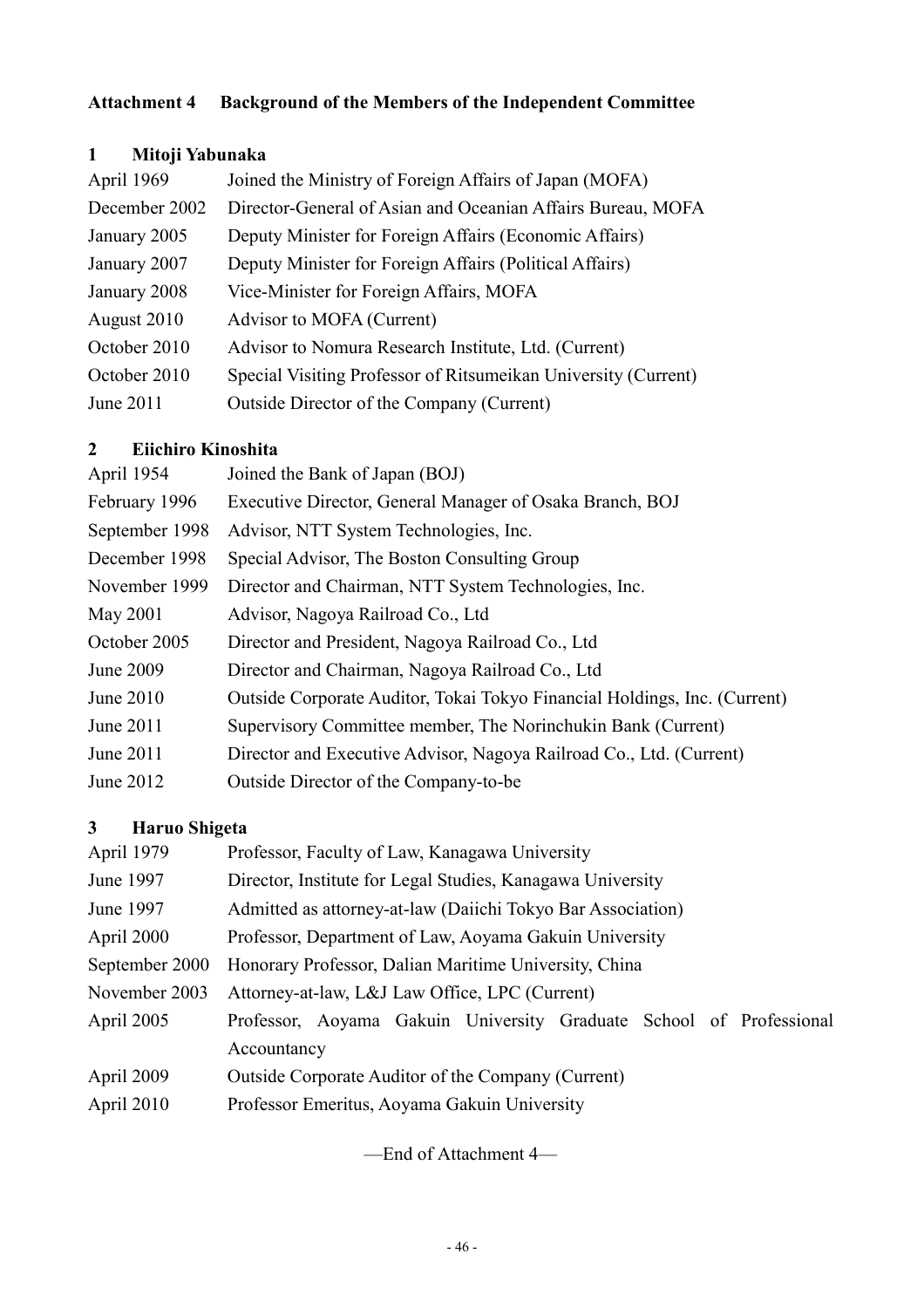## **Attachment 4 Background of the Members of the Independent Committee**

## **1 Mitoji Yabunaka**

| Joined the Ministry of Foreign Affairs of Japan (MOFA)         |
|----------------------------------------------------------------|
| Director-General of Asian and Oceanian Affairs Bureau, MOFA    |
| Deputy Minister for Foreign Affairs (Economic Affairs)         |
| Deputy Minister for Foreign Affairs (Political Affairs)        |
| Vice-Minister for Foreign Affairs, MOFA                        |
| Advisor to MOFA (Current)                                      |
| Advisor to Nomura Research Institute, Ltd. (Current)           |
| Special Visiting Professor of Ritsumeikan University (Current) |
| Outside Director of the Company (Current)                      |
|                                                                |

## **2 Eiichiro Kinoshita**

| Joined the Bank of Japan (BOJ)                                            |
|---------------------------------------------------------------------------|
| Executive Director, General Manager of Osaka Branch, BOJ                  |
| Advisor, NTT System Technologies, Inc.                                    |
| Special Advisor, The Boston Consulting Group                              |
| Director and Chairman, NTT System Technologies, Inc.                      |
| Advisor, Nagoya Railroad Co., Ltd                                         |
| Director and President, Nagoya Railroad Co., Ltd.                         |
| Director and Chairman, Nagoya Railroad Co., Ltd.                          |
| Outside Corporate Auditor, Tokai Tokyo Financial Holdings, Inc. (Current) |
| Supervisory Committee member, The Norinchukin Bank (Current)              |
| Director and Executive Advisor, Nagoya Railroad Co., Ltd. (Current)       |
| Outside Director of the Company-to-be                                     |
|                                                                           |

## **3 Haruo Shigeta**

| April 1979     | Professor, Faculty of Law, Kanagawa University                      |
|----------------|---------------------------------------------------------------------|
| June 1997      | Director, Institute for Legal Studies, Kanagawa University          |
| June 1997      | Admitted as attorney-at-law (Daiichi Tokyo Bar Association)         |
| April 2000     | Professor, Department of Law, Aoyama Gakuin University              |
| September 2000 | Honorary Professor, Dalian Maritime University, China               |
| November 2003  | Attorney-at-law, L&J Law Office, LPC (Current)                      |
| April 2005     | Professor, Aoyama Gakuin University Graduate School of Professional |
|                | Accountancy                                                         |
| April 2009     | Outside Corporate Auditor of the Company (Current)                  |
| April 2010     | Professor Emeritus, Aoyama Gakuin University                        |
|                |                                                                     |

—End of Attachment 4—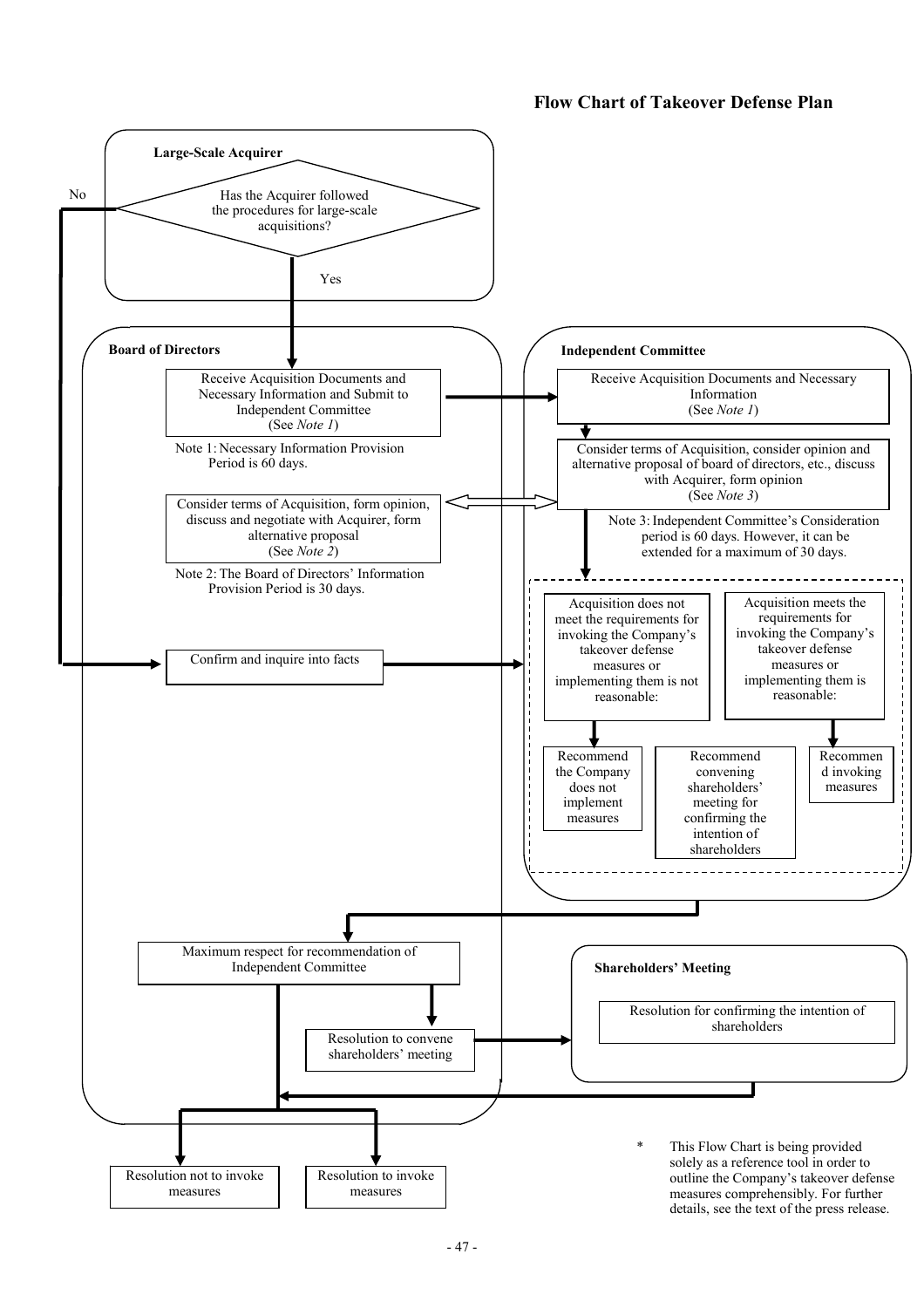## **Flow Chart of Takeover Defense Plan**

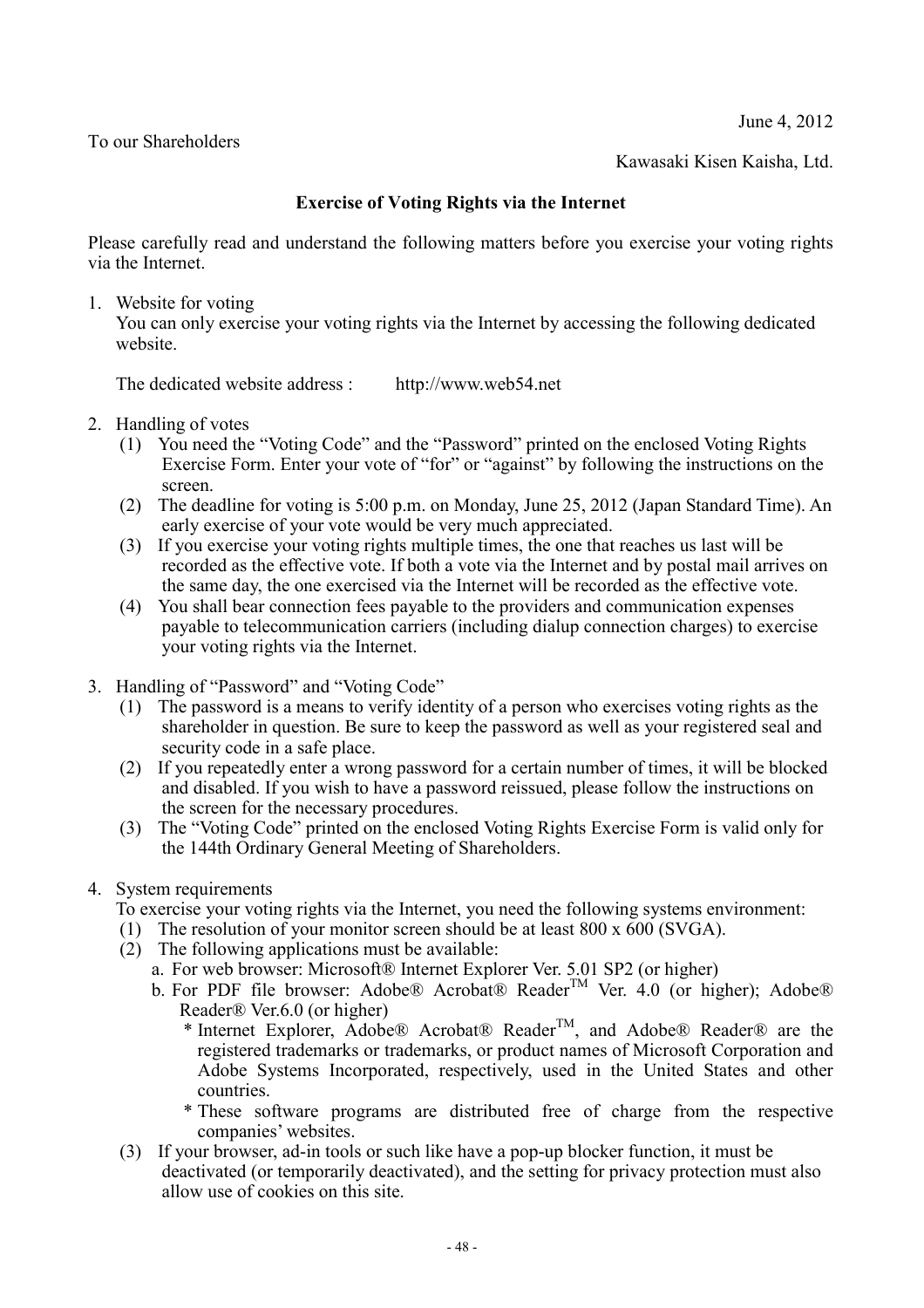June 4, 2012

To our Shareholders

Kawasaki Kisen Kaisha, Ltd.

## **Exercise of Voting Rights via the Internet**

Please carefully read and understand the following matters before you exercise your voting rights via the Internet.

1. Website for voting

You can only exercise your voting rights via the Internet by accessing the following dedicated website.

The dedicated website address : http://www.web54.net

- 2. Handling of votes
	- (1) You need the "Voting Code" and the "Password" printed on the enclosed Voting Rights Exercise Form. Enter your vote of "for" or "against" by following the instructions on the screen.
	- (2) The deadline for voting is 5:00 p.m. on Monday, June 25, 2012 (Japan Standard Time). An early exercise of your vote would be very much appreciated.
	- (3) If you exercise your voting rights multiple times, the one that reaches us last will be recorded as the effective vote. If both a vote via the Internet and by postal mail arrives on the same day, the one exercised via the Internet will be recorded as the effective vote.
	- (4) You shall bear connection fees payable to the providers and communication expenses payable to telecommunication carriers (including dialup connection charges) to exercise your voting rights via the Internet.
- 3. Handling of "Password" and "Voting Code"
	- (1) The password is a means to verify identity of a person who exercises voting rights as the shareholder in question. Be sure to keep the password as well as your registered seal and security code in a safe place.
	- (2) If you repeatedly enter a wrong password for a certain number of times, it will be blocked and disabled. If you wish to have a password reissued, please follow the instructions on the screen for the necessary procedures.
	- (3) The "Voting Code" printed on the enclosed Voting Rights Exercise Form is valid only for the 144th Ordinary General Meeting of Shareholders.
- 4. System requirements

To exercise your voting rights via the Internet, you need the following systems environment:

- (1) The resolution of your monitor screen should be at least  $800 \times 600$  (SVGA).
- $(2)$  The following applications must be available:
	- a. For web browser: Microsoft® Internet Explorer Ver. 5.01 SP2 (or higher)
	- b. For PDF file browser: Adobe® Acrobat® Reader<sup>TM</sup> Ver. 4.0 (or higher); Adobe® Reader® Ver.6.0 (or higher)
		- \* Internet Explorer, Adobe® Acrobat® ReaderTM, and Adobe® Reader® are the registered trademarks or trademarks, or product names of Microsoft Corporation and Adobe Systems Incorporated, respectively, used in the United States and other countries.
		- \* These software programs are distributed free of charge from the respective companies' websites.
- (3) If your browser, ad-in tools or such like have a pop-up blocker function, it must be deactivated (or temporarily deactivated), and the setting for privacy protection must also allow use of cookies on this site.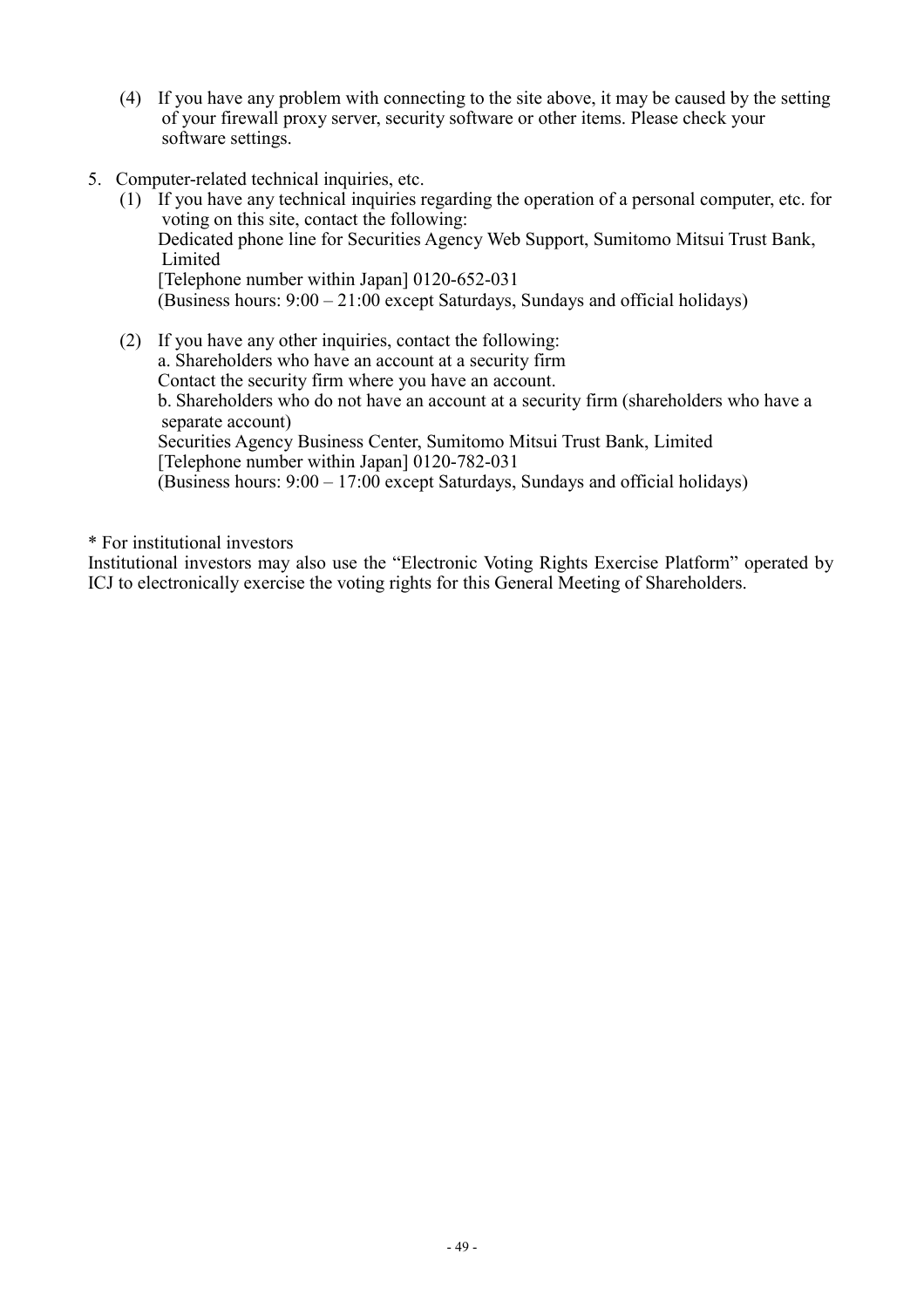- (4) If you have any problem with connecting to the site above, it may be caused by the setting of your firewall proxy server, security software or other items. Please check your software settings.
- 5. Computer-related technical inquiries, etc.
	- (1) If you have any technical inquiries regarding the operation of a personal computer, etc. for voting on this site, contact the following: Dedicated phone line for Securities Agency Web Support, Sumitomo Mitsui Trust Bank, Limited [Telephone number within Japan] 0120-652-031 (Business hours:  $9:00 - 21:00$  except Saturdays, Sundays and official holidays)
	- (2) If you have any other inquiries, contact the following: a. Shareholders who have an account at a security firm Contact the security firm where you have an account. b. Shareholders who do not have an account at a security firm (shareholders who have a separate account) Securities Agency Business Center, Sumitomo Mitsui Trust Bank, Limited [Telephone number within Japan] 0120-782-031 (Business hours: 9:00 – 17:00 except Saturdays, Sundays and official holidays)

\* For institutional investors

Institutional investors may also use the "Electronic Voting Rights Exercise Platform" operated by ICJ to electronically exercise the voting rights for this General Meeting of Shareholders.